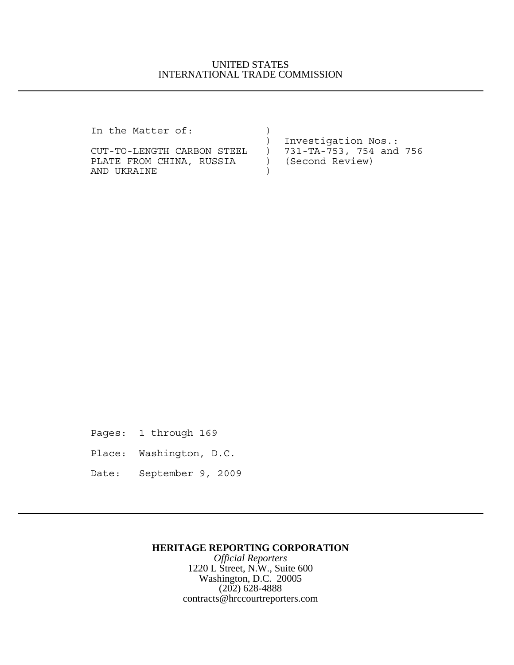## UNITED STATES INTERNATIONAL TRADE COMMISSION

In the Matter of:  $)$ 

PLATE FROM CHINA, RUSSIA ) (Second Review) AND UKRAINE )

 ) Investigation Nos.: CUT-TO-LENGTH CARBON STEEL ) 731-TA-753, 754 and 756

Pages: 1 through 169

Place: Washington, D.C.

Date: September 9, 2009

### **HERITAGE REPORTING CORPORATION**

*Official Reporters* 1220 L Street, N.W., Suite 600 Washington, D.C. 20005 (202) 628-4888 contracts@hrccourtreporters.com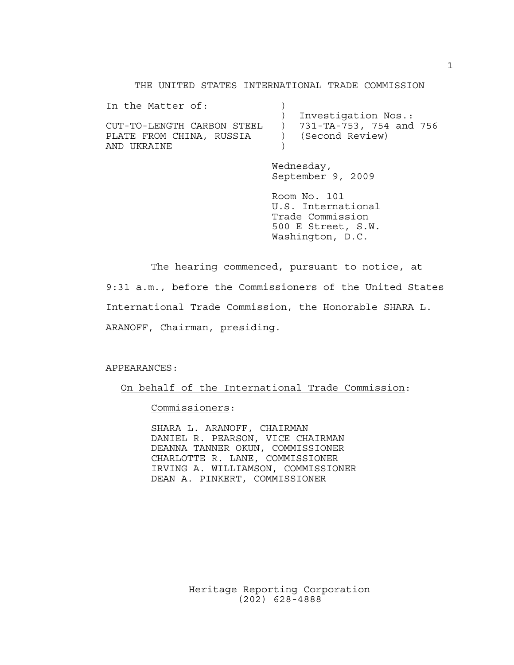THE UNITED STATES INTERNATIONAL TRADE COMMISSION

| In the Matter of:        |                                                      |
|--------------------------|------------------------------------------------------|
|                          | Investigation Nos.:                                  |
|                          | CUT-TO-LENGTH CARBON STEEL ) 731-TA-753, 754 and 756 |
| PLATE FROM CHINA, RUSSIA | ) (Second Review)                                    |
| AND UKRAINE              |                                                      |

Wednesday, September 9, 2009

Room No. 101 U.S. International Trade Commission 500 E Street, S.W. Washington, D.C.

The hearing commenced, pursuant to notice, at 9:31 a.m., before the Commissioners of the United States International Trade Commission, the Honorable SHARA L. ARANOFF, Chairman, presiding.

APPEARANCES:

On behalf of the International Trade Commission:

Commissioners:

SHARA L. ARANOFF, CHAIRMAN DANIEL R. PEARSON, VICE CHAIRMAN DEANNA TANNER OKUN, COMMISSIONER CHARLOTTE R. LANE, COMMISSIONER IRVING A. WILLIAMSON, COMMISSIONER DEAN A. PINKERT, COMMISSIONER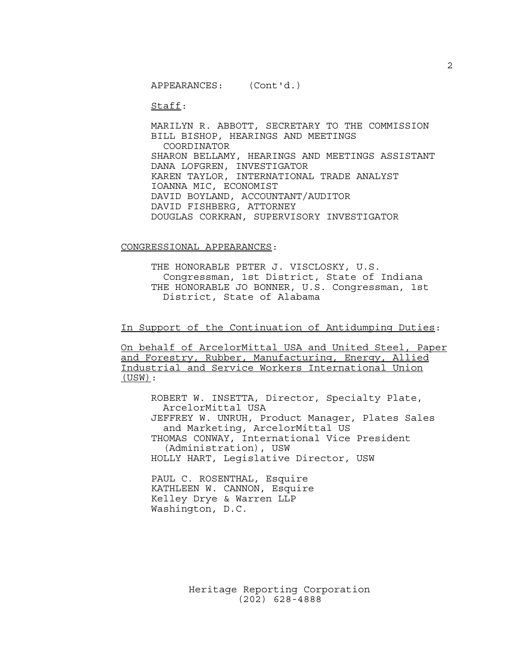APPEARANCES: (Cont'd.)

Staff:

MARILYN R. ABBOTT, SECRETARY TO THE COMMISSION BILL BISHOP, HEARINGS AND MEETINGS COORDINATOR SHARON BELLAMY, HEARINGS AND MEETINGS ASSISTANT DANA LOFGREN, INVESTIGATOR KAREN TAYLOR, INTERNATIONAL TRADE ANALYST IOANNA MIC, ECONOMIST DAVID BOYLAND, ACCOUNTANT/AUDITOR DAVID FISHBERG, ATTORNEY DOUGLAS CORKRAN, SUPERVISORY INVESTIGATOR

#### CONGRESSIONAL APPEARANCES:

THE HONORABLE PETER J. VISCLOSKY, U.S. Congressman, 1st District, State of Indiana THE HONORABLE JO BONNER, U.S. Congressman, 1st District, State of Alabama

In Support of the Continuation of Antidumping Duties:

On behalf of ArcelorMittal USA and United Steel, Paper and Forestry, Rubber, Manufacturing, Energy, Allied Industrial and Service Workers International Union (USW):

ROBERT W. INSETTA, Director, Specialty Plate, ArcelorMittal USA JEFFREY W. UNRUH, Product Manager, Plates Sales and Marketing, ArcelorMittal US THOMAS CONWAY, International Vice President (Administration), USW HOLLY HART, Legislative Director, USW

PAUL C. ROSENTHAL, Esquire KATHLEEN W. CANNON, Esquire Kelley Drye & Warren LLP Washington, D.C.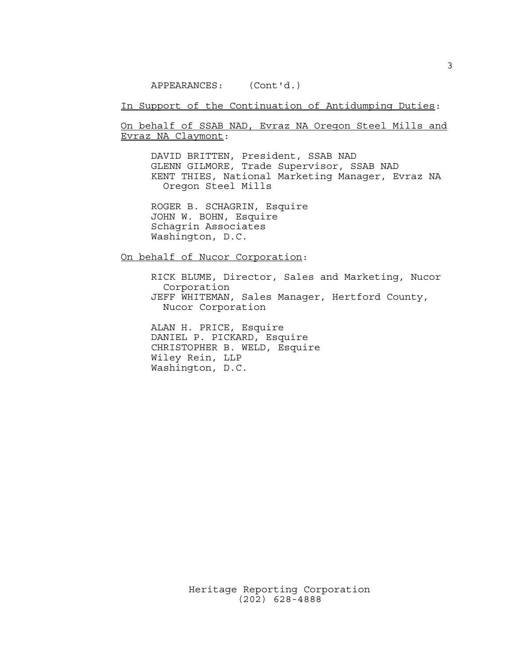APPEARANCES: (Cont'd.)

In Support of the Continuation of Antidumping Duties:

On behalf of SSAB NAD, Evraz NA Oregon Steel Mills and Evraz NA Claymont:

DAVID BRITTEN, President, SSAB NAD GLENN GILMORE, Trade Supervisor, SSAB NAD KENT THIES, National Marketing Manager, Evraz NA Oregon Steel Mills

ROGER B. SCHAGRIN, Esquire JOHN W. BOHN, Esquire Schagrin Associates Washington, D.C.

On behalf of Nucor Corporation:

RICK BLUME, Director, Sales and Marketing, Nucor Corporation JEFF WHITEMAN, Sales Manager, Hertford County, Nucor Corporation

ALAN H. PRICE, Esquire DANIEL P. PICKARD, Esquire CHRISTOPHER B. WELD, Esquire Wiley Rein, LLP Washington, D.C.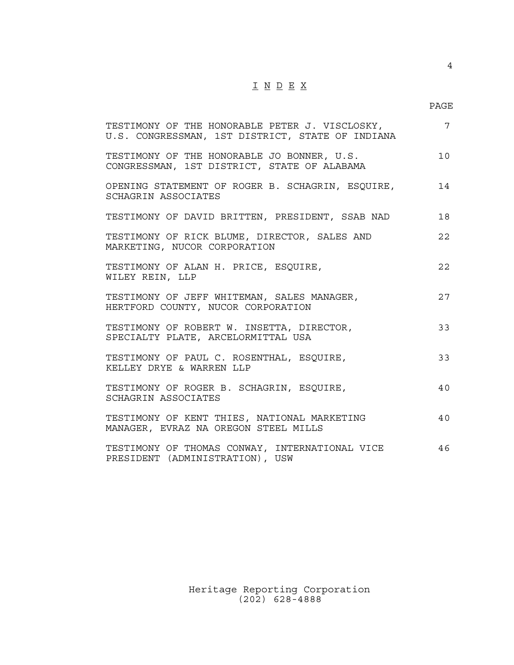## $\underline{\texttt{I}} \underline{\texttt{N}} \underline{\texttt{D}} \underline{\texttt{E}} \underline{\texttt{X}}$

4

| TESTIMONY OF THE HONORABLE PETER J. VISCLOSKY,<br>U.S. CONGRESSMAN, 1ST DISTRICT, STATE OF INDIANA | $\overline{7}$ |
|----------------------------------------------------------------------------------------------------|----------------|
| TESTIMONY OF THE HONORABLE JO BONNER, U.S.<br>CONGRESSMAN, 1ST DISTRICT, STATE OF ALABAMA          | 10             |
| OPENING STATEMENT OF ROGER B. SCHAGRIN, ESQUIRE,<br>SCHAGRIN ASSOCIATES                            | 14             |
| TESTIMONY OF DAVID BRITTEN, PRESIDENT, SSAB NAD                                                    | 18             |
| TESTIMONY OF RICK BLUME, DIRECTOR, SALES AND<br>MARKETING, NUCOR CORPORATION                       | 22             |
| TESTIMONY OF ALAN H. PRICE, ESQUIRE,<br>WILEY REIN, LLP                                            | 22             |
| TESTIMONY OF JEFF WHITEMAN, SALES MANAGER,<br>HERTFORD COUNTY, NUCOR CORPORATION                   | 27             |
| TESTIMONY OF ROBERT W. INSETTA, DIRECTOR,<br>SPECIALTY PLATE, ARCELORMITTAL USA                    | 33             |
| TESTIMONY OF PAUL C. ROSENTHAL, ESQUIRE,<br>KELLEY DRYE & WARREN LLP                               | 33             |
| TESTIMONY OF ROGER B. SCHAGRIN, ESQUIRE,<br>SCHAGRIN ASSOCIATES                                    | 40             |
| TESTIMONY OF KENT THIES, NATIONAL MARKETING<br>MANAGER, EVRAZ NA OREGON STEEL MILLS                | 40             |
| TESTIMONY OF THOMAS CONWAY, INTERNATIONAL VICE<br>PRESIDENT (ADMINISTRATION), USW                  | 46             |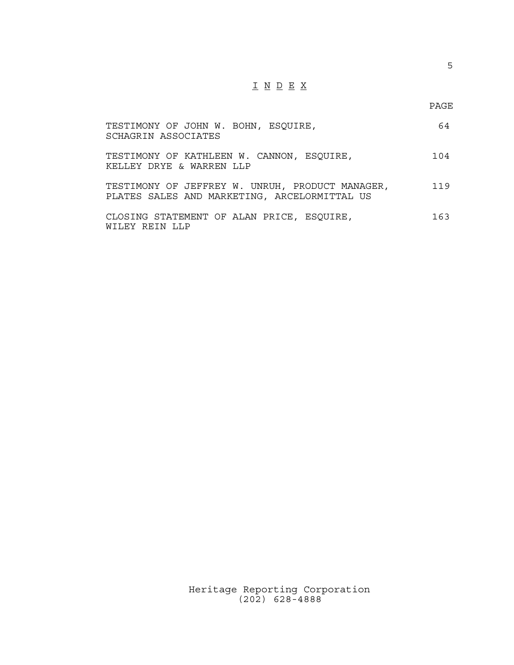# I N D E X

5

| TESTIMONY OF JOHN W. BOHN, ESQUIRE,<br>SCHAGRIN ASSOCIATES                                      | 64  |
|-------------------------------------------------------------------------------------------------|-----|
| TESTIMONY OF KATHLEEN W. CANNON, ESQUIRE,<br>KELLEY DRYE & WARREN LLP                           | 104 |
| TESTIMONY OF JEFFREY W. UNRUH, PRODUCT MANAGER,<br>PLATES SALES AND MARKETING, ARCELORMITTAL US | 119 |
| CLOSING STATEMENT OF ALAN PRICE, ESQUIRE,<br>WILEY REIN LLP                                     | 163 |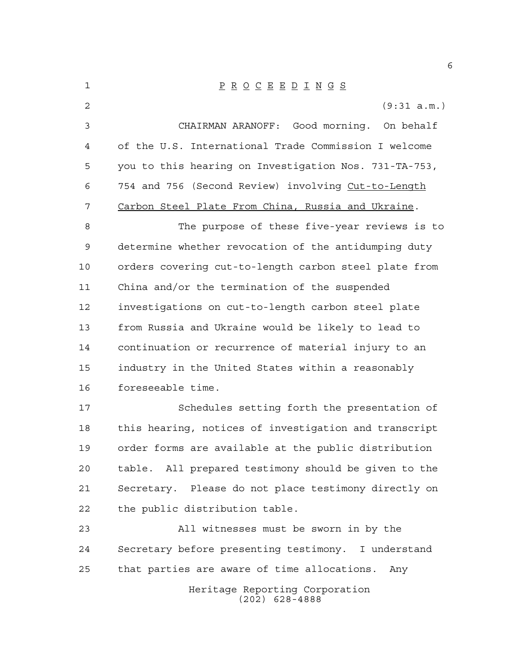| $\mathbf 1$    | $\underline{P} \underline{R} \underline{O} \underline{C} \underline{E} \underline{E} \underline{D} \underline{I} \underline{N} \underline{G} \underline{S}$ |
|----------------|-------------------------------------------------------------------------------------------------------------------------------------------------------------|
| $\overline{2}$ | (9:31 a.m.)                                                                                                                                                 |
| $\mathfrak{Z}$ | Good morning. On behalf<br>CHAIRMAN ARANOFF:                                                                                                                |
| 4              | of the U.S. International Trade Commission I welcome                                                                                                        |
| 5              | you to this hearing on Investigation Nos. 731-TA-753,                                                                                                       |
| 6              | 754 and 756 (Second Review) involving Cut-to-Length                                                                                                         |
| 7              | Carbon Steel Plate From China, Russia and Ukraine.                                                                                                          |
| 8              | The purpose of these five-year reviews is to                                                                                                                |
| $\mathsf 9$    | determine whether revocation of the antidumping duty                                                                                                        |
| 10             | orders covering cut-to-length carbon steel plate from                                                                                                       |
| 11             | China and/or the termination of the suspended                                                                                                               |
| 12             | investigations on cut-to-length carbon steel plate                                                                                                          |
| 13             | from Russia and Ukraine would be likely to lead to                                                                                                          |
| 14             | continuation or recurrence of material injury to an                                                                                                         |
| 15             | industry in the United States within a reasonably                                                                                                           |
| 16             | foreseeable time.                                                                                                                                           |
| 17             | Schedules setting forth the presentation of                                                                                                                 |
| 18             | this hearing, notices of investigation and transcript                                                                                                       |
| 19             | order forms are available at the public distribution                                                                                                        |
| 20             | table. All prepared testimony should be given to the                                                                                                        |
| 21             | Secretary. Please do not place testimony directly on                                                                                                        |
| 22             | the public distribution table.                                                                                                                              |
| 23             | All witnesses must be sworn in by the                                                                                                                       |
| 24             | Secretary before presenting testimony. I understand                                                                                                         |
| 25             | that parties are aware of time allocations.<br>Any                                                                                                          |
|                | Heritage Reporting Corporation<br>$(202)$ 628-4888                                                                                                          |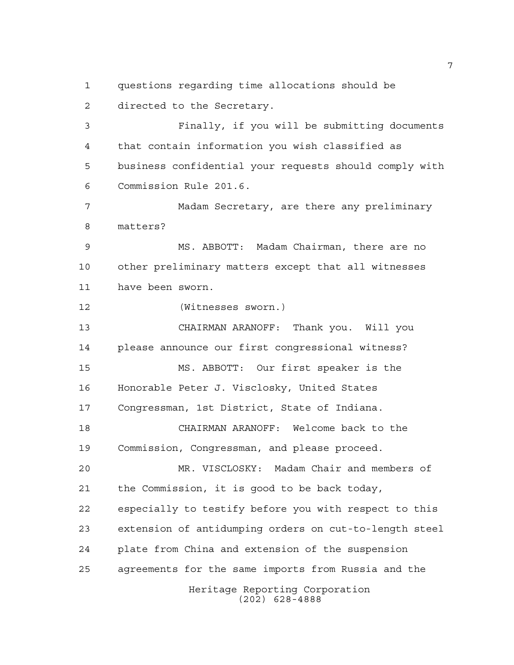questions regarding time allocations should be directed to the Secretary.

 Finally, if you will be submitting documents that contain information you wish classified as business confidential your requests should comply with Commission Rule 201.6.

 Madam Secretary, are there any preliminary matters?

 MS. ABBOTT: Madam Chairman, there are no other preliminary matters except that all witnesses have been sworn.

(Witnesses sworn.)

 CHAIRMAN ARANOFF: Thank you. Will you please announce our first congressional witness? MS. ABBOTT: Our first speaker is the Honorable Peter J. Visclosky, United States Congressman, 1st District, State of Indiana. CHAIRMAN ARANOFF: Welcome back to the

Commission, Congressman, and please proceed.

Heritage Reporting Corporation MR. VISCLOSKY: Madam Chair and members of the Commission, it is good to be back today, especially to testify before you with respect to this extension of antidumping orders on cut-to-length steel plate from China and extension of the suspension agreements for the same imports from Russia and the

(202) 628-4888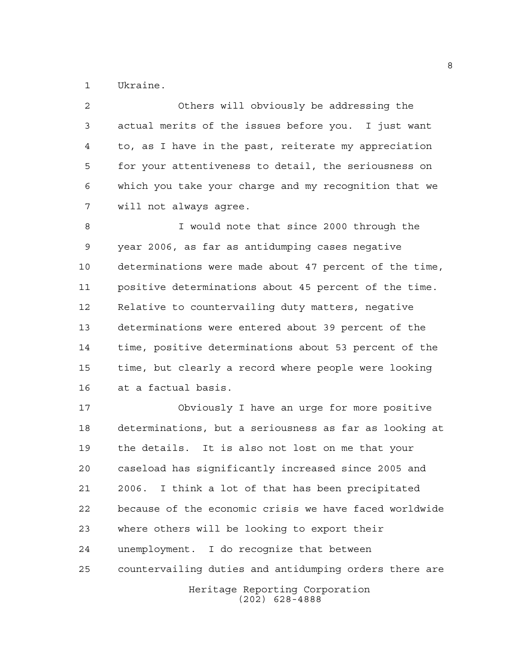Ukraine.

 Others will obviously be addressing the actual merits of the issues before you. I just want to, as I have in the past, reiterate my appreciation for your attentiveness to detail, the seriousness on which you take your charge and my recognition that we will not always agree.

 I would note that since 2000 through the year 2006, as far as antidumping cases negative determinations were made about 47 percent of the time, positive determinations about 45 percent of the time. Relative to countervailing duty matters, negative determinations were entered about 39 percent of the time, positive determinations about 53 percent of the time, but clearly a record where people were looking at a factual basis.

 Obviously I have an urge for more positive determinations, but a seriousness as far as looking at the details. It is also not lost on me that your caseload has significantly increased since 2005 and 2006. I think a lot of that has been precipitated because of the economic crisis we have faced worldwide where others will be looking to export their unemployment. I do recognize that between countervailing duties and antidumping orders there are

Heritage Reporting Corporation (202) 628-4888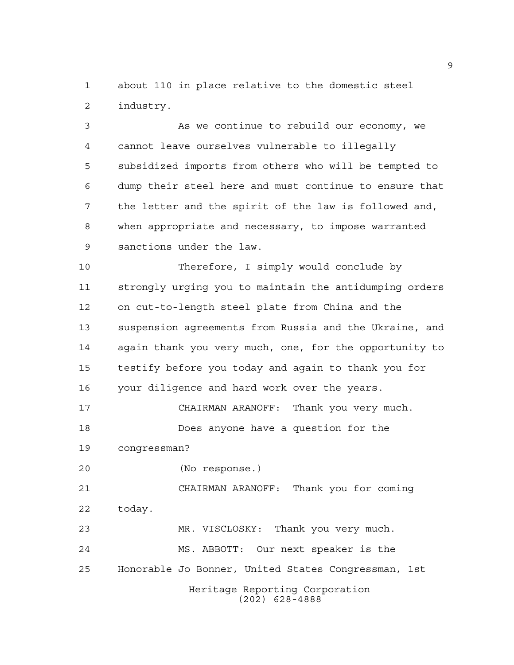about 110 in place relative to the domestic steel industry.

 As we continue to rebuild our economy, we cannot leave ourselves vulnerable to illegally subsidized imports from others who will be tempted to dump their steel here and must continue to ensure that the letter and the spirit of the law is followed and, when appropriate and necessary, to impose warranted sanctions under the law.

 Therefore, I simply would conclude by strongly urging you to maintain the antidumping orders on cut-to-length steel plate from China and the suspension agreements from Russia and the Ukraine, and again thank you very much, one, for the opportunity to testify before you today and again to thank you for your diligence and hard work over the years.

 CHAIRMAN ARANOFF: Thank you very much. Does anyone have a question for the

congressman?

(No response.)

 CHAIRMAN ARANOFF: Thank you for coming today.

Heritage Reporting Corporation MR. VISCLOSKY: Thank you very much. MS. ABBOTT: Our next speaker is the Honorable Jo Bonner, United States Congressman, 1st

(202) 628-4888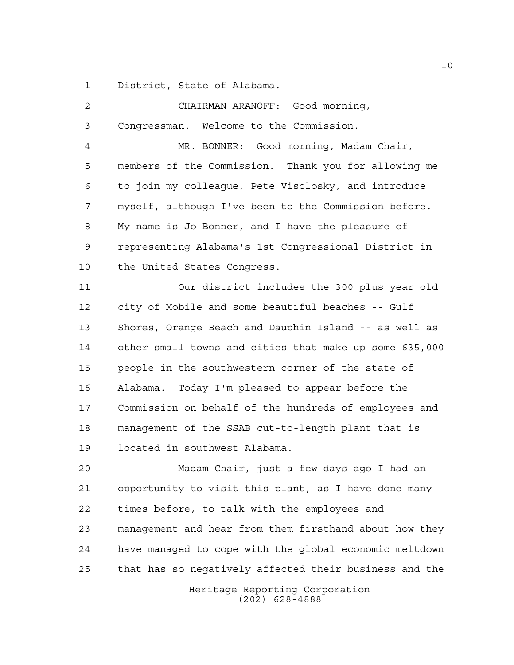District, State of Alabama.

| $\overline{a}$ | CHAIRMAN ARANOFF: Good morning,                        |
|----------------|--------------------------------------------------------|
| 3              | Congressman. Welcome to the Commission.                |
| 4              | MR. BONNER: Good morning, Madam Chair,                 |
| 5              | members of the Commission. Thank you for allowing me   |
| 6              | to join my colleague, Pete Visclosky, and introduce    |
| 7              | myself, although I've been to the Commission before.   |
| 8              | My name is Jo Bonner, and I have the pleasure of       |
| 9              | representing Alabama's 1st Congressional District in   |
| 10             | the United States Congress.                            |
| 11             | Our district includes the 300 plus year old            |
| 12             | city of Mobile and some beautiful beaches -- Gulf      |
| 13             | Shores, Orange Beach and Dauphin Island -- as well as  |
| 14             | other small towns and cities that make up some 635,000 |
| 15             | people in the southwestern corner of the state of      |
| 16             | Today I'm pleased to appear before the<br>Alabama.     |
| 17             | Commission on behalf of the hundreds of employees and  |
| 18             | management of the SSAB cut-to-length plant that is     |
| 19             | located in southwest Alabama.                          |
| 20             | Madam Chair, just a few days ago I had an              |
| 21             | opportunity to visit this plant, as I have done many   |
| 22             | times before, to talk with the employees and           |
| 23             | management and hear from them firsthand about how they |
| 24             | have managed to cope with the global economic meltdown |
| 25             | that has so negatively affected their business and the |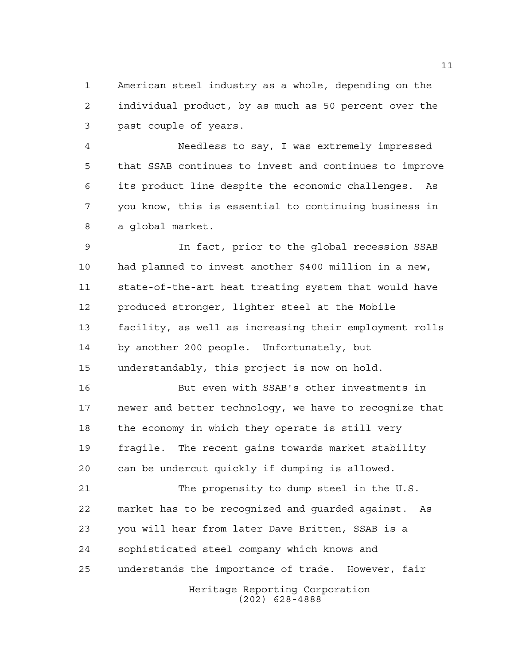American steel industry as a whole, depending on the individual product, by as much as 50 percent over the past couple of years.

 Needless to say, I was extremely impressed that SSAB continues to invest and continues to improve its product line despite the economic challenges. As you know, this is essential to continuing business in a global market.

 In fact, prior to the global recession SSAB had planned to invest another \$400 million in a new, state-of-the-art heat treating system that would have produced stronger, lighter steel at the Mobile facility, as well as increasing their employment rolls by another 200 people. Unfortunately, but understandably, this project is now on hold.

 But even with SSAB's other investments in newer and better technology, we have to recognize that the economy in which they operate is still very fragile. The recent gains towards market stability can be undercut quickly if dumping is allowed.

 The propensity to dump steel in the U.S. market has to be recognized and guarded against. As you will hear from later Dave Britten, SSAB is a sophisticated steel company which knows and understands the importance of trade. However, fair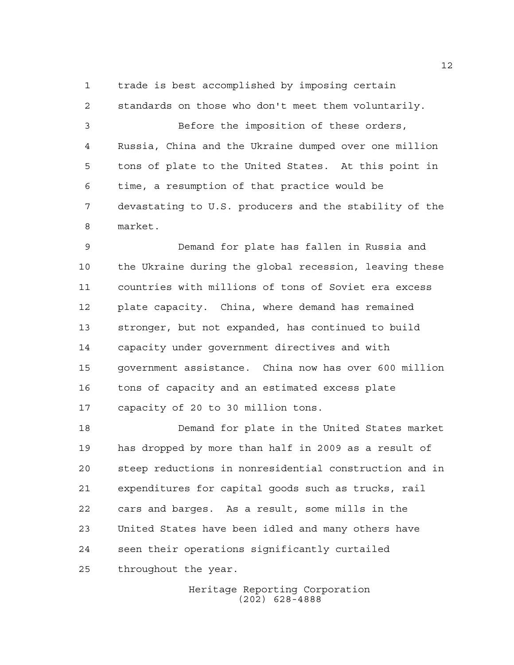trade is best accomplished by imposing certain

 standards on those who don't meet them voluntarily. Before the imposition of these orders, Russia, China and the Ukraine dumped over one million tons of plate to the United States. At this point in time, a resumption of that practice would be devastating to U.S. producers and the stability of the market.

 Demand for plate has fallen in Russia and the Ukraine during the global recession, leaving these countries with millions of tons of Soviet era excess plate capacity. China, where demand has remained stronger, but not expanded, has continued to build capacity under government directives and with government assistance. China now has over 600 million tons of capacity and an estimated excess plate capacity of 20 to 30 million tons.

 Demand for plate in the United States market has dropped by more than half in 2009 as a result of steep reductions in nonresidential construction and in expenditures for capital goods such as trucks, rail cars and barges. As a result, some mills in the United States have been idled and many others have seen their operations significantly curtailed throughout the year.

> Heritage Reporting Corporation (202) 628-4888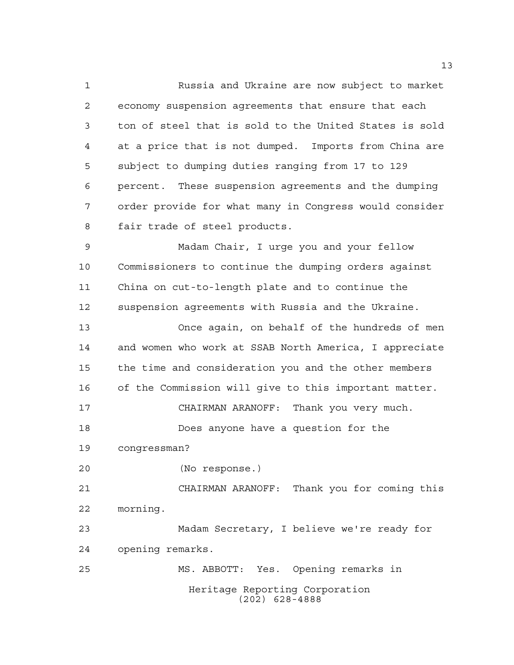Russia and Ukraine are now subject to market economy suspension agreements that ensure that each ton of steel that is sold to the United States is sold at a price that is not dumped. Imports from China are subject to dumping duties ranging from 17 to 129 percent. These suspension agreements and the dumping order provide for what many in Congress would consider fair trade of steel products.

 Madam Chair, I urge you and your fellow Commissioners to continue the dumping orders against China on cut-to-length plate and to continue the suspension agreements with Russia and the Ukraine.

 Once again, on behalf of the hundreds of men and women who work at SSAB North America, I appreciate the time and consideration you and the other members of the Commission will give to this important matter. CHAIRMAN ARANOFF: Thank you very much. Does anyone have a question for the congressman? (No response.) CHAIRMAN ARANOFF: Thank you for coming this morning. Madam Secretary, I believe we're ready for opening remarks. MS. ABBOTT: Yes. Opening remarks in

Heritage Reporting Corporation (202) 628-4888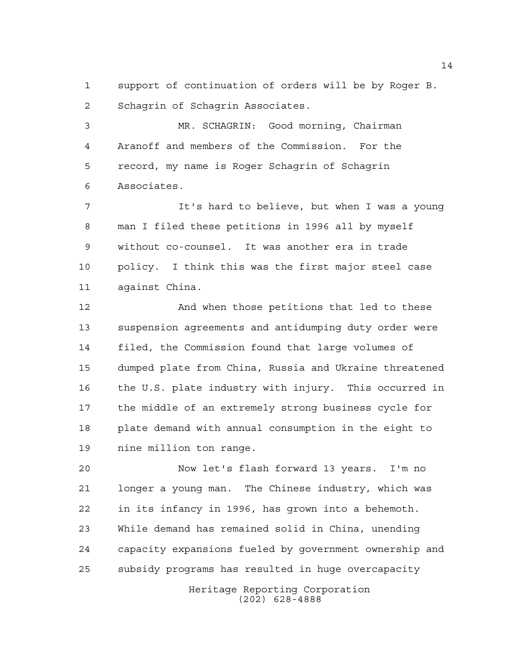support of continuation of orders will be by Roger B. Schagrin of Schagrin Associates.

 MR. SCHAGRIN: Good morning, Chairman Aranoff and members of the Commission. For the record, my name is Roger Schagrin of Schagrin Associates.

7 It's hard to believe, but when I was a young man I filed these petitions in 1996 all by myself without co-counsel. It was another era in trade policy. I think this was the first major steel case against China.

12 And when those petitions that led to these suspension agreements and antidumping duty order were filed, the Commission found that large volumes of dumped plate from China, Russia and Ukraine threatened the U.S. plate industry with injury. This occurred in the middle of an extremely strong business cycle for plate demand with annual consumption in the eight to nine million ton range.

 Now let's flash forward 13 years. I'm no longer a young man. The Chinese industry, which was in its infancy in 1996, has grown into a behemoth. While demand has remained solid in China, unending capacity expansions fueled by government ownership and subsidy programs has resulted in huge overcapacity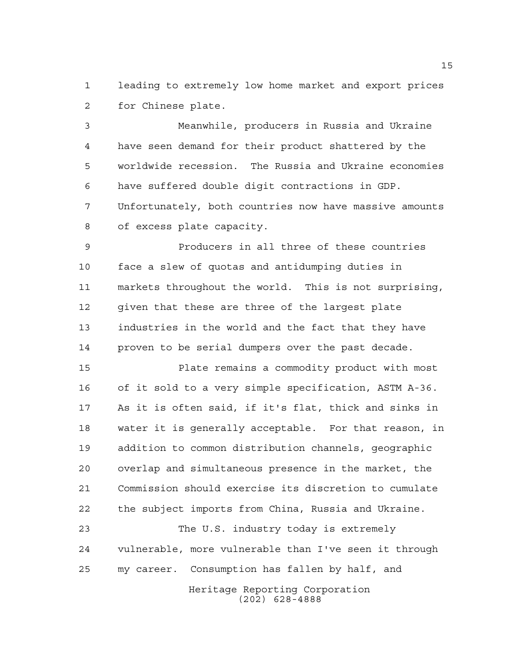leading to extremely low home market and export prices for Chinese plate.

 Meanwhile, producers in Russia and Ukraine have seen demand for their product shattered by the worldwide recession. The Russia and Ukraine economies have suffered double digit contractions in GDP. Unfortunately, both countries now have massive amounts of excess plate capacity.

 Producers in all three of these countries face a slew of quotas and antidumping duties in markets throughout the world. This is not surprising, given that these are three of the largest plate industries in the world and the fact that they have proven to be serial dumpers over the past decade.

 Plate remains a commodity product with most of it sold to a very simple specification, ASTM A-36. As it is often said, if it's flat, thick and sinks in water it is generally acceptable. For that reason, in addition to common distribution channels, geographic overlap and simultaneous presence in the market, the Commission should exercise its discretion to cumulate the subject imports from China, Russia and Ukraine.

 The U.S. industry today is extremely vulnerable, more vulnerable than I've seen it through my career. Consumption has fallen by half, and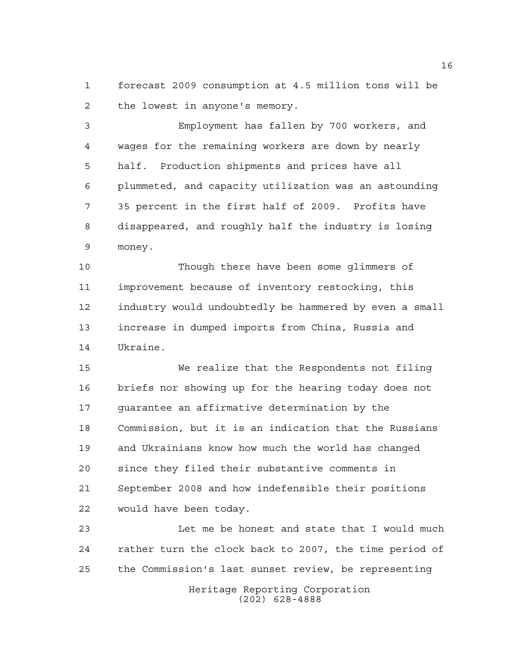forecast 2009 consumption at 4.5 million tons will be the lowest in anyone's memory.

 Employment has fallen by 700 workers, and wages for the remaining workers are down by nearly half. Production shipments and prices have all plummeted, and capacity utilization was an astounding 35 percent in the first half of 2009. Profits have disappeared, and roughly half the industry is losing money.

 Though there have been some glimmers of improvement because of inventory restocking, this industry would undoubtedly be hammered by even a small increase in dumped imports from China, Russia and Ukraine.

 We realize that the Respondents not filing briefs nor showing up for the hearing today does not guarantee an affirmative determination by the Commission, but it is an indication that the Russians and Ukrainians know how much the world has changed since they filed their substantive comments in September 2008 and how indefensible their positions would have been today.

 Let me be honest and state that I would much rather turn the clock back to 2007, the time period of the Commission's last sunset review, be representing

> Heritage Reporting Corporation (202) 628-4888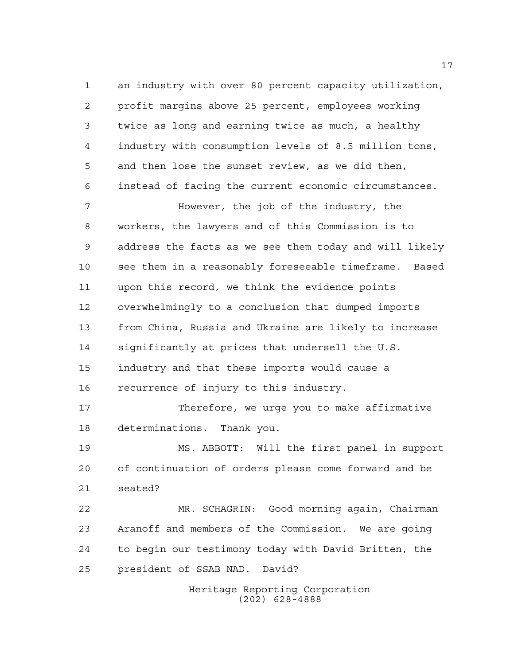Heritage Reporting Corporation (202) 628-4888 an industry with over 80 percent capacity utilization, profit margins above 25 percent, employees working twice as long and earning twice as much, a healthy industry with consumption levels of 8.5 million tons, and then lose the sunset review, as we did then, instead of facing the current economic circumstances. However, the job of the industry, the workers, the lawyers and of this Commission is to address the facts as we see them today and will likely see them in a reasonably foreseeable timeframe. Based upon this record, we think the evidence points overwhelmingly to a conclusion that dumped imports from China, Russia and Ukraine are likely to increase significantly at prices that undersell the U.S. industry and that these imports would cause a recurrence of injury to this industry. Therefore, we urge you to make affirmative determinations. Thank you. MS. ABBOTT: Will the first panel in support of continuation of orders please come forward and be seated? MR. SCHAGRIN: Good morning again, Chairman Aranoff and members of the Commission. We are going to begin our testimony today with David Britten, the president of SSAB NAD. David?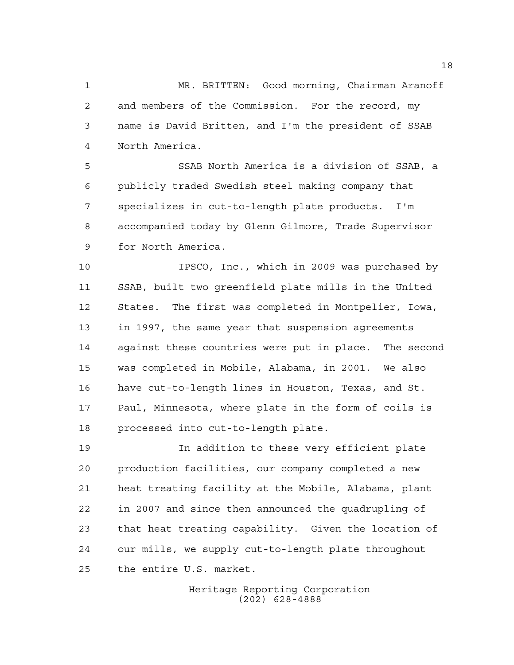MR. BRITTEN: Good morning, Chairman Aranoff and members of the Commission. For the record, my name is David Britten, and I'm the president of SSAB North America.

 SSAB North America is a division of SSAB, a publicly traded Swedish steel making company that specializes in cut-to-length plate products. I'm accompanied today by Glenn Gilmore, Trade Supervisor for North America.

 IPSCO, Inc., which in 2009 was purchased by SSAB, built two greenfield plate mills in the United States. The first was completed in Montpelier, Iowa, in 1997, the same year that suspension agreements against these countries were put in place. The second was completed in Mobile, Alabama, in 2001. We also have cut-to-length lines in Houston, Texas, and St. Paul, Minnesota, where plate in the form of coils is processed into cut-to-length plate.

 In addition to these very efficient plate production facilities, our company completed a new heat treating facility at the Mobile, Alabama, plant in 2007 and since then announced the quadrupling of that heat treating capability. Given the location of our mills, we supply cut-to-length plate throughout the entire U.S. market.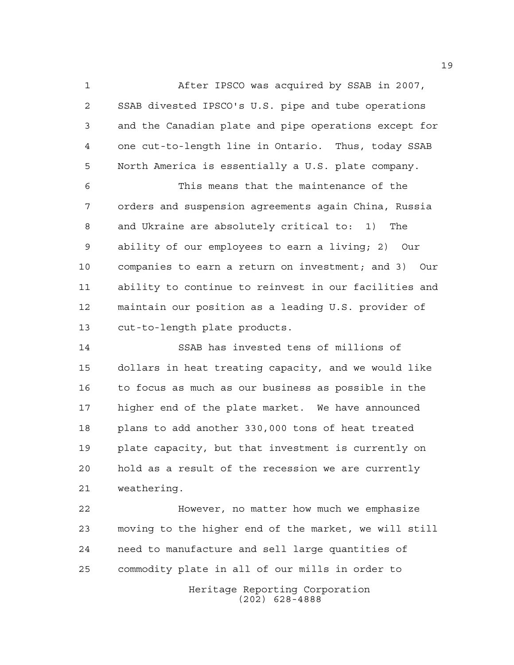After IPSCO was acquired by SSAB in 2007, SSAB divested IPSCO's U.S. pipe and tube operations and the Canadian plate and pipe operations except for one cut-to-length line in Ontario. Thus, today SSAB North America is essentially a U.S. plate company.

 This means that the maintenance of the orders and suspension agreements again China, Russia and Ukraine are absolutely critical to: 1) The ability of our employees to earn a living; 2) Our companies to earn a return on investment; and 3) Our ability to continue to reinvest in our facilities and maintain our position as a leading U.S. provider of cut-to-length plate products.

 SSAB has invested tens of millions of dollars in heat treating capacity, and we would like to focus as much as our business as possible in the higher end of the plate market. We have announced plans to add another 330,000 tons of heat treated plate capacity, but that investment is currently on hold as a result of the recession we are currently weathering.

Heritage Reporting Corporation However, no matter how much we emphasize moving to the higher end of the market, we will still need to manufacture and sell large quantities of commodity plate in all of our mills in order to

(202) 628-4888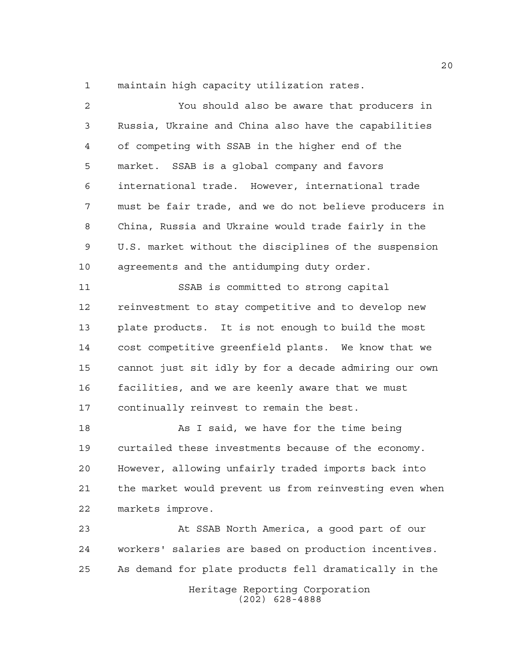maintain high capacity utilization rates.

| 2  | You should also be aware that producers in             |
|----|--------------------------------------------------------|
| 3  | Russia, Ukraine and China also have the capabilities   |
| 4  | of competing with SSAB in the higher end of the        |
| 5  | market. SSAB is a global company and favors            |
| 6  | international trade. However, international trade      |
| 7  | must be fair trade, and we do not believe producers in |
| 8  | China, Russia and Ukraine would trade fairly in the    |
| 9  | U.S. market without the disciplines of the suspension  |
| 10 | agreements and the antidumping duty order.             |
| 11 | SSAB is committed to strong capital                    |
| 12 | reinvestment to stay competitive and to develop new    |
| 13 | plate products. It is not enough to build the most     |
| 14 | cost competitive greenfield plants. We know that we    |
| 15 | cannot just sit idly by for a decade admiring our own  |
| 16 | facilities, and we are keenly aware that we must       |
| 17 | continually reinvest to remain the best.               |
| 18 | As I said, we have for the time being                  |
| 19 | curtailed these investments because of the economy.    |
| 20 | However, allowing unfairly traded imports back into    |
| 21 | the market would prevent us from reinvesting even when |
| 22 | markets improve.                                       |
| 23 | At SSAB North America, a good part of our              |
| 24 | workers' salaries are based on production incentives.  |
| 25 | As demand for plate products fell dramatically in the  |
|    | Heritage Reporting Corporation<br>$(202)$ 628-4888     |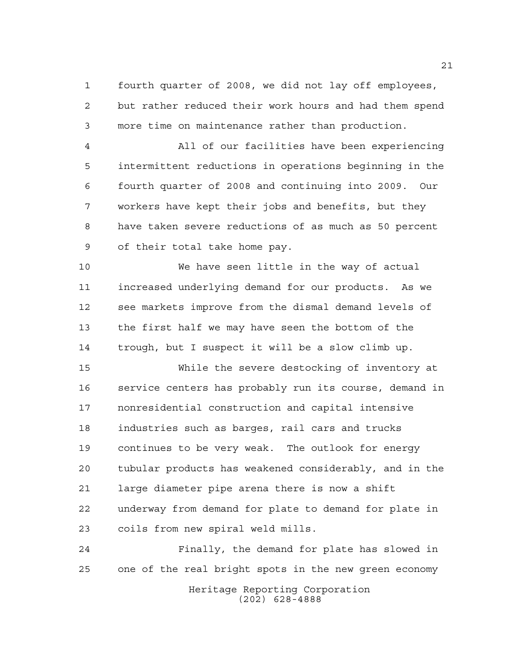fourth quarter of 2008, we did not lay off employees, but rather reduced their work hours and had them spend more time on maintenance rather than production.

 All of our facilities have been experiencing intermittent reductions in operations beginning in the fourth quarter of 2008 and continuing into 2009. Our workers have kept their jobs and benefits, but they have taken severe reductions of as much as 50 percent of their total take home pay.

 We have seen little in the way of actual increased underlying demand for our products. As we see markets improve from the dismal demand levels of the first half we may have seen the bottom of the trough, but I suspect it will be a slow climb up.

 While the severe destocking of inventory at service centers has probably run its course, demand in nonresidential construction and capital intensive industries such as barges, rail cars and trucks continues to be very weak. The outlook for energy tubular products has weakened considerably, and in the large diameter pipe arena there is now a shift underway from demand for plate to demand for plate in coils from new spiral weld mills.

 Finally, the demand for plate has slowed in one of the real bright spots in the new green economy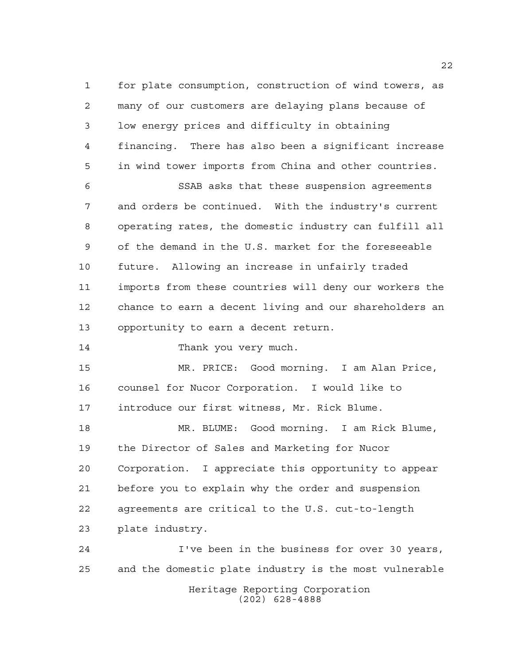for plate consumption, construction of wind towers, as many of our customers are delaying plans because of low energy prices and difficulty in obtaining financing. There has also been a significant increase in wind tower imports from China and other countries.

 SSAB asks that these suspension agreements and orders be continued. With the industry's current operating rates, the domestic industry can fulfill all of the demand in the U.S. market for the foreseeable future. Allowing an increase in unfairly traded imports from these countries will deny our workers the chance to earn a decent living and our shareholders an opportunity to earn a decent return.

14 Thank you very much.

 MR. PRICE: Good morning. I am Alan Price, counsel for Nucor Corporation. I would like to introduce our first witness, Mr. Rick Blume.

 MR. BLUME: Good morning. I am Rick Blume, the Director of Sales and Marketing for Nucor Corporation. I appreciate this opportunity to appear before you to explain why the order and suspension agreements are critical to the U.S. cut-to-length plate industry.

Heritage Reporting Corporation (202) 628-4888 I've been in the business for over 30 years, and the domestic plate industry is the most vulnerable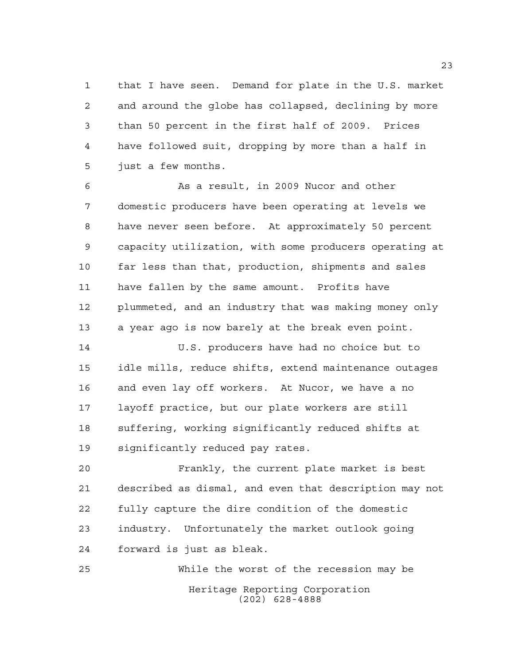that I have seen. Demand for plate in the U.S. market and around the globe has collapsed, declining by more than 50 percent in the first half of 2009. Prices have followed suit, dropping by more than a half in just a few months.

 As a result, in 2009 Nucor and other domestic producers have been operating at levels we have never seen before. At approximately 50 percent capacity utilization, with some producers operating at far less than that, production, shipments and sales have fallen by the same amount. Profits have plummeted, and an industry that was making money only a year ago is now barely at the break even point.

 U.S. producers have had no choice but to idle mills, reduce shifts, extend maintenance outages and even lay off workers. At Nucor, we have a no layoff practice, but our plate workers are still suffering, working significantly reduced shifts at significantly reduced pay rates.

 Frankly, the current plate market is best described as dismal, and even that description may not fully capture the dire condition of the domestic industry. Unfortunately the market outlook going forward is just as bleak.

Heritage Reporting Corporation (202) 628-4888 While the worst of the recession may be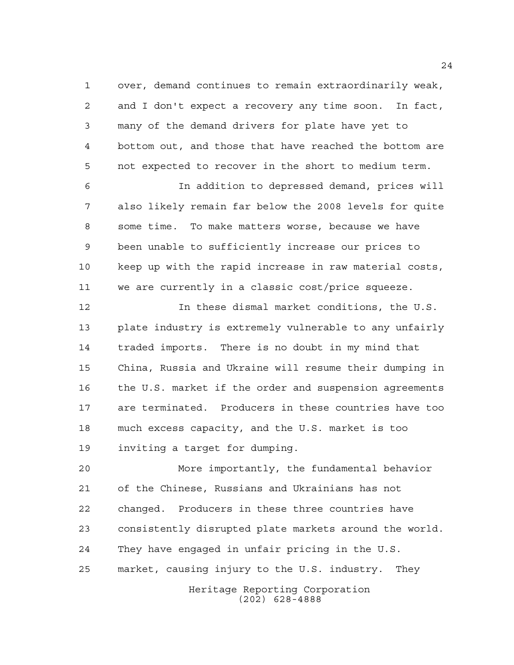over, demand continues to remain extraordinarily weak, and I don't expect a recovery any time soon. In fact, many of the demand drivers for plate have yet to bottom out, and those that have reached the bottom are not expected to recover in the short to medium term.

 In addition to depressed demand, prices will also likely remain far below the 2008 levels for quite some time. To make matters worse, because we have been unable to sufficiently increase our prices to keep up with the rapid increase in raw material costs, we are currently in a classic cost/price squeeze.

 In these dismal market conditions, the U.S. plate industry is extremely vulnerable to any unfairly traded imports. There is no doubt in my mind that China, Russia and Ukraine will resume their dumping in the U.S. market if the order and suspension agreements are terminated. Producers in these countries have too much excess capacity, and the U.S. market is too inviting a target for dumping.

 More importantly, the fundamental behavior of the Chinese, Russians and Ukrainians has not changed. Producers in these three countries have consistently disrupted plate markets around the world. They have engaged in unfair pricing in the U.S. market, causing injury to the U.S. industry. They

> Heritage Reporting Corporation (202) 628-4888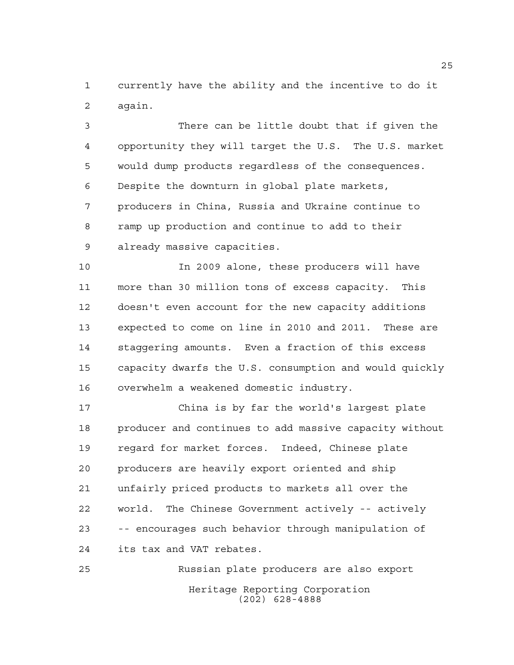currently have the ability and the incentive to do it again.

 There can be little doubt that if given the opportunity they will target the U.S. The U.S. market would dump products regardless of the consequences. Despite the downturn in global plate markets, producers in China, Russia and Ukraine continue to ramp up production and continue to add to their already massive capacities.

 In 2009 alone, these producers will have more than 30 million tons of excess capacity. This doesn't even account for the new capacity additions expected to come on line in 2010 and 2011. These are staggering amounts. Even a fraction of this excess capacity dwarfs the U.S. consumption and would quickly overwhelm a weakened domestic industry.

 China is by far the world's largest plate producer and continues to add massive capacity without regard for market forces. Indeed, Chinese plate producers are heavily export oriented and ship unfairly priced products to markets all over the world. The Chinese Government actively -- actively -- encourages such behavior through manipulation of its tax and VAT rebates.

Heritage Reporting Corporation (202) 628-4888 Russian plate producers are also export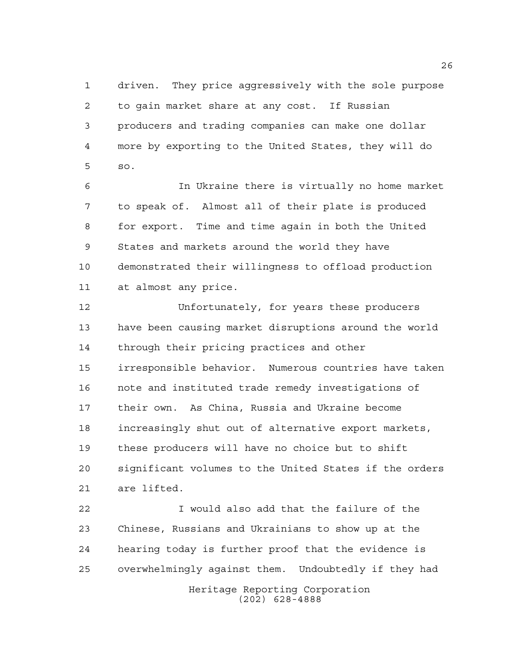driven. They price aggressively with the sole purpose to gain market share at any cost. If Russian producers and trading companies can make one dollar more by exporting to the United States, they will do so.

 In Ukraine there is virtually no home market to speak of. Almost all of their plate is produced for export. Time and time again in both the United States and markets around the world they have demonstrated their willingness to offload production at almost any price.

 Unfortunately, for years these producers have been causing market disruptions around the world through their pricing practices and other irresponsible behavior. Numerous countries have taken note and instituted trade remedy investigations of their own. As China, Russia and Ukraine become increasingly shut out of alternative export markets, these producers will have no choice but to shift significant volumes to the United States if the orders are lifted.

Heritage Reporting Corporation I would also add that the failure of the Chinese, Russians and Ukrainians to show up at the hearing today is further proof that the evidence is overwhelmingly against them. Undoubtedly if they had

(202) 628-4888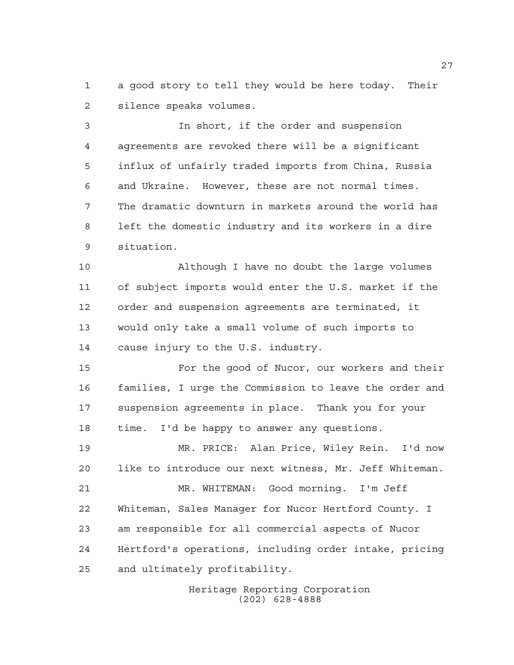a good story to tell they would be here today. Their silence speaks volumes.

 In short, if the order and suspension agreements are revoked there will be a significant influx of unfairly traded imports from China, Russia and Ukraine. However, these are not normal times. The dramatic downturn in markets around the world has left the domestic industry and its workers in a dire situation.

 Although I have no doubt the large volumes of subject imports would enter the U.S. market if the order and suspension agreements are terminated, it would only take a small volume of such imports to cause injury to the U.S. industry.

 For the good of Nucor, our workers and their families, I urge the Commission to leave the order and suspension agreements in place. Thank you for your time. I'd be happy to answer any questions.

 MR. PRICE: Alan Price, Wiley Rein. I'd now like to introduce our next witness, Mr. Jeff Whiteman. MR. WHITEMAN: Good morning. I'm Jeff Whiteman, Sales Manager for Nucor Hertford County. I am responsible for all commercial aspects of Nucor Hertford's operations, including order intake, pricing and ultimately profitability.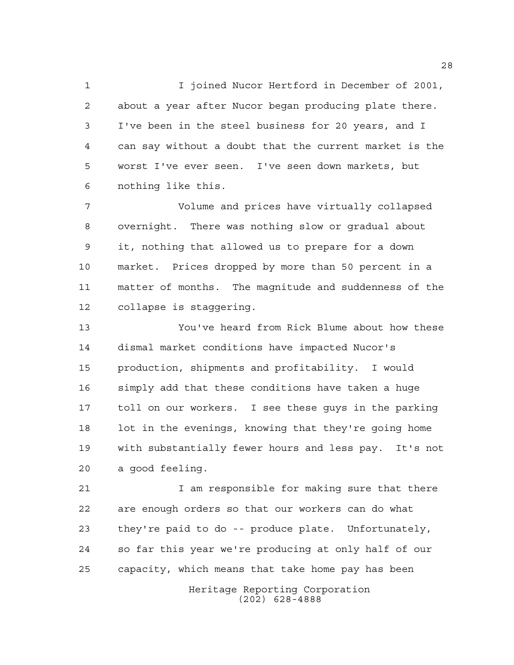I joined Nucor Hertford in December of 2001, about a year after Nucor began producing plate there. I've been in the steel business for 20 years, and I can say without a doubt that the current market is the worst I've ever seen. I've seen down markets, but nothing like this.

 Volume and prices have virtually collapsed overnight. There was nothing slow or gradual about it, nothing that allowed us to prepare for a down market. Prices dropped by more than 50 percent in a matter of months. The magnitude and suddenness of the collapse is staggering.

 You've heard from Rick Blume about how these dismal market conditions have impacted Nucor's production, shipments and profitability. I would simply add that these conditions have taken a huge toll on our workers. I see these guys in the parking 18 lot in the evenings, knowing that they're going home with substantially fewer hours and less pay. It's not a good feeling.

 I am responsible for making sure that there are enough orders so that our workers can do what they're paid to do -- produce plate. Unfortunately, so far this year we're producing at only half of our capacity, which means that take home pay has been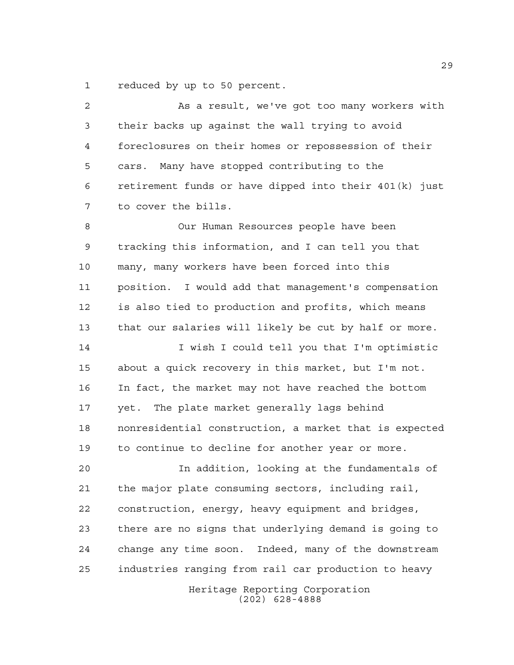reduced by up to 50 percent.

 As a result, we've got too many workers with their backs up against the wall trying to avoid foreclosures on their homes or repossession of their cars. Many have stopped contributing to the retirement funds or have dipped into their 401(k) just to cover the bills. Our Human Resources people have been tracking this information, and I can tell you that many, many workers have been forced into this position. I would add that management's compensation

 is also tied to production and profits, which means that our salaries will likely be cut by half or more.

 I wish I could tell you that I'm optimistic about a quick recovery in this market, but I'm not. In fact, the market may not have reached the bottom yet. The plate market generally lags behind nonresidential construction, a market that is expected to continue to decline for another year or more.

 In addition, looking at the fundamentals of the major plate consuming sectors, including rail, construction, energy, heavy equipment and bridges, there are no signs that underlying demand is going to change any time soon. Indeed, many of the downstream industries ranging from rail car production to heavy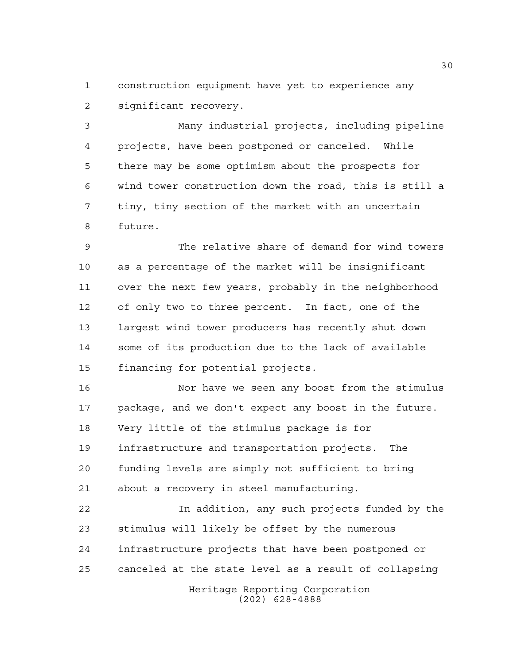construction equipment have yet to experience any significant recovery.

 Many industrial projects, including pipeline projects, have been postponed or canceled. While there may be some optimism about the prospects for wind tower construction down the road, this is still a tiny, tiny section of the market with an uncertain future.

 The relative share of demand for wind towers as a percentage of the market will be insignificant over the next few years, probably in the neighborhood of only two to three percent. In fact, one of the largest wind tower producers has recently shut down some of its production due to the lack of available financing for potential projects.

 Nor have we seen any boost from the stimulus package, and we don't expect any boost in the future. Very little of the stimulus package is for infrastructure and transportation projects. The funding levels are simply not sufficient to bring about a recovery in steel manufacturing.

 In addition, any such projects funded by the stimulus will likely be offset by the numerous infrastructure projects that have been postponed or canceled at the state level as a result of collapsing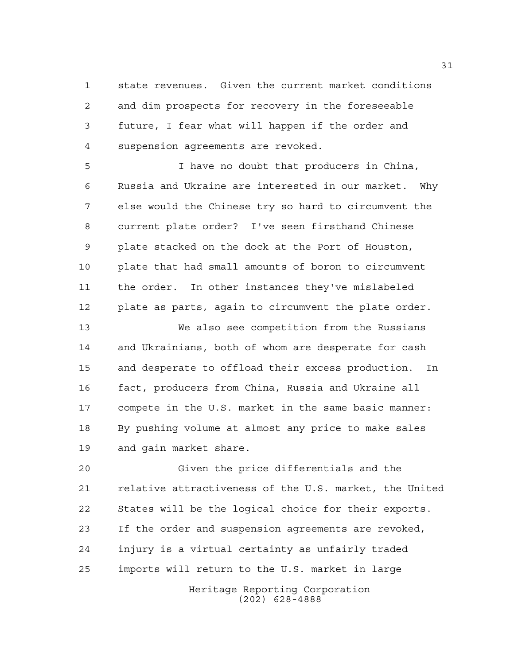state revenues. Given the current market conditions and dim prospects for recovery in the foreseeable future, I fear what will happen if the order and suspension agreements are revoked.

 I have no doubt that producers in China, Russia and Ukraine are interested in our market. Why else would the Chinese try so hard to circumvent the current plate order? I've seen firsthand Chinese plate stacked on the dock at the Port of Houston, plate that had small amounts of boron to circumvent the order. In other instances they've mislabeled plate as parts, again to circumvent the plate order.

 We also see competition from the Russians and Ukrainians, both of whom are desperate for cash and desperate to offload their excess production. In fact, producers from China, Russia and Ukraine all compete in the U.S. market in the same basic manner: By pushing volume at almost any price to make sales and gain market share.

 Given the price differentials and the relative attractiveness of the U.S. market, the United States will be the logical choice for their exports. If the order and suspension agreements are revoked, injury is a virtual certainty as unfairly traded imports will return to the U.S. market in large

> Heritage Reporting Corporation (202) 628-4888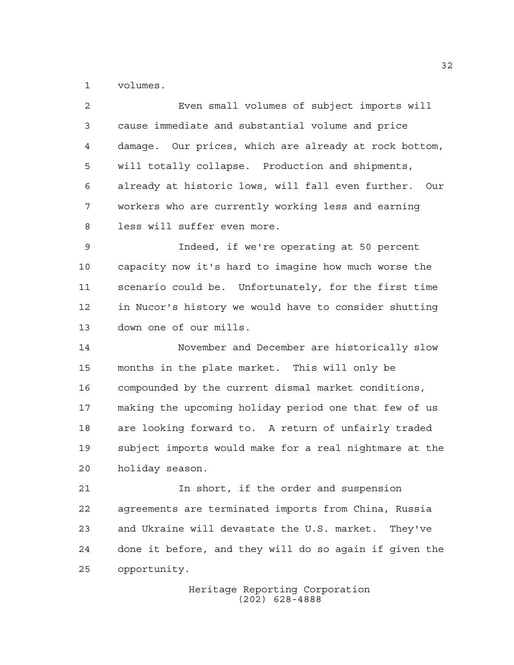volumes.

| 2  | Even small volumes of subject imports will             |
|----|--------------------------------------------------------|
| 3  | cause immediate and substantial volume and price       |
| 4  | damage. Our prices, which are already at rock bottom,  |
| 5  | will totally collapse. Production and shipments,       |
| 6  | already at historic lows, will fall even further. Our  |
| 7  | workers who are currently working less and earning     |
| 8  | less will suffer even more.                            |
| 9  | Indeed, if we're operating at 50 percent               |
| 10 | capacity now it's hard to imagine how much worse the   |
| 11 | scenario could be. Unfortunately, for the first time   |
| 12 | in Nucor's history we would have to consider shutting  |
| 13 | down one of our mills.                                 |
| 14 | November and December are historically slow            |
| 15 | months in the plate market. This will only be          |
| 16 | compounded by the current dismal market conditions,    |
| 17 | making the upcoming holiday period one that few of us  |
| 18 | are looking forward to. A return of unfairly traded    |
| 19 | subject imports would make for a real nightmare at the |
| 20 | holiday season.                                        |
| 21 | In short, if the order and suspension                  |
| 22 | agreements are terminated imports from China, Russia   |
| 23 | and Ukraine will devastate the U.S. market.<br>They've |
| 24 | done it before, and they will do so again if given the |

opportunity.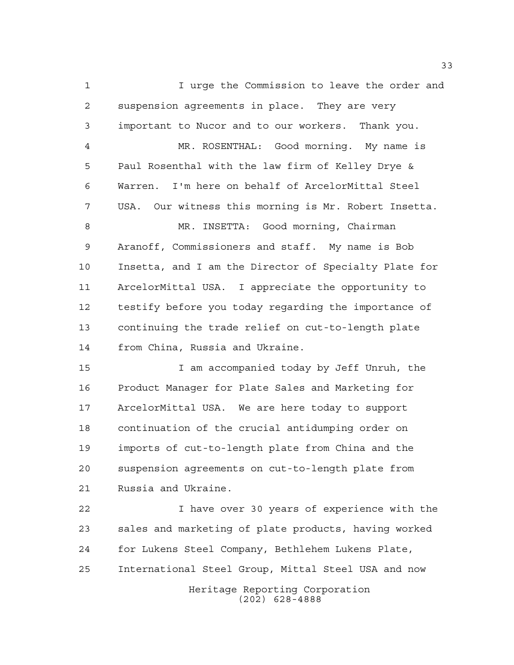I urge the Commission to leave the order and suspension agreements in place. They are very important to Nucor and to our workers. Thank you. MR. ROSENTHAL: Good morning. My name is Paul Rosenthal with the law firm of Kelley Drye & Warren. I'm here on behalf of ArcelorMittal Steel USA. Our witness this morning is Mr. Robert Insetta. 8 MR. INSETTA: Good morning, Chairman Aranoff, Commissioners and staff. My name is Bob Insetta, and I am the Director of Specialty Plate for ArcelorMittal USA. I appreciate the opportunity to testify before you today regarding the importance of continuing the trade relief on cut-to-length plate from China, Russia and Ukraine. I am accompanied today by Jeff Unruh, the Product Manager for Plate Sales and Marketing for ArcelorMittal USA. We are here today to support continuation of the crucial antidumping order on imports of cut-to-length plate from China and the suspension agreements on cut-to-length plate from Russia and Ukraine. I have over 30 years of experience with the sales and marketing of plate products, having worked for Lukens Steel Company, Bethlehem Lukens Plate, International Steel Group, Mittal Steel USA and now

> Heritage Reporting Corporation (202) 628-4888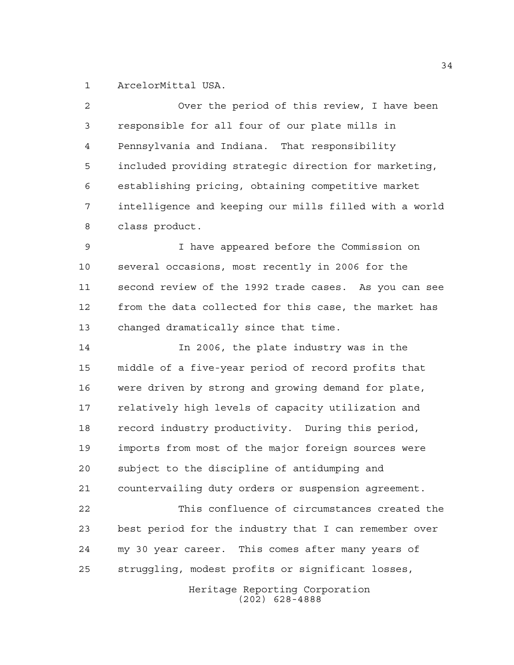ArcelorMittal USA.

 Over the period of this review, I have been responsible for all four of our plate mills in Pennsylvania and Indiana. That responsibility included providing strategic direction for marketing, establishing pricing, obtaining competitive market intelligence and keeping our mills filled with a world class product.

 I have appeared before the Commission on several occasions, most recently in 2006 for the second review of the 1992 trade cases. As you can see from the data collected for this case, the market has changed dramatically since that time.

 In 2006, the plate industry was in the middle of a five-year period of record profits that were driven by strong and growing demand for plate, relatively high levels of capacity utilization and record industry productivity. During this period, imports from most of the major foreign sources were subject to the discipline of antidumping and countervailing duty orders or suspension agreement. This confluence of circumstances created the best period for the industry that I can remember over my 30 year career. This comes after many years of struggling, modest profits or significant losses,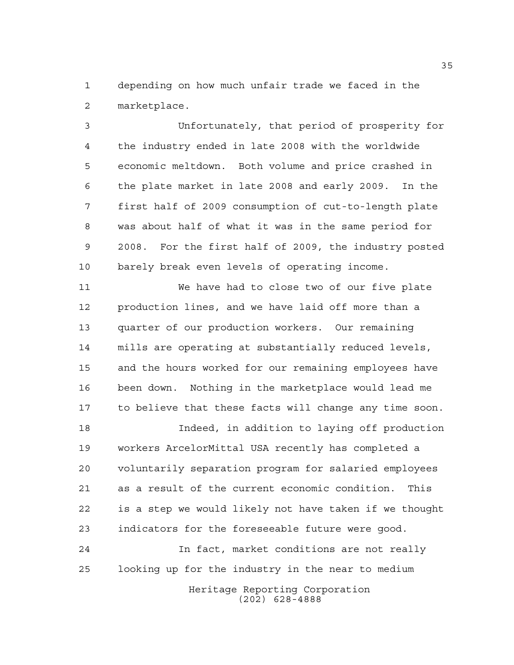depending on how much unfair trade we faced in the marketplace.

 Unfortunately, that period of prosperity for the industry ended in late 2008 with the worldwide economic meltdown. Both volume and price crashed in the plate market in late 2008 and early 2009. In the first half of 2009 consumption of cut-to-length plate was about half of what it was in the same period for 2008. For the first half of 2009, the industry posted barely break even levels of operating income.

 We have had to close two of our five plate production lines, and we have laid off more than a quarter of our production workers. Our remaining mills are operating at substantially reduced levels, and the hours worked for our remaining employees have been down. Nothing in the marketplace would lead me to believe that these facts will change any time soon.

 Indeed, in addition to laying off production workers ArcelorMittal USA recently has completed a voluntarily separation program for salaried employees as a result of the current economic condition. This is a step we would likely not have taken if we thought indicators for the foreseeable future were good.

 In fact, market conditions are not really looking up for the industry in the near to medium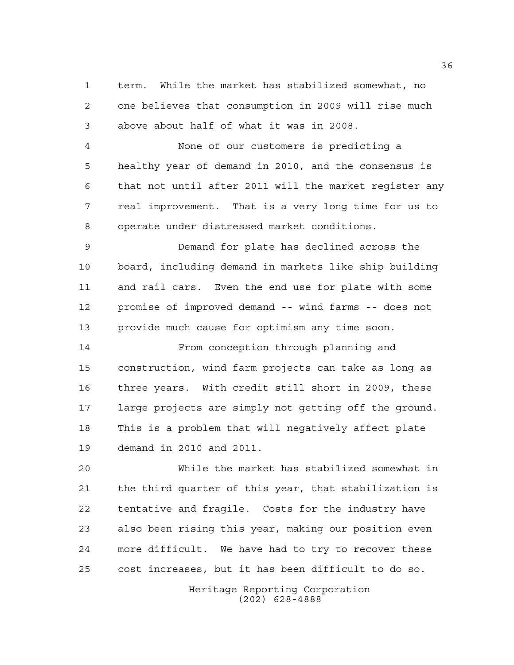term. While the market has stabilized somewhat, no one believes that consumption in 2009 will rise much above about half of what it was in 2008.

 None of our customers is predicting a healthy year of demand in 2010, and the consensus is that not until after 2011 will the market register any real improvement. That is a very long time for us to operate under distressed market conditions.

 Demand for plate has declined across the board, including demand in markets like ship building and rail cars. Even the end use for plate with some promise of improved demand -- wind farms -- does not provide much cause for optimism any time soon.

 From conception through planning and construction, wind farm projects can take as long as three years. With credit still short in 2009, these large projects are simply not getting off the ground. This is a problem that will negatively affect plate demand in 2010 and 2011.

 While the market has stabilized somewhat in the third quarter of this year, that stabilization is tentative and fragile. Costs for the industry have also been rising this year, making our position even more difficult. We have had to try to recover these cost increases, but it has been difficult to do so.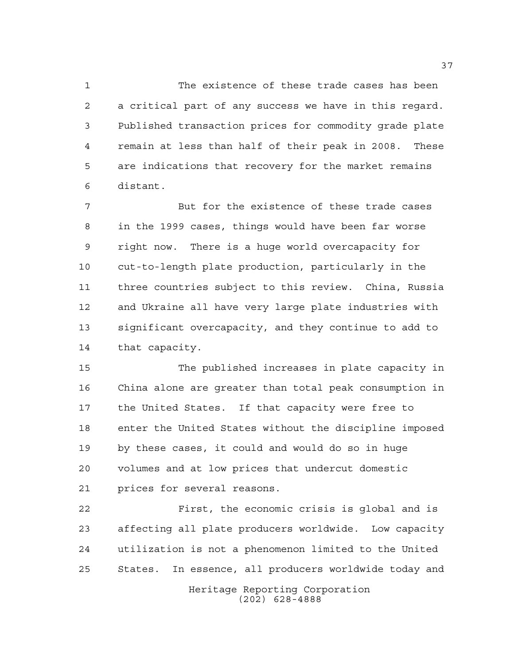The existence of these trade cases has been a critical part of any success we have in this regard. Published transaction prices for commodity grade plate remain at less than half of their peak in 2008. These are indications that recovery for the market remains distant.

 But for the existence of these trade cases in the 1999 cases, things would have been far worse right now. There is a huge world overcapacity for cut-to-length plate production, particularly in the three countries subject to this review. China, Russia and Ukraine all have very large plate industries with significant overcapacity, and they continue to add to that capacity.

 The published increases in plate capacity in China alone are greater than total peak consumption in the United States. If that capacity were free to enter the United States without the discipline imposed by these cases, it could and would do so in huge volumes and at low prices that undercut domestic prices for several reasons.

 First, the economic crisis is global and is affecting all plate producers worldwide. Low capacity utilization is not a phenomenon limited to the United States. In essence, all producers worldwide today and

Heritage Reporting Corporation (202) 628-4888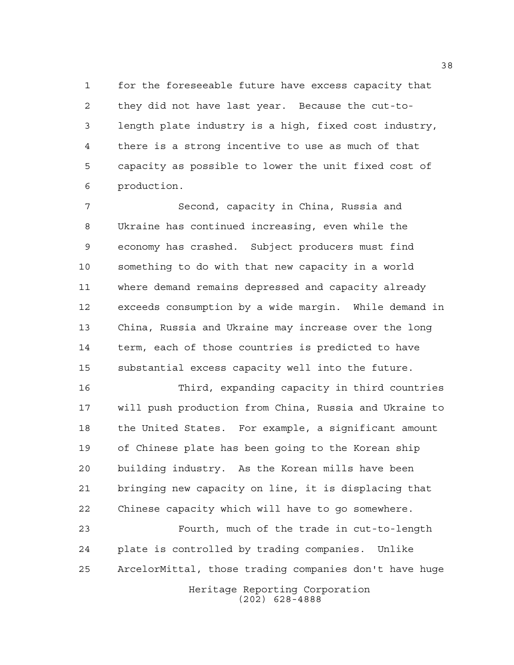for the foreseeable future have excess capacity that they did not have last year. Because the cut-to- length plate industry is a high, fixed cost industry, there is a strong incentive to use as much of that capacity as possible to lower the unit fixed cost of production.

 Second, capacity in China, Russia and Ukraine has continued increasing, even while the economy has crashed. Subject producers must find something to do with that new capacity in a world where demand remains depressed and capacity already exceeds consumption by a wide margin. While demand in China, Russia and Ukraine may increase over the long term, each of those countries is predicted to have substantial excess capacity well into the future.

 Third, expanding capacity in third countries will push production from China, Russia and Ukraine to the United States. For example, a significant amount of Chinese plate has been going to the Korean ship building industry. As the Korean mills have been bringing new capacity on line, it is displacing that Chinese capacity which will have to go somewhere.

 Fourth, much of the trade in cut-to-length plate is controlled by trading companies. Unlike ArcelorMittal, those trading companies don't have huge

Heritage Reporting Corporation (202) 628-4888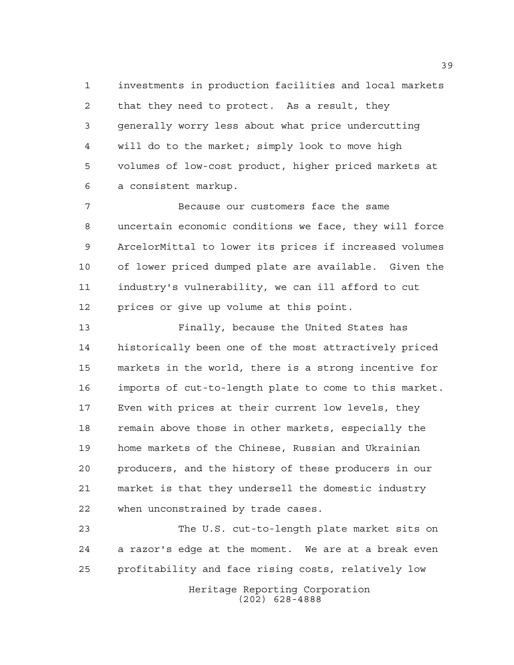investments in production facilities and local markets that they need to protect. As a result, they generally worry less about what price undercutting will do to the market; simply look to move high volumes of low-cost product, higher priced markets at a consistent markup.

 Because our customers face the same uncertain economic conditions we face, they will force ArcelorMittal to lower its prices if increased volumes of lower priced dumped plate are available. Given the industry's vulnerability, we can ill afford to cut prices or give up volume at this point.

 Finally, because the United States has historically been one of the most attractively priced markets in the world, there is a strong incentive for imports of cut-to-length plate to come to this market. Even with prices at their current low levels, they remain above those in other markets, especially the home markets of the Chinese, Russian and Ukrainian producers, and the history of these producers in our market is that they undersell the domestic industry when unconstrained by trade cases.

 The U.S. cut-to-length plate market sits on a razor's edge at the moment. We are at a break even profitability and face rising costs, relatively low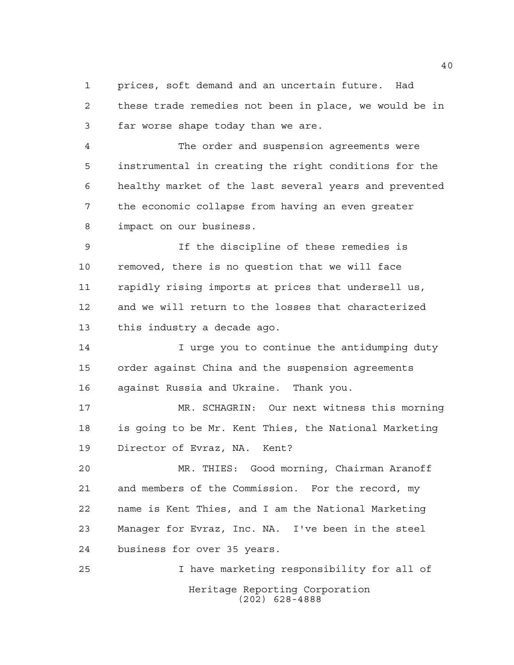prices, soft demand and an uncertain future. Had these trade remedies not been in place, we would be in far worse shape today than we are.

 The order and suspension agreements were instrumental in creating the right conditions for the healthy market of the last several years and prevented the economic collapse from having an even greater impact on our business.

 If the discipline of these remedies is removed, there is no question that we will face rapidly rising imports at prices that undersell us, and we will return to the losses that characterized this industry a decade ago.

 I urge you to continue the antidumping duty order against China and the suspension agreements against Russia and Ukraine. Thank you.

 MR. SCHAGRIN: Our next witness this morning is going to be Mr. Kent Thies, the National Marketing Director of Evraz, NA. Kent?

 MR. THIES: Good morning, Chairman Aranoff and members of the Commission. For the record, my name is Kent Thies, and I am the National Marketing Manager for Evraz, Inc. NA. I've been in the steel business for over 35 years.

Heritage Reporting Corporation (202) 628-4888 I have marketing responsibility for all of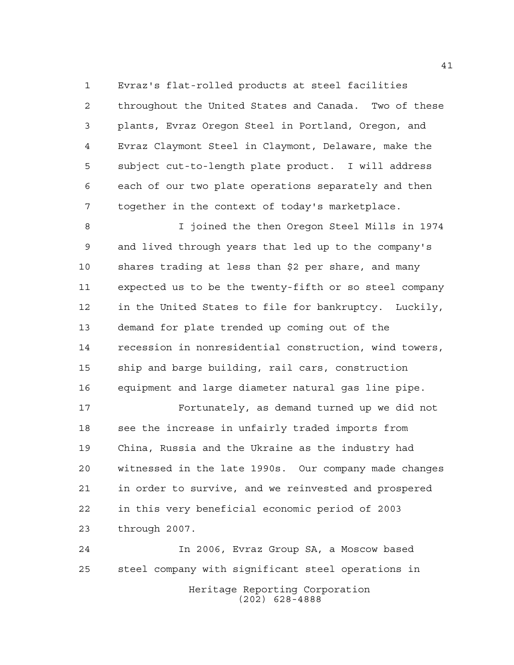Evraz's flat-rolled products at steel facilities throughout the United States and Canada. Two of these plants, Evraz Oregon Steel in Portland, Oregon, and Evraz Claymont Steel in Claymont, Delaware, make the subject cut-to-length plate product. I will address each of our two plate operations separately and then together in the context of today's marketplace.

 I joined the then Oregon Steel Mills in 1974 and lived through years that led up to the company's shares trading at less than \$2 per share, and many expected us to be the twenty-fifth or so steel company in the United States to file for bankruptcy. Luckily, demand for plate trended up coming out of the recession in nonresidential construction, wind towers, ship and barge building, rail cars, construction equipment and large diameter natural gas line pipe.

 Fortunately, as demand turned up we did not 18 see the increase in unfairly traded imports from China, Russia and the Ukraine as the industry had witnessed in the late 1990s. Our company made changes in order to survive, and we reinvested and prospered in this very beneficial economic period of 2003 through 2007.

Heritage Reporting Corporation (202) 628-4888 In 2006, Evraz Group SA, a Moscow based steel company with significant steel operations in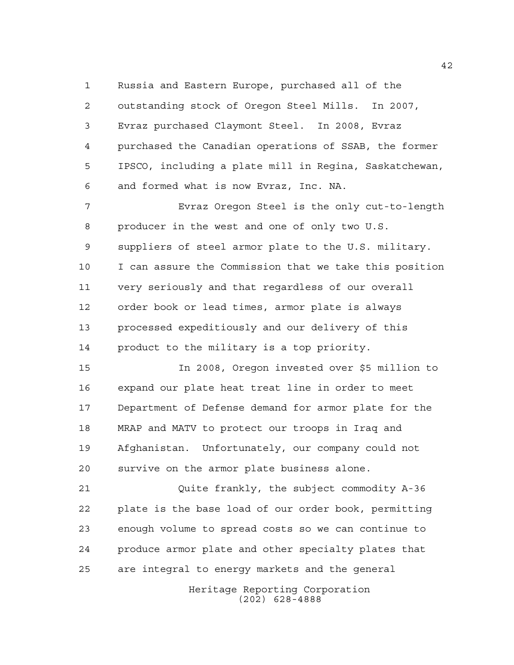Russia and Eastern Europe, purchased all of the outstanding stock of Oregon Steel Mills. In 2007, Evraz purchased Claymont Steel. In 2008, Evraz purchased the Canadian operations of SSAB, the former IPSCO, including a plate mill in Regina, Saskatchewan, and formed what is now Evraz, Inc. NA.

 Evraz Oregon Steel is the only cut-to-length producer in the west and one of only two U.S. suppliers of steel armor plate to the U.S. military. I can assure the Commission that we take this position very seriously and that regardless of our overall order book or lead times, armor plate is always processed expeditiously and our delivery of this product to the military is a top priority.

 In 2008, Oregon invested over \$5 million to expand our plate heat treat line in order to meet Department of Defense demand for armor plate for the MRAP and MATV to protect our troops in Iraq and Afghanistan. Unfortunately, our company could not survive on the armor plate business alone.

 Quite frankly, the subject commodity A-36 plate is the base load of our order book, permitting enough volume to spread costs so we can continue to produce armor plate and other specialty plates that are integral to energy markets and the general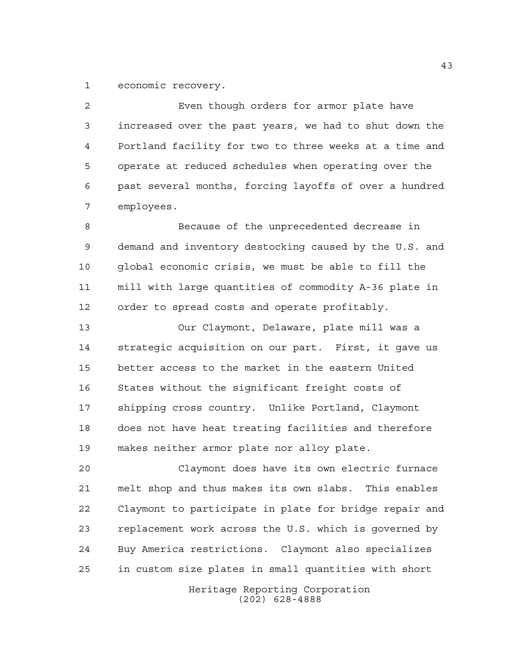economic recovery.

 Even though orders for armor plate have increased over the past years, we had to shut down the Portland facility for two to three weeks at a time and operate at reduced schedules when operating over the past several months, forcing layoffs of over a hundred employees.

 Because of the unprecedented decrease in demand and inventory destocking caused by the U.S. and global economic crisis, we must be able to fill the mill with large quantities of commodity A-36 plate in order to spread costs and operate profitably.

 Our Claymont, Delaware, plate mill was a strategic acquisition on our part. First, it gave us better access to the market in the eastern United States without the significant freight costs of shipping cross country. Unlike Portland, Claymont does not have heat treating facilities and therefore makes neither armor plate nor alloy plate.

 Claymont does have its own electric furnace melt shop and thus makes its own slabs. This enables Claymont to participate in plate for bridge repair and replacement work across the U.S. which is governed by Buy America restrictions. Claymont also specializes in custom size plates in small quantities with short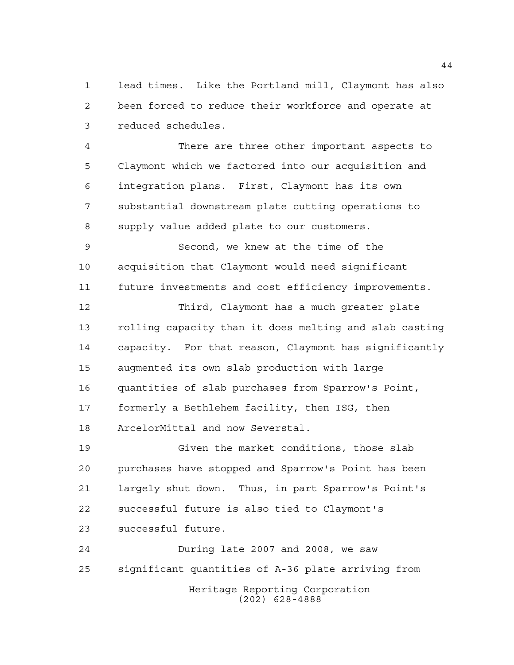lead times. Like the Portland mill, Claymont has also been forced to reduce their workforce and operate at reduced schedules.

 There are three other important aspects to Claymont which we factored into our acquisition and integration plans. First, Claymont has its own substantial downstream plate cutting operations to supply value added plate to our customers.

 Second, we knew at the time of the acquisition that Claymont would need significant future investments and cost efficiency improvements.

 Third, Claymont has a much greater plate rolling capacity than it does melting and slab casting capacity. For that reason, Claymont has significantly augmented its own slab production with large quantities of slab purchases from Sparrow's Point, formerly a Bethlehem facility, then ISG, then ArcelorMittal and now Severstal.

 Given the market conditions, those slab purchases have stopped and Sparrow's Point has been largely shut down. Thus, in part Sparrow's Point's successful future is also tied to Claymont's successful future.

Heritage Reporting Corporation (202) 628-4888 During late 2007 and 2008, we saw significant quantities of A-36 plate arriving from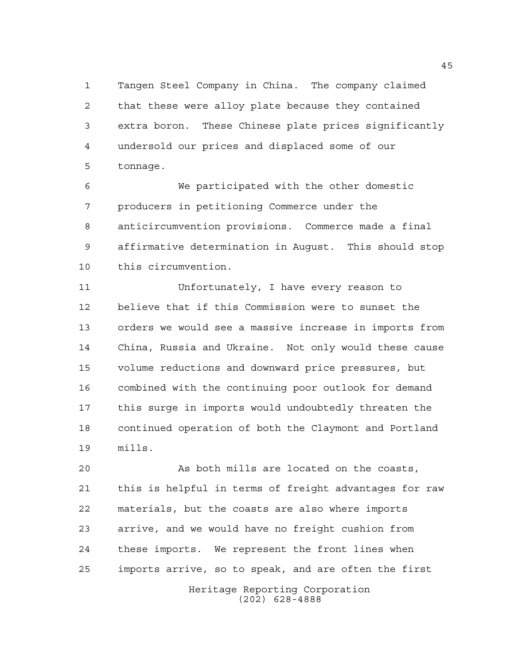Tangen Steel Company in China. The company claimed that these were alloy plate because they contained extra boron. These Chinese plate prices significantly undersold our prices and displaced some of our tonnage.

 We participated with the other domestic producers in petitioning Commerce under the anticircumvention provisions. Commerce made a final affirmative determination in August. This should stop this circumvention.

 Unfortunately, I have every reason to believe that if this Commission were to sunset the orders we would see a massive increase in imports from China, Russia and Ukraine. Not only would these cause volume reductions and downward price pressures, but combined with the continuing poor outlook for demand this surge in imports would undoubtedly threaten the continued operation of both the Claymont and Portland mills.

 As both mills are located on the coasts, this is helpful in terms of freight advantages for raw materials, but the coasts are also where imports arrive, and we would have no freight cushion from these imports. We represent the front lines when imports arrive, so to speak, and are often the first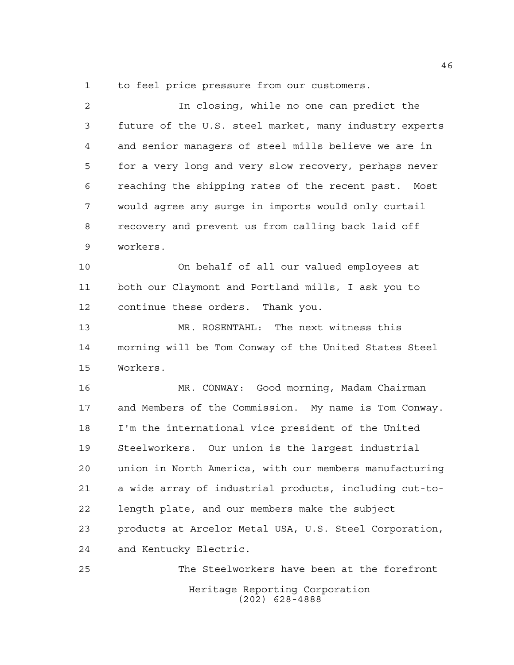to feel price pressure from our customers.

 In closing, while no one can predict the future of the U.S. steel market, many industry experts and senior managers of steel mills believe we are in for a very long and very slow recovery, perhaps never reaching the shipping rates of the recent past. Most would agree any surge in imports would only curtail recovery and prevent us from calling back laid off workers. On behalf of all our valued employees at both our Claymont and Portland mills, I ask you to continue these orders. Thank you. MR. ROSENTAHL: The next witness this

 morning will be Tom Conway of the United States Steel Workers.

 MR. CONWAY: Good morning, Madam Chairman and Members of the Commission. My name is Tom Conway. I'm the international vice president of the United Steelworkers. Our union is the largest industrial union in North America, with our members manufacturing a wide array of industrial products, including cut-to- length plate, and our members make the subject products at Arcelor Metal USA, U.S. Steel Corporation, and Kentucky Electric.

Heritage Reporting Corporation (202) 628-4888 The Steelworkers have been at the forefront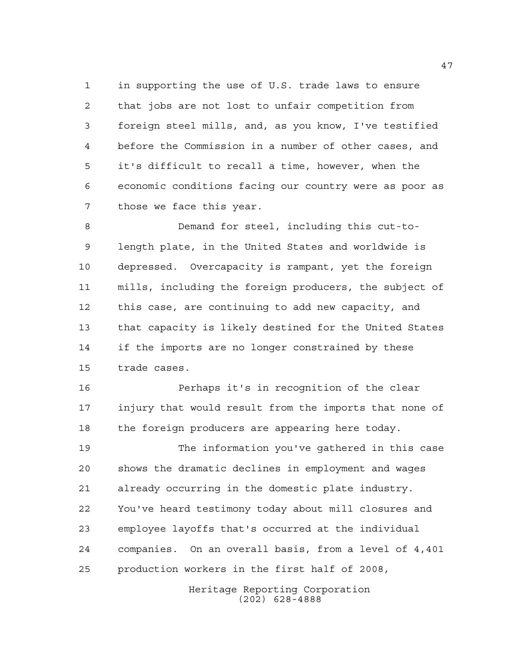in supporting the use of U.S. trade laws to ensure that jobs are not lost to unfair competition from foreign steel mills, and, as you know, I've testified before the Commission in a number of other cases, and it's difficult to recall a time, however, when the economic conditions facing our country were as poor as those we face this year.

 Demand for steel, including this cut-to- length plate, in the United States and worldwide is depressed. Overcapacity is rampant, yet the foreign mills, including the foreign producers, the subject of this case, are continuing to add new capacity, and that capacity is likely destined for the United States if the imports are no longer constrained by these trade cases.

 Perhaps it's in recognition of the clear injury that would result from the imports that none of the foreign producers are appearing here today.

 The information you've gathered in this case shows the dramatic declines in employment and wages already occurring in the domestic plate industry. You've heard testimony today about mill closures and employee layoffs that's occurred at the individual companies. On an overall basis, from a level of 4,401 production workers in the first half of 2008,

> Heritage Reporting Corporation (202) 628-4888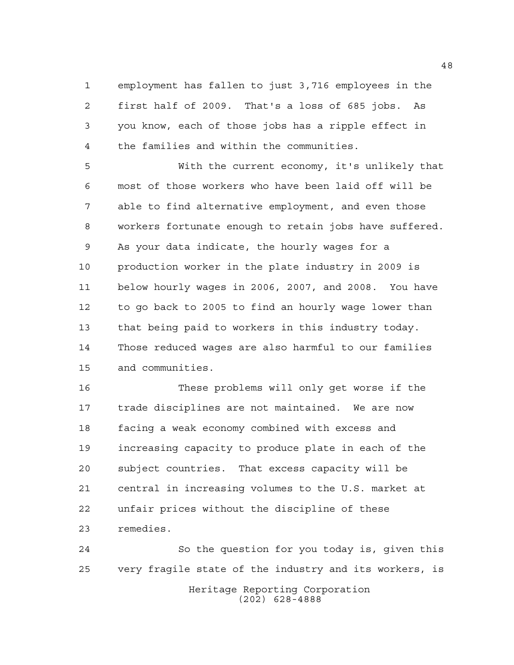employment has fallen to just 3,716 employees in the first half of 2009. That's a loss of 685 jobs. As you know, each of those jobs has a ripple effect in the families and within the communities.

 With the current economy, it's unlikely that most of those workers who have been laid off will be able to find alternative employment, and even those workers fortunate enough to retain jobs have suffered. As your data indicate, the hourly wages for a production worker in the plate industry in 2009 is below hourly wages in 2006, 2007, and 2008. You have to go back to 2005 to find an hourly wage lower than that being paid to workers in this industry today. Those reduced wages are also harmful to our families and communities.

 These problems will only get worse if the trade disciplines are not maintained. We are now facing a weak economy combined with excess and increasing capacity to produce plate in each of the subject countries. That excess capacity will be central in increasing volumes to the U.S. market at unfair prices without the discipline of these remedies.

Heritage Reporting Corporation (202) 628-4888 So the question for you today is, given this very fragile state of the industry and its workers, is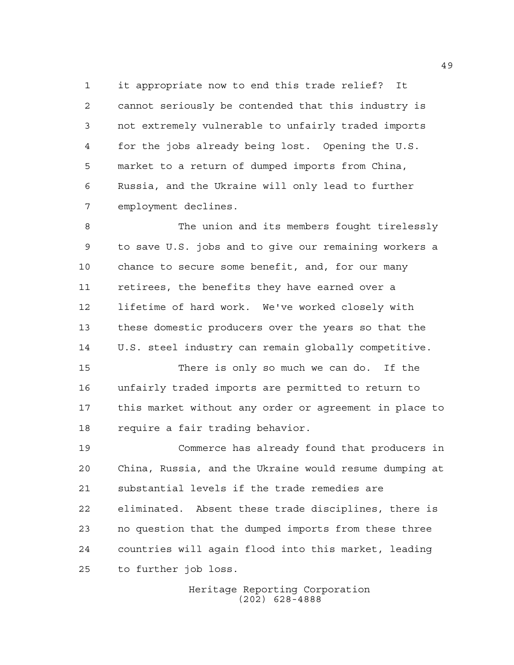it appropriate now to end this trade relief? It cannot seriously be contended that this industry is not extremely vulnerable to unfairly traded imports for the jobs already being lost. Opening the U.S. market to a return of dumped imports from China, Russia, and the Ukraine will only lead to further employment declines.

 The union and its members fought tirelessly to save U.S. jobs and to give our remaining workers a chance to secure some benefit, and, for our many retirees, the benefits they have earned over a lifetime of hard work. We've worked closely with these domestic producers over the years so that the U.S. steel industry can remain globally competitive.

 There is only so much we can do. If the unfairly traded imports are permitted to return to this market without any order or agreement in place to require a fair trading behavior.

 Commerce has already found that producers in China, Russia, and the Ukraine would resume dumping at substantial levels if the trade remedies are eliminated. Absent these trade disciplines, there is no question that the dumped imports from these three countries will again flood into this market, leading to further job loss.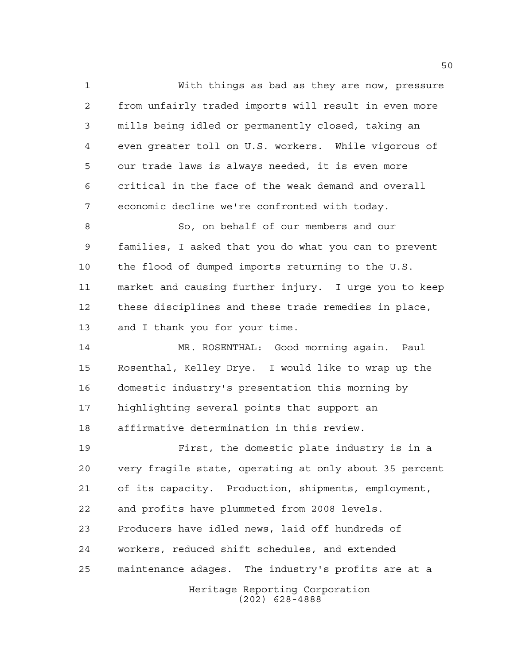With things as bad as they are now, pressure from unfairly traded imports will result in even more mills being idled or permanently closed, taking an even greater toll on U.S. workers. While vigorous of our trade laws is always needed, it is even more critical in the face of the weak demand and overall economic decline we're confronted with today.

 So, on behalf of our members and our families, I asked that you do what you can to prevent the flood of dumped imports returning to the U.S. market and causing further injury. I urge you to keep these disciplines and these trade remedies in place, 13 and I thank you for your time.

 MR. ROSENTHAL: Good morning again. Paul Rosenthal, Kelley Drye. I would like to wrap up the domestic industry's presentation this morning by highlighting several points that support an affirmative determination in this review.

Heritage Reporting Corporation (202) 628-4888 First, the domestic plate industry is in a very fragile state, operating at only about 35 percent of its capacity. Production, shipments, employment, and profits have plummeted from 2008 levels. Producers have idled news, laid off hundreds of workers, reduced shift schedules, and extended maintenance adages. The industry's profits are at a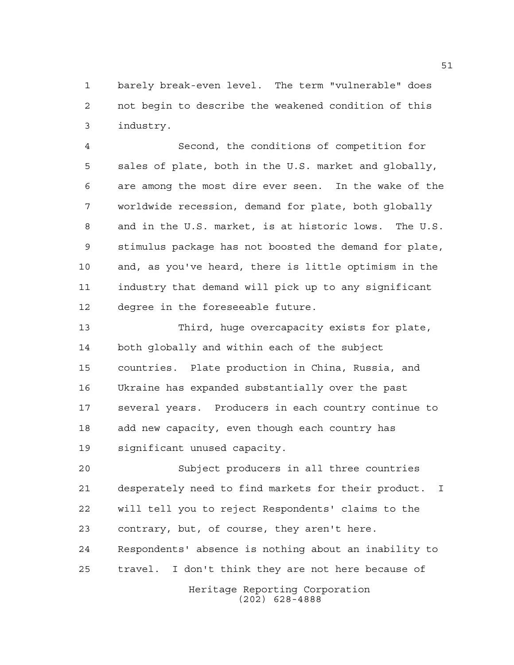barely break-even level. The term "vulnerable" does not begin to describe the weakened condition of this industry.

 Second, the conditions of competition for sales of plate, both in the U.S. market and globally, are among the most dire ever seen. In the wake of the worldwide recession, demand for plate, both globally and in the U.S. market, is at historic lows. The U.S. stimulus package has not boosted the demand for plate, and, as you've heard, there is little optimism in the industry that demand will pick up to any significant degree in the foreseeable future.

 Third, huge overcapacity exists for plate, both globally and within each of the subject countries. Plate production in China, Russia, and Ukraine has expanded substantially over the past several years. Producers in each country continue to add new capacity, even though each country has significant unused capacity.

 Subject producers in all three countries desperately need to find markets for their product. I will tell you to reject Respondents' claims to the contrary, but, of course, they aren't here. Respondents' absence is nothing about an inability to travel. I don't think they are not here because of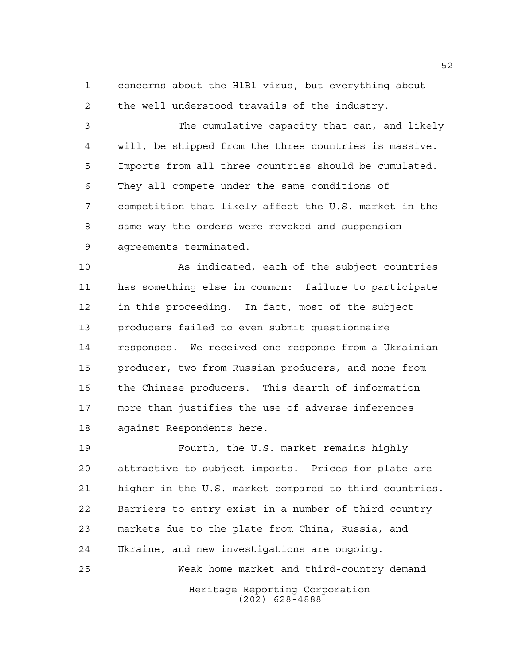concerns about the H1B1 virus, but everything about the well-understood travails of the industry.

 The cumulative capacity that can, and likely will, be shipped from the three countries is massive. Imports from all three countries should be cumulated. They all compete under the same conditions of competition that likely affect the U.S. market in the same way the orders were revoked and suspension agreements terminated.

 As indicated, each of the subject countries has something else in common: failure to participate in this proceeding. In fact, most of the subject producers failed to even submit questionnaire responses. We received one response from a Ukrainian producer, two from Russian producers, and none from the Chinese producers. This dearth of information more than justifies the use of adverse inferences against Respondents here.

Heritage Reporting Corporation Fourth, the U.S. market remains highly attractive to subject imports. Prices for plate are higher in the U.S. market compared to third countries. Barriers to entry exist in a number of third-country markets due to the plate from China, Russia, and Ukraine, and new investigations are ongoing. Weak home market and third-country demand

(202) 628-4888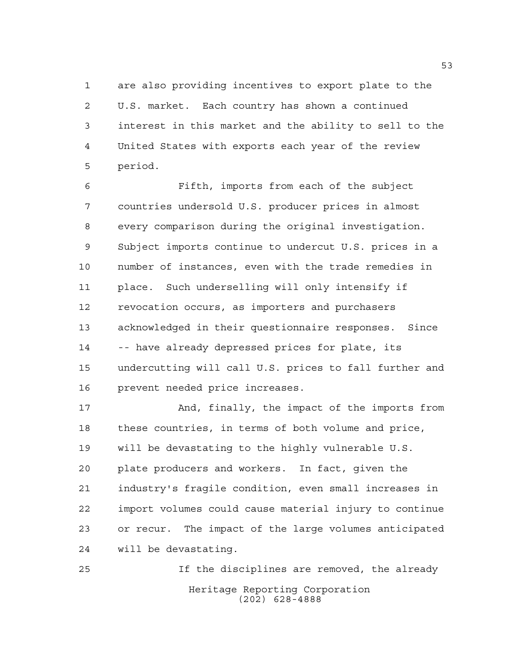are also providing incentives to export plate to the U.S. market. Each country has shown a continued interest in this market and the ability to sell to the United States with exports each year of the review period.

 Fifth, imports from each of the subject countries undersold U.S. producer prices in almost every comparison during the original investigation. Subject imports continue to undercut U.S. prices in a number of instances, even with the trade remedies in place. Such underselling will only intensify if revocation occurs, as importers and purchasers acknowledged in their questionnaire responses. Since 14 -- have already depressed prices for plate, its undercutting will call U.S. prices to fall further and prevent needed price increases.

 And, finally, the impact of the imports from these countries, in terms of both volume and price, will be devastating to the highly vulnerable U.S. plate producers and workers. In fact, given the industry's fragile condition, even small increases in import volumes could cause material injury to continue or recur. The impact of the large volumes anticipated will be devastating.

Heritage Reporting Corporation (202) 628-4888 If the disciplines are removed, the already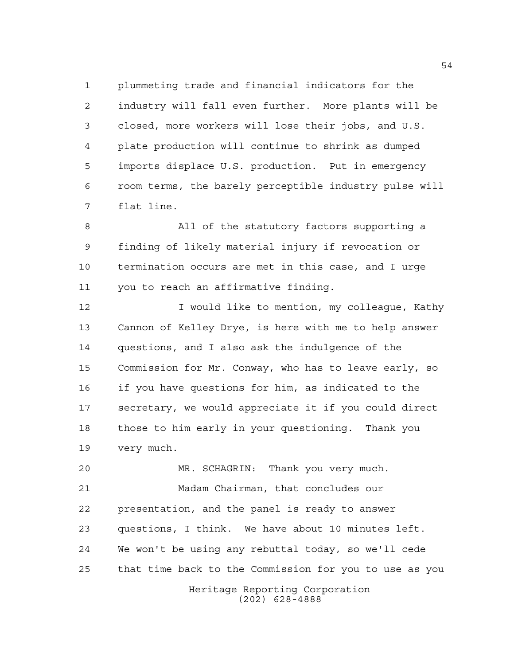plummeting trade and financial indicators for the industry will fall even further. More plants will be closed, more workers will lose their jobs, and U.S. plate production will continue to shrink as dumped imports displace U.S. production. Put in emergency room terms, the barely perceptible industry pulse will flat line.

 All of the statutory factors supporting a finding of likely material injury if revocation or termination occurs are met in this case, and I urge you to reach an affirmative finding.

12 I would like to mention, my colleague, Kathy Cannon of Kelley Drye, is here with me to help answer questions, and I also ask the indulgence of the Commission for Mr. Conway, who has to leave early, so if you have questions for him, as indicated to the secretary, we would appreciate it if you could direct those to him early in your questioning. Thank you very much.

 MR. SCHAGRIN: Thank you very much. Madam Chairman, that concludes our presentation, and the panel is ready to answer questions, I think. We have about 10 minutes left. We won't be using any rebuttal today, so we'll cede that time back to the Commission for you to use as you

Heritage Reporting Corporation (202) 628-4888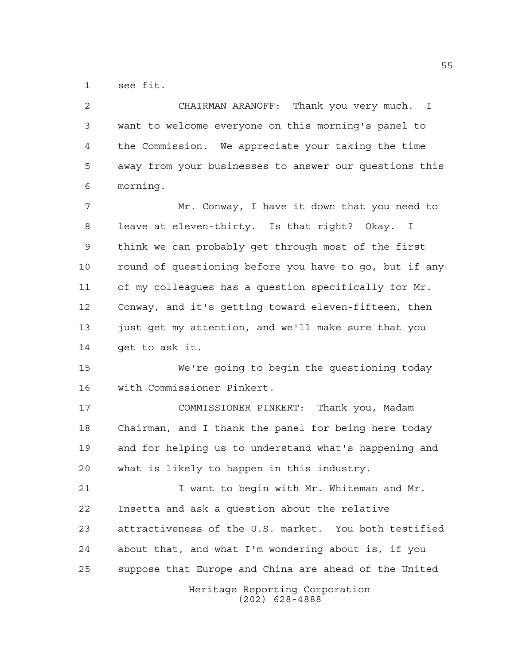see fit.

| $\overline{a}$ | CHAIRMAN ARANOFF: Thank you very much. I               |
|----------------|--------------------------------------------------------|
| 3              | want to welcome everyone on this morning's panel to    |
| 4              | the Commission. We appreciate your taking the time     |
| 5              | away from your businesses to answer our questions this |
| 6              | morning.                                               |
| 7              | Mr. Conway, I have it down that you need to            |
| 8              | leave at eleven-thirty. Is that right? Okay. I         |
| 9              | think we can probably get through most of the first    |
| 10             | round of questioning before you have to go, but if any |
| 11             | of my colleagues has a question specifically for Mr.   |
| 12             | Conway, and it's getting toward eleven-fifteen, then   |
| 13             | just get my attention, and we'll make sure that you    |
| 14             | get to ask it.                                         |
| 15             | We're going to begin the questioning today             |
| 16             | with Commissioner Pinkert.                             |
| 17             | COMMISSIONER PINKERT: Thank you, Madam                 |
| 18             | Chairman, and I thank the panel for being here today   |
| 19             | and for helping us to understand what's happening and  |
| 20             | what is likely to happen in this industry.             |
| 21             | I want to begin with Mr. Whiteman and Mr.              |
| 22             | Insetta and ask a question about the relative          |
| 23             | attractiveness of the U.S. market. You both testified  |
| 24             | about that, and what I'm wondering about is, if you    |
| 25             | suppose that Europe and China are ahead of the United  |
|                | Heritage Reporting Corporation<br>$(202)$ 628-4888     |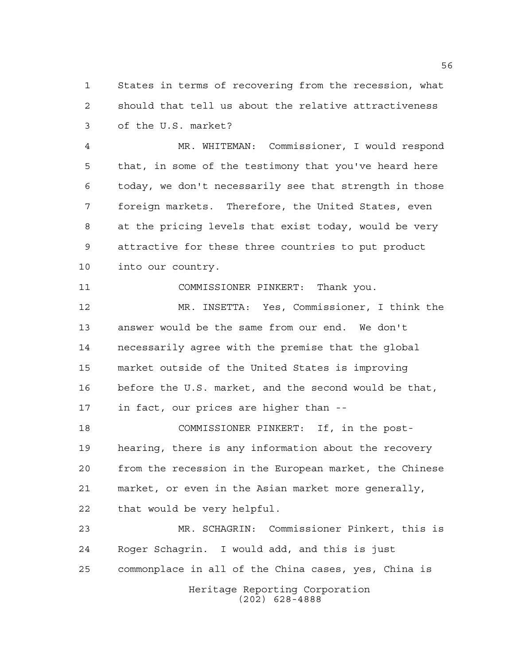States in terms of recovering from the recession, what should that tell us about the relative attractiveness of the U.S. market?

 MR. WHITEMAN: Commissioner, I would respond that, in some of the testimony that you've heard here today, we don't necessarily see that strength in those foreign markets. Therefore, the United States, even at the pricing levels that exist today, would be very attractive for these three countries to put product into our country.

COMMISSIONER PINKERT: Thank you.

 MR. INSETTA: Yes, Commissioner, I think the answer would be the same from our end. We don't necessarily agree with the premise that the global market outside of the United States is improving before the U.S. market, and the second would be that, in fact, our prices are higher than --

 COMMISSIONER PINKERT: If, in the post- hearing, there is any information about the recovery from the recession in the European market, the Chinese market, or even in the Asian market more generally, that would be very helpful.

Heritage Reporting Corporation (202) 628-4888 MR. SCHAGRIN: Commissioner Pinkert, this is Roger Schagrin. I would add, and this is just commonplace in all of the China cases, yes, China is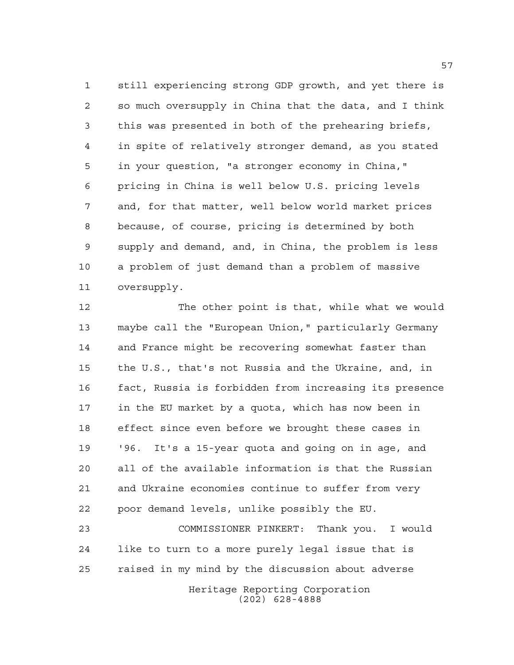still experiencing strong GDP growth, and yet there is so much oversupply in China that the data, and I think this was presented in both of the prehearing briefs, in spite of relatively stronger demand, as you stated in your question, "a stronger economy in China," pricing in China is well below U.S. pricing levels and, for that matter, well below world market prices because, of course, pricing is determined by both supply and demand, and, in China, the problem is less a problem of just demand than a problem of massive oversupply.

 The other point is that, while what we would maybe call the "European Union," particularly Germany and France might be recovering somewhat faster than the U.S., that's not Russia and the Ukraine, and, in fact, Russia is forbidden from increasing its presence in the EU market by a quota, which has now been in effect since even before we brought these cases in '96. It's a 15-year quota and going on in age, and all of the available information is that the Russian and Ukraine economies continue to suffer from very poor demand levels, unlike possibly the EU.

 COMMISSIONER PINKERT: Thank you. I would like to turn to a more purely legal issue that is raised in my mind by the discussion about adverse

Heritage Reporting Corporation (202) 628-4888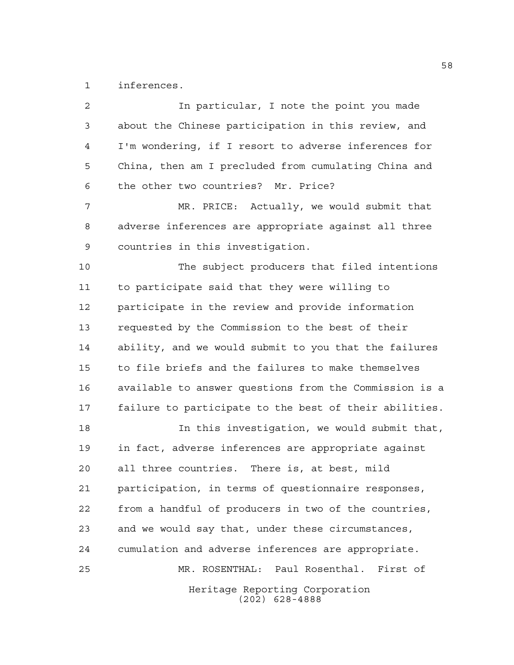inferences.

Heritage Reporting Corporation (202) 628-4888 In particular, I note the point you made about the Chinese participation in this review, and I'm wondering, if I resort to adverse inferences for China, then am I precluded from cumulating China and the other two countries? Mr. Price? MR. PRICE: Actually, we would submit that adverse inferences are appropriate against all three countries in this investigation. The subject producers that filed intentions to participate said that they were willing to participate in the review and provide information requested by the Commission to the best of their ability, and we would submit to you that the failures to file briefs and the failures to make themselves available to answer questions from the Commission is a failure to participate to the best of their abilities. In this investigation, we would submit that, in fact, adverse inferences are appropriate against all three countries. There is, at best, mild participation, in terms of questionnaire responses, from a handful of producers in two of the countries, and we would say that, under these circumstances, cumulation and adverse inferences are appropriate. MR. ROSENTHAL: Paul Rosenthal. First of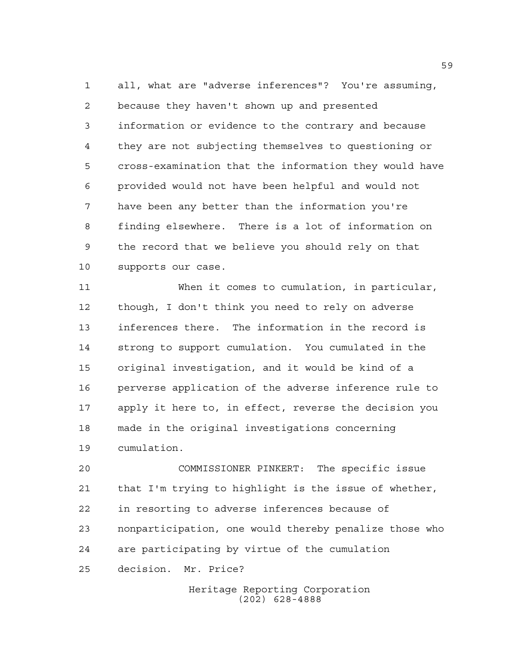all, what are "adverse inferences"? You're assuming, because they haven't shown up and presented information or evidence to the contrary and because they are not subjecting themselves to questioning or cross-examination that the information they would have provided would not have been helpful and would not have been any better than the information you're finding elsewhere. There is a lot of information on the record that we believe you should rely on that supports our case.

 When it comes to cumulation, in particular, though, I don't think you need to rely on adverse inferences there. The information in the record is strong to support cumulation. You cumulated in the original investigation, and it would be kind of a perverse application of the adverse inference rule to apply it here to, in effect, reverse the decision you made in the original investigations concerning cumulation.

 COMMISSIONER PINKERT: The specific issue that I'm trying to highlight is the issue of whether, in resorting to adverse inferences because of nonparticipation, one would thereby penalize those who are participating by virtue of the cumulation decision. Mr. Price?

> Heritage Reporting Corporation (202) 628-4888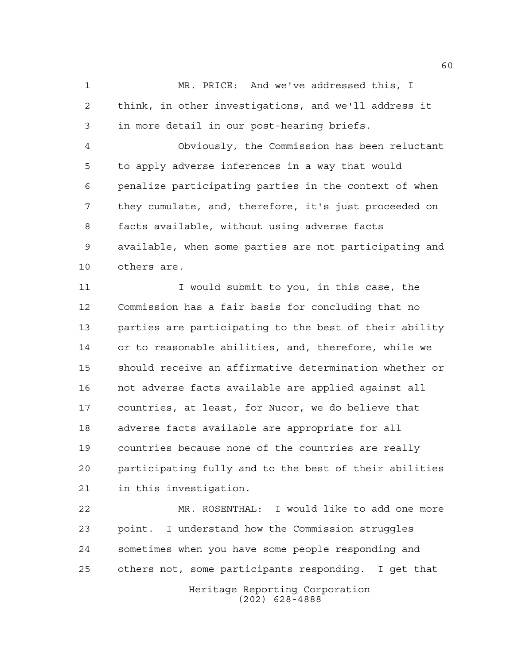MR. PRICE: And we've addressed this, I think, in other investigations, and we'll address it in more detail in our post-hearing briefs.

 Obviously, the Commission has been reluctant to apply adverse inferences in a way that would penalize participating parties in the context of when they cumulate, and, therefore, it's just proceeded on facts available, without using adverse facts available, when some parties are not participating and others are.

11 11 I would submit to you, in this case, the Commission has a fair basis for concluding that no parties are participating to the best of their ability or to reasonable abilities, and, therefore, while we should receive an affirmative determination whether or not adverse facts available are applied against all countries, at least, for Nucor, we do believe that adverse facts available are appropriate for all countries because none of the countries are really participating fully and to the best of their abilities in this investigation.

 MR. ROSENTHAL: I would like to add one more point. I understand how the Commission struggles sometimes when you have some people responding and others not, some participants responding. I get that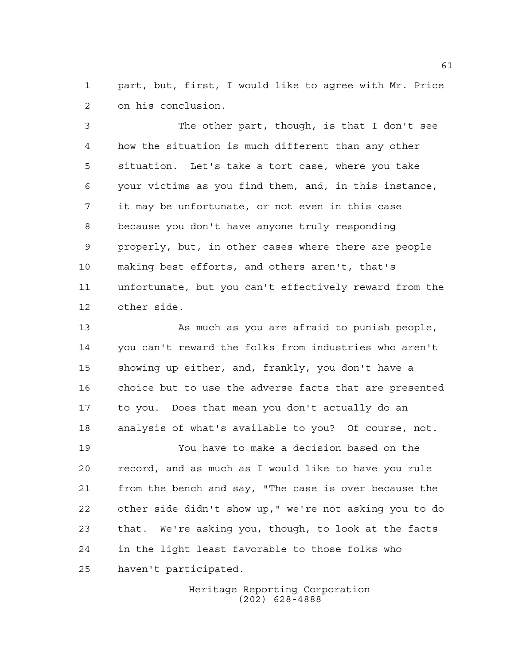part, but, first, I would like to agree with Mr. Price on his conclusion.

 The other part, though, is that I don't see how the situation is much different than any other situation. Let's take a tort case, where you take your victims as you find them, and, in this instance, it may be unfortunate, or not even in this case because you don't have anyone truly responding properly, but, in other cases where there are people making best efforts, and others aren't, that's unfortunate, but you can't effectively reward from the other side.

 As much as you are afraid to punish people, you can't reward the folks from industries who aren't showing up either, and, frankly, you don't have a choice but to use the adverse facts that are presented to you. Does that mean you don't actually do an analysis of what's available to you? Of course, not.

 You have to make a decision based on the record, and as much as I would like to have you rule from the bench and say, "The case is over because the other side didn't show up," we're not asking you to do that. We're asking you, though, to look at the facts in the light least favorable to those folks who haven't participated.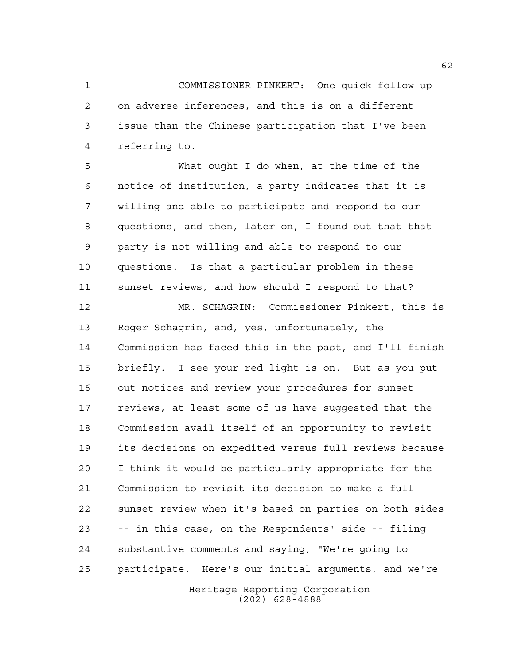COMMISSIONER PINKERT: One quick follow up on adverse inferences, and this is on a different issue than the Chinese participation that I've been referring to.

 What ought I do when, at the time of the notice of institution, a party indicates that it is willing and able to participate and respond to our questions, and then, later on, I found out that that party is not willing and able to respond to our questions. Is that a particular problem in these sunset reviews, and how should I respond to that?

Heritage Reporting Corporation MR. SCHAGRIN: Commissioner Pinkert, this is Roger Schagrin, and, yes, unfortunately, the Commission has faced this in the past, and I'll finish briefly. I see your red light is on. But as you put out notices and review your procedures for sunset reviews, at least some of us have suggested that the Commission avail itself of an opportunity to revisit its decisions on expedited versus full reviews because I think it would be particularly appropriate for the Commission to revisit its decision to make a full sunset review when it's based on parties on both sides -- in this case, on the Respondents' side -- filing substantive comments and saying, "We're going to participate. Here's our initial arguments, and we're

(202) 628-4888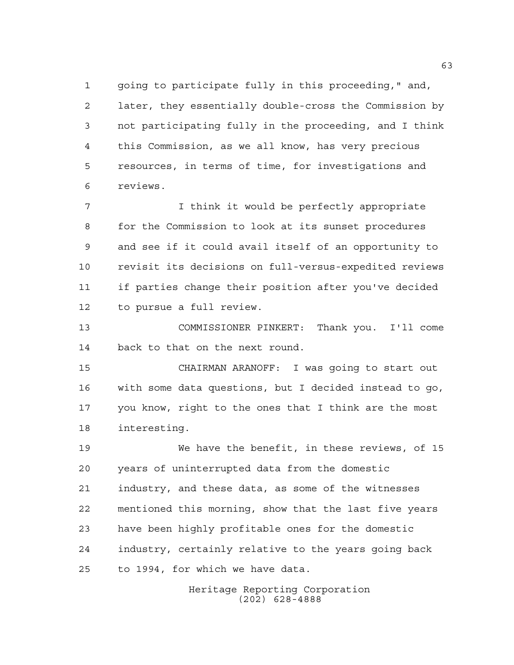going to participate fully in this proceeding," and, later, they essentially double-cross the Commission by not participating fully in the proceeding, and I think this Commission, as we all know, has very precious resources, in terms of time, for investigations and reviews.

 I think it would be perfectly appropriate for the Commission to look at its sunset procedures and see if it could avail itself of an opportunity to revisit its decisions on full-versus-expedited reviews if parties change their position after you've decided to pursue a full review.

 COMMISSIONER PINKERT: Thank you. I'll come back to that on the next round.

 CHAIRMAN ARANOFF: I was going to start out with some data questions, but I decided instead to go, you know, right to the ones that I think are the most interesting.

 We have the benefit, in these reviews, of 15 years of uninterrupted data from the domestic industry, and these data, as some of the witnesses mentioned this morning, show that the last five years have been highly profitable ones for the domestic industry, certainly relative to the years going back to 1994, for which we have data.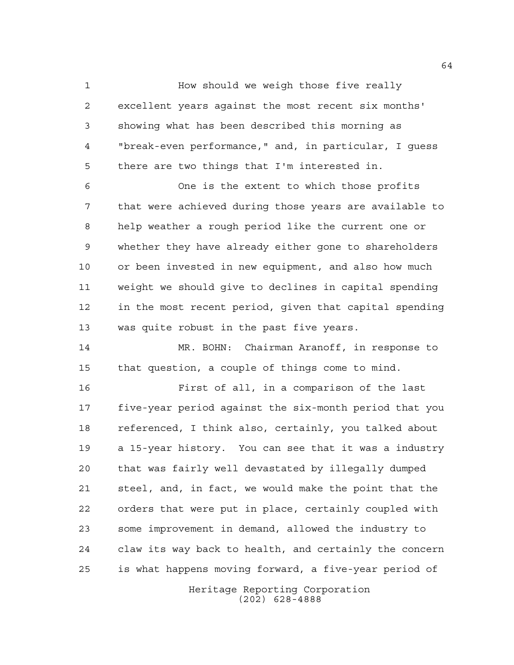How should we weigh those five really excellent years against the most recent six months' showing what has been described this morning as "break-even performance," and, in particular, I guess there are two things that I'm interested in.

 One is the extent to which those profits that were achieved during those years are available to help weather a rough period like the current one or whether they have already either gone to shareholders or been invested in new equipment, and also how much weight we should give to declines in capital spending in the most recent period, given that capital spending was quite robust in the past five years.

 MR. BOHN: Chairman Aranoff, in response to that question, a couple of things come to mind.

 First of all, in a comparison of the last five-year period against the six-month period that you referenced, I think also, certainly, you talked about a 15-year history. You can see that it was a industry that was fairly well devastated by illegally dumped steel, and, in fact, we would make the point that the orders that were put in place, certainly coupled with some improvement in demand, allowed the industry to claw its way back to health, and certainly the concern is what happens moving forward, a five-year period of

> Heritage Reporting Corporation (202) 628-4888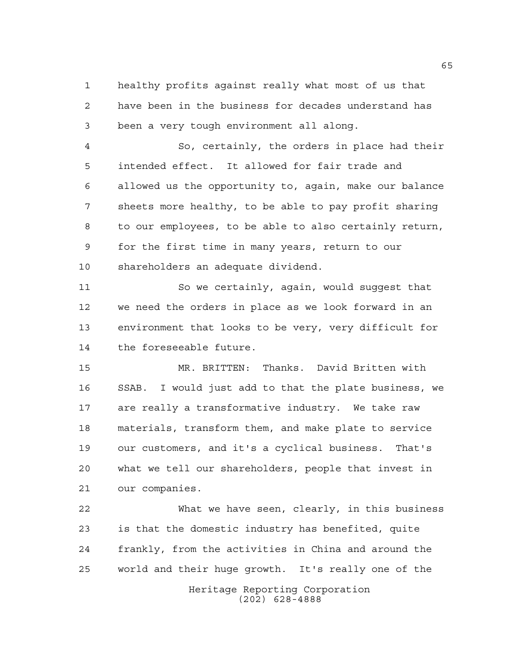healthy profits against really what most of us that have been in the business for decades understand has been a very tough environment all along.

 So, certainly, the orders in place had their intended effect. It allowed for fair trade and allowed us the opportunity to, again, make our balance sheets more healthy, to be able to pay profit sharing to our employees, to be able to also certainly return, for the first time in many years, return to our shareholders an adequate dividend.

 So we certainly, again, would suggest that we need the orders in place as we look forward in an environment that looks to be very, very difficult for the foreseeable future.

 MR. BRITTEN: Thanks. David Britten with SSAB. I would just add to that the plate business, we are really a transformative industry. We take raw materials, transform them, and make plate to service our customers, and it's a cyclical business. That's what we tell our shareholders, people that invest in our companies.

 What we have seen, clearly, in this business is that the domestic industry has benefited, quite frankly, from the activities in China and around the world and their huge growth. It's really one of the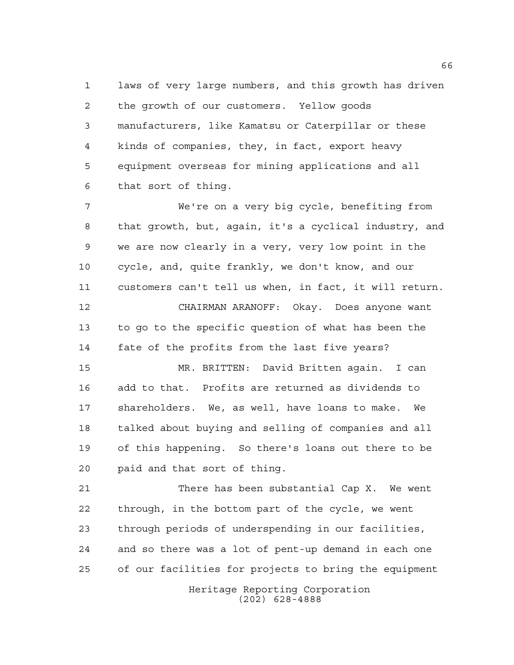laws of very large numbers, and this growth has driven the growth of our customers. Yellow goods manufacturers, like Kamatsu or Caterpillar or these kinds of companies, they, in fact, export heavy equipment overseas for mining applications and all that sort of thing.

 We're on a very big cycle, benefiting from that growth, but, again, it's a cyclical industry, and we are now clearly in a very, very low point in the cycle, and, quite frankly, we don't know, and our customers can't tell us when, in fact, it will return.

 CHAIRMAN ARANOFF: Okay. Does anyone want to go to the specific question of what has been the fate of the profits from the last five years?

 MR. BRITTEN: David Britten again. I can add to that. Profits are returned as dividends to shareholders. We, as well, have loans to make. We talked about buying and selling of companies and all of this happening. So there's loans out there to be paid and that sort of thing.

 There has been substantial Cap X. We went through, in the bottom part of the cycle, we went through periods of underspending in our facilities, and so there was a lot of pent-up demand in each one of our facilities for projects to bring the equipment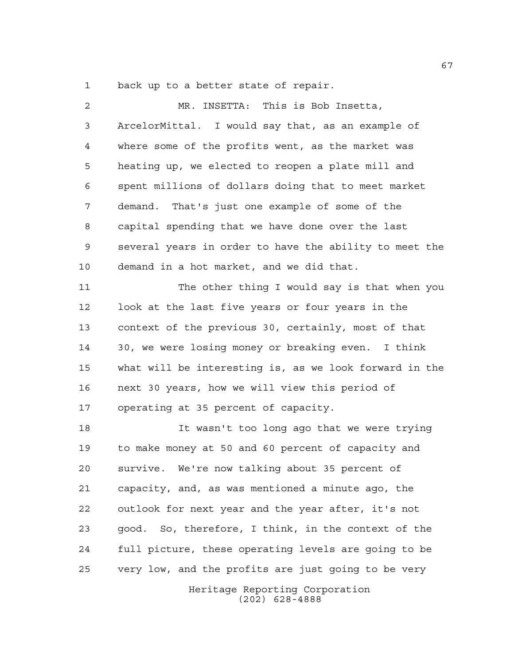back up to a better state of repair.

| $\overline{a}$ | MR. INSETTA: This is Bob Insetta,                      |
|----------------|--------------------------------------------------------|
| 3              | ArcelorMittal. I would say that, as an example of      |
| 4              | where some of the profits went, as the market was      |
| 5              | heating up, we elected to reopen a plate mill and      |
| 6              | spent millions of dollars doing that to meet market    |
| 7              | demand. That's just one example of some of the         |
| 8              | capital spending that we have done over the last       |
| 9              | several years in order to have the ability to meet the |
| 10             | demand in a hot market, and we did that.               |
| 11             | The other thing I would say is that when you           |
| 12             | look at the last five years or four years in the       |
| 13             | context of the previous 30, certainly, most of that    |
| 14             | 30, we were losing money or breaking even. I think     |
| 15             | what will be interesting is, as we look forward in the |
| 16             | next 30 years, how we will view this period of         |
| 17             | operating at 35 percent of capacity.                   |
| 18             | It wasn't too long ago that we were trying             |
| 19             | to make money at 50 and 60 percent of capacity and     |
| 20             | survive. We're now talking about 35 percent of         |
| 21             | capacity, and, as was mentioned a minute ago, the      |
| 22             | outlook for next year and the year after, it's not     |
| 23             | good. So, therefore, I think, in the context of the    |
| 24             | full picture, these operating levels are going to be   |
| 25             | very low, and the profits are just going to be very    |
|                | Heritage Reporting Corporation                         |

(202) 628-4888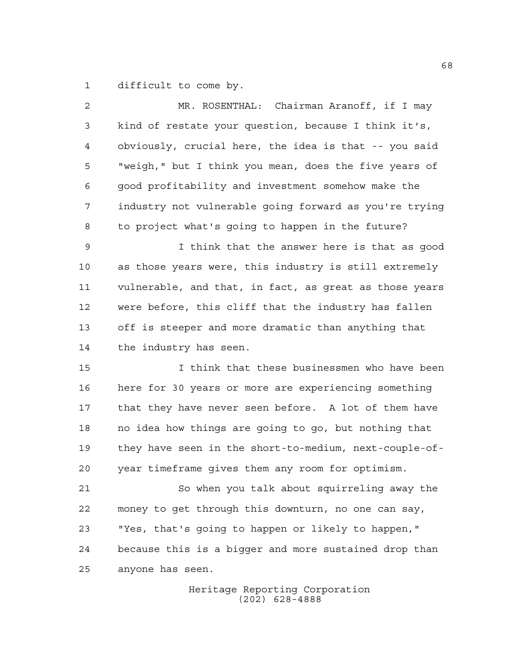difficult to come by.

| $\overline{a}$ | MR. ROSENTHAL: Chairman Aranoff, if I may              |
|----------------|--------------------------------------------------------|
| 3              | kind of restate your question, because I think it's,   |
| 4              | obviously, crucial here, the idea is that -- you said  |
| 5              | "weigh," but I think you mean, does the five years of  |
| 6              | good profitability and investment somehow make the     |
| 7              | industry not vulnerable going forward as you're trying |
| 8              | to project what's going to happen in the future?       |
| $\mathsf 9$    | I think that the answer here is that as good           |
| 10             | as those years were, this industry is still extremely  |
| 11             | vulnerable, and that, in fact, as great as those years |
| 12             | were before, this cliff that the industry has fallen   |
| 13             | off is steeper and more dramatic than anything that    |
| 14             | the industry has seen.                                 |
| 15             | I think that these businessmen who have been           |
| 16             | here for 30 years or more are experiencing something   |
| 17             | that they have never seen before. A lot of them have   |
| 18             | no idea how things are going to go, but nothing that   |
| 19             | they have seen in the short-to-medium, next-couple-of- |
| 20             | year timeframe gives them any room for optimism.       |
| 21             | So when you talk about squirreling away the            |
| 22             | money to get through this downturn, no one can say,    |
| 23             | "Yes, that's going to happen or likely to happen,"     |
| 24             | because this is a bigger and more sustained drop than  |
| 25             | anyone has seen.                                       |
|                |                                                        |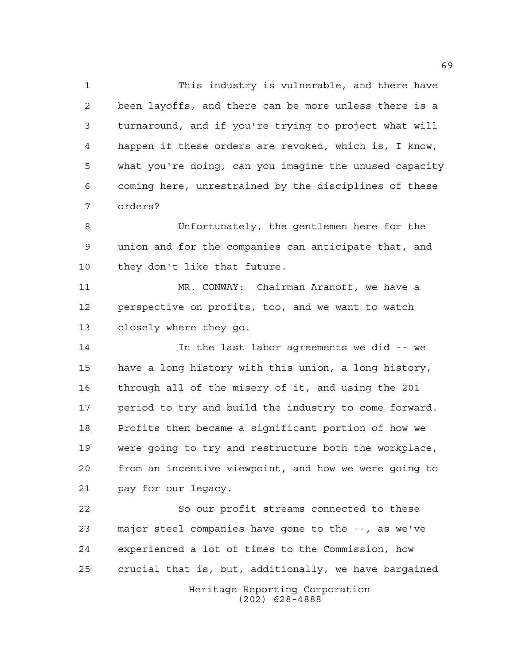This industry is vulnerable, and there have been layoffs, and there can be more unless there is a turnaround, and if you're trying to project what will happen if these orders are revoked, which is, I know, what you're doing, can you imagine the unused capacity coming here, unrestrained by the disciplines of these orders?

 Unfortunately, the gentlemen here for the union and for the companies can anticipate that, and they don't like that future.

 MR. CONWAY: Chairman Aranoff, we have a perspective on profits, too, and we want to watch closely where they go.

 In the last labor agreements we did -- we have a long history with this union, a long history, through all of the misery of it, and using the 201 17 period to try and build the industry to come forward. Profits then became a significant portion of how we were going to try and restructure both the workplace, from an incentive viewpoint, and how we were going to pay for our legacy.

 So our profit streams connected to these major steel companies have gone to the --, as we've experienced a lot of times to the Commission, how crucial that is, but, additionally, we have bargained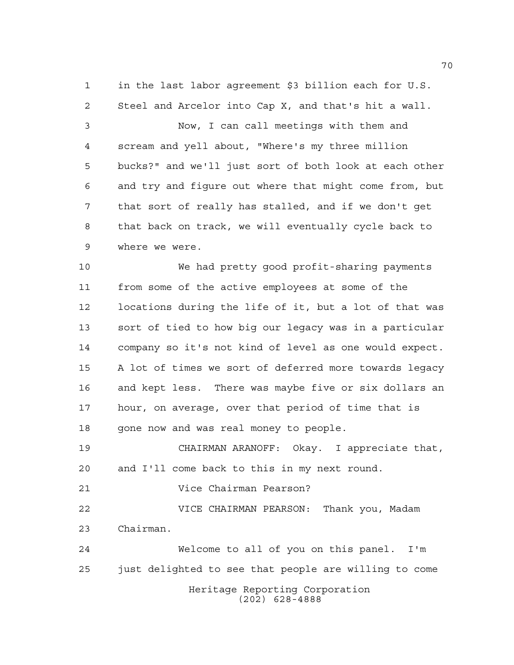in the last labor agreement \$3 billion each for U.S. Steel and Arcelor into Cap X, and that's hit a wall.

 Now, I can call meetings with them and scream and yell about, "Where's my three million bucks?" and we'll just sort of both look at each other and try and figure out where that might come from, but that sort of really has stalled, and if we don't get that back on track, we will eventually cycle back to where we were.

 We had pretty good profit-sharing payments from some of the active employees at some of the locations during the life of it, but a lot of that was sort of tied to how big our legacy was in a particular company so it's not kind of level as one would expect. A lot of times we sort of deferred more towards legacy and kept less. There was maybe five or six dollars an hour, on average, over that period of time that is 18 gone now and was real money to people.

 CHAIRMAN ARANOFF: Okay. I appreciate that, and I'll come back to this in my next round.

Vice Chairman Pearson?

 VICE CHAIRMAN PEARSON: Thank you, Madam Chairman.

Heritage Reporting Corporation (202) 628-4888 Welcome to all of you on this panel. I'm just delighted to see that people are willing to come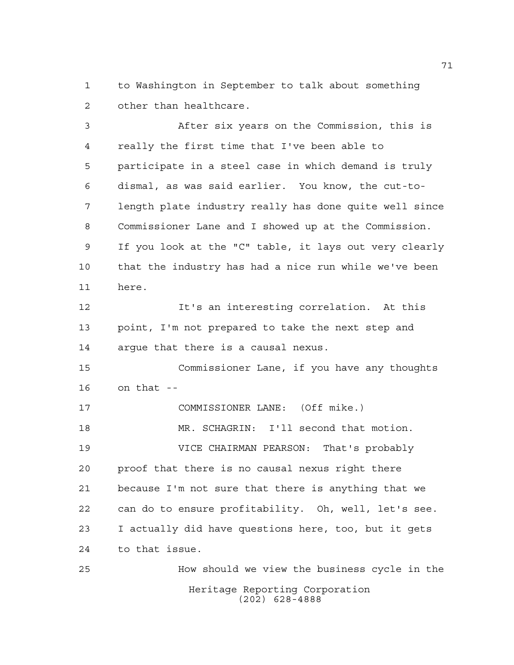to Washington in September to talk about something other than healthcare.

 After six years on the Commission, this is really the first time that I've been able to participate in a steel case in which demand is truly dismal, as was said earlier. You know, the cut-to- length plate industry really has done quite well since Commissioner Lane and I showed up at the Commission. If you look at the "C" table, it lays out very clearly that the industry has had a nice run while we've been here. It's an interesting correlation. At this point, I'm not prepared to take the next step and argue that there is a causal nexus. Commissioner Lane, if you have any thoughts on that -- COMMISSIONER LANE: (Off mike.)

 VICE CHAIRMAN PEARSON: That's probably proof that there is no causal nexus right there because I'm not sure that there is anything that we can do to ensure profitability. Oh, well, let's see. I actually did have questions here, too, but it gets to that issue.

MR. SCHAGRIN: I'll second that motion.

Heritage Reporting Corporation (202) 628-4888 How should we view the business cycle in the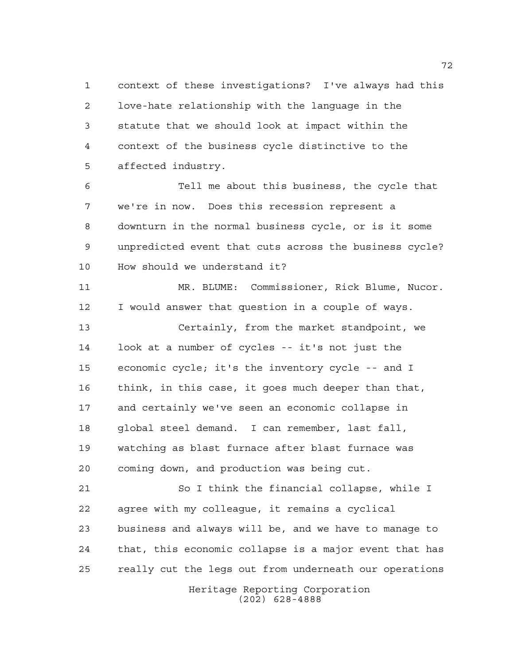context of these investigations? I've always had this love-hate relationship with the language in the statute that we should look at impact within the context of the business cycle distinctive to the affected industry.

 Tell me about this business, the cycle that we're in now. Does this recession represent a downturn in the normal business cycle, or is it some unpredicted event that cuts across the business cycle? How should we understand it?

 MR. BLUME: Commissioner, Rick Blume, Nucor. I would answer that question in a couple of ways. Certainly, from the market standpoint, we look at a number of cycles -- it's not just the economic cycle; it's the inventory cycle -- and I think, in this case, it goes much deeper than that, and certainly we've seen an economic collapse in global steel demand. I can remember, last fall, watching as blast furnace after blast furnace was coming down, and production was being cut.

 So I think the financial collapse, while I agree with my colleague, it remains a cyclical business and always will be, and we have to manage to that, this economic collapse is a major event that has really cut the legs out from underneath our operations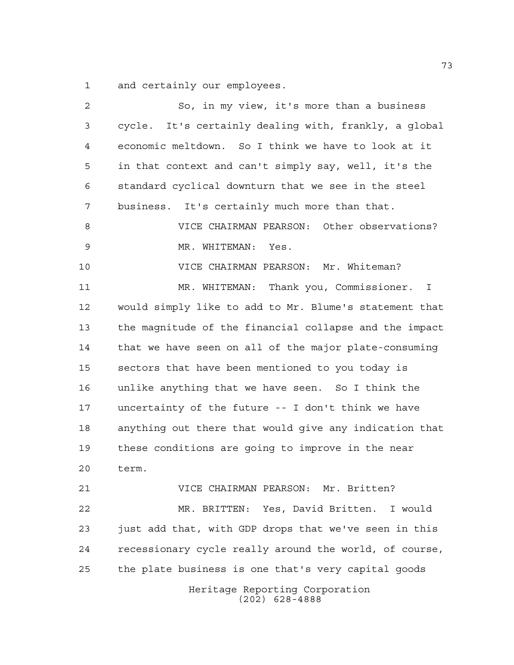and certainly our employees.

| $\overline{a}$ | So, in my view, it's more than a business              |
|----------------|--------------------------------------------------------|
| 3              | cycle. It's certainly dealing with, frankly, a global  |
| 4              | economic meltdown. So I think we have to look at it    |
| 5              | in that context and can't simply say, well, it's the   |
| 6              | standard cyclical downturn that we see in the steel    |
| 7              | business. It's certainly much more than that.          |
| 8              | VICE CHAIRMAN PEARSON: Other observations?             |
| $\mathsf 9$    | MR. WHITEMAN:<br>Yes.                                  |
| 10             | VICE CHAIRMAN PEARSON: Mr. Whiteman?                   |
| 11             | MR. WHITEMAN: Thank you, Commissioner. I               |
| 12             | would simply like to add to Mr. Blume's statement that |
| 13             | the magnitude of the financial collapse and the impact |
| 14             | that we have seen on all of the major plate-consuming  |
| 15             | sectors that have been mentioned to you today is       |
| 16             | unlike anything that we have seen. So I think the      |
| 17             | uncertainty of the future -- I don't think we have     |
| 18             | anything out there that would give any indication that |
| 19             | these conditions are going to improve in the near      |
| 20             | term.                                                  |
| 21             | VICE CHAIRMAN PEARSON: Mr. Britten?                    |
| 22             | MR. BRITTEN: Yes, David Britten. I would               |
| 23             | just add that, with GDP drops that we've seen in this  |
| 24             | recessionary cycle really around the world, of course, |
| 25             | the plate business is one that's very capital goods    |
|                | Heritage Reporting Corporation<br>$(202)$ 628-4888     |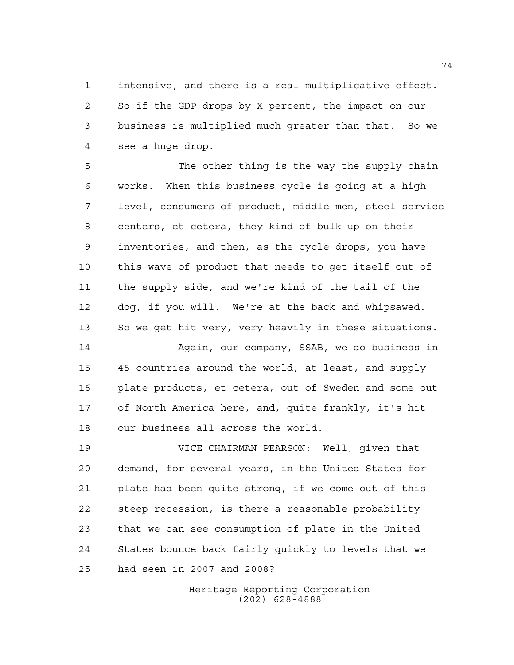intensive, and there is a real multiplicative effect. So if the GDP drops by X percent, the impact on our business is multiplied much greater than that. So we see a huge drop.

5 The other thing is the way the supply chain works. When this business cycle is going at a high level, consumers of product, middle men, steel service centers, et cetera, they kind of bulk up on their inventories, and then, as the cycle drops, you have this wave of product that needs to get itself out of the supply side, and we're kind of the tail of the dog, if you will. We're at the back and whipsawed. So we get hit very, very heavily in these situations.

 Again, our company, SSAB, we do business in 45 countries around the world, at least, and supply plate products, et cetera, out of Sweden and some out of North America here, and, quite frankly, it's hit our business all across the world.

 VICE CHAIRMAN PEARSON: Well, given that demand, for several years, in the United States for plate had been quite strong, if we come out of this steep recession, is there a reasonable probability that we can see consumption of plate in the United States bounce back fairly quickly to levels that we had seen in 2007 and 2008?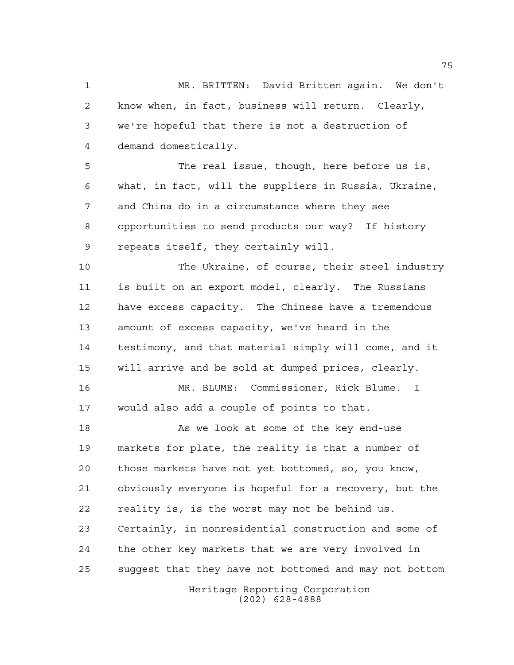MR. BRITTEN: David Britten again. We don't know when, in fact, business will return. Clearly, we're hopeful that there is not a destruction of demand domestically.

 The real issue, though, here before us is, what, in fact, will the suppliers in Russia, Ukraine, and China do in a circumstance where they see opportunities to send products our way? If history repeats itself, they certainly will.

 The Ukraine, of course, their steel industry is built on an export model, clearly. The Russians have excess capacity. The Chinese have a tremendous amount of excess capacity, we've heard in the testimony, and that material simply will come, and it will arrive and be sold at dumped prices, clearly.

 MR. BLUME: Commissioner, Rick Blume. I would also add a couple of points to that.

18 As we look at some of the key end-use markets for plate, the reality is that a number of those markets have not yet bottomed, so, you know, obviously everyone is hopeful for a recovery, but the reality is, is the worst may not be behind us. Certainly, in nonresidential construction and some of the other key markets that we are very involved in suggest that they have not bottomed and may not bottom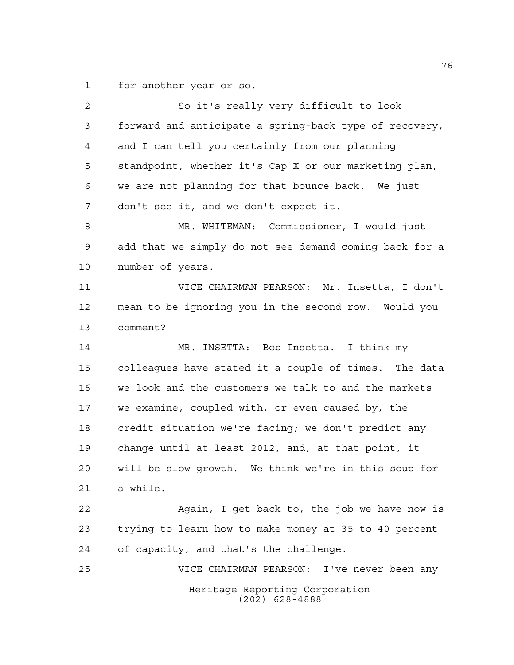for another year or so.

Heritage Reporting Corporation (202) 628-4888 So it's really very difficult to look forward and anticipate a spring-back type of recovery, and I can tell you certainly from our planning standpoint, whether it's Cap X or our marketing plan, we are not planning for that bounce back. We just don't see it, and we don't expect it. MR. WHITEMAN: Commissioner, I would just add that we simply do not see demand coming back for a number of years. VICE CHAIRMAN PEARSON: Mr. Insetta, I don't mean to be ignoring you in the second row. Would you comment? MR. INSETTA: Bob Insetta. I think my colleagues have stated it a couple of times. The data we look and the customers we talk to and the markets we examine, coupled with, or even caused by, the credit situation we're facing; we don't predict any change until at least 2012, and, at that point, it will be slow growth. We think we're in this soup for a while. Again, I get back to, the job we have now is trying to learn how to make money at 35 to 40 percent of capacity, and that's the challenge. VICE CHAIRMAN PEARSON: I've never been any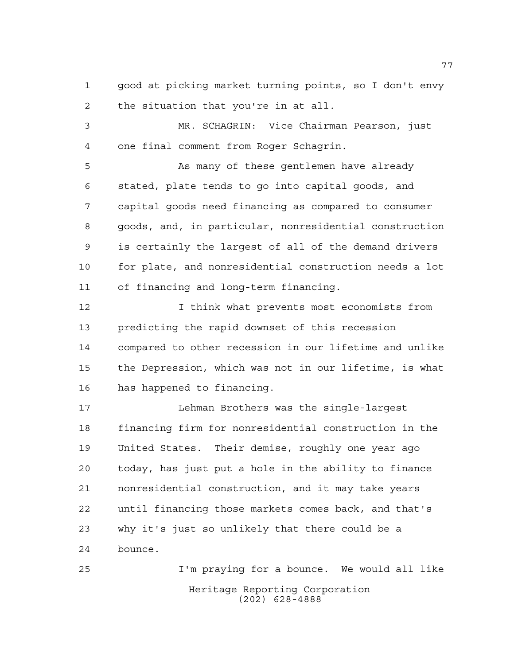good at picking market turning points, so I don't envy the situation that you're in at all.

 MR. SCHAGRIN: Vice Chairman Pearson, just one final comment from Roger Schagrin.

 As many of these gentlemen have already stated, plate tends to go into capital goods, and capital goods need financing as compared to consumer goods, and, in particular, nonresidential construction is certainly the largest of all of the demand drivers for plate, and nonresidential construction needs a lot of financing and long-term financing.

 I think what prevents most economists from predicting the rapid downset of this recession compared to other recession in our lifetime and unlike the Depression, which was not in our lifetime, is what has happened to financing.

 Lehman Brothers was the single-largest financing firm for nonresidential construction in the United States. Their demise, roughly one year ago today, has just put a hole in the ability to finance nonresidential construction, and it may take years until financing those markets comes back, and that's why it's just so unlikely that there could be a bounce.

Heritage Reporting Corporation (202) 628-4888 I'm praying for a bounce. We would all like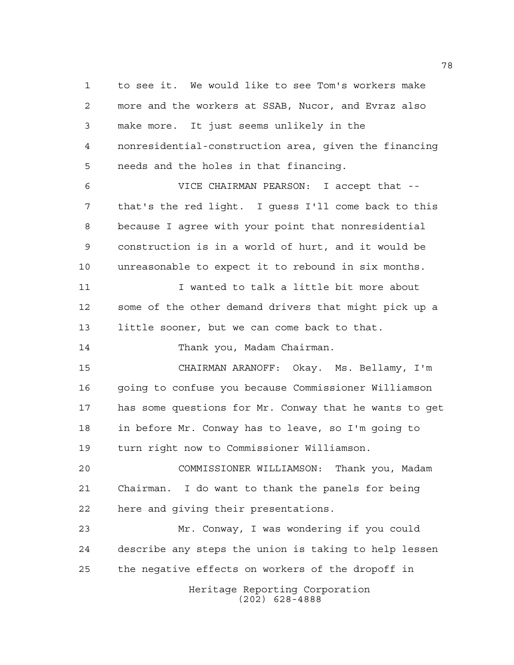to see it. We would like to see Tom's workers make more and the workers at SSAB, Nucor, and Evraz also make more. It just seems unlikely in the nonresidential-construction area, given the financing needs and the holes in that financing. VICE CHAIRMAN PEARSON: I accept that -- that's the red light. I guess I'll come back to this because I agree with your point that nonresidential construction is in a world of hurt, and it would be unreasonable to expect it to rebound in six months. 11 I wanted to talk a little bit more about some of the other demand drivers that might pick up a little sooner, but we can come back to that. Thank you, Madam Chairman. CHAIRMAN ARANOFF: Okay. Ms. Bellamy, I'm going to confuse you because Commissioner Williamson has some questions for Mr. Conway that he wants to get in before Mr. Conway has to leave, so I'm going to turn right now to Commissioner Williamson. COMMISSIONER WILLIAMSON: Thank you, Madam Chairman. I do want to thank the panels for being here and giving their presentations. Mr. Conway, I was wondering if you could describe any steps the union is taking to help lessen the negative effects on workers of the dropoff in

Heritage Reporting Corporation (202) 628-4888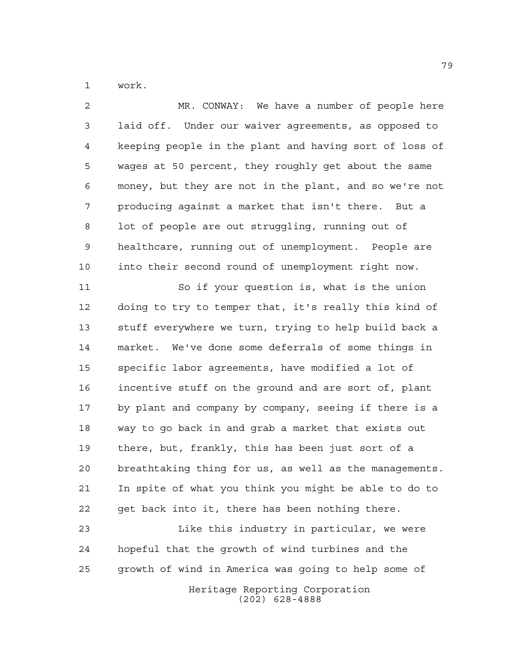work.

 MR. CONWAY: We have a number of people here laid off. Under our waiver agreements, as opposed to keeping people in the plant and having sort of loss of wages at 50 percent, they roughly get about the same money, but they are not in the plant, and so we're not producing against a market that isn't there. But a lot of people are out struggling, running out of healthcare, running out of unemployment. People are into their second round of unemployment right now. So if your question is, what is the union doing to try to temper that, it's really this kind of stuff everywhere we turn, trying to help build back a market. We've done some deferrals of some things in specific labor agreements, have modified a lot of incentive stuff on the ground and are sort of, plant by plant and company by company, seeing if there is a way to go back in and grab a market that exists out there, but, frankly, this has been just sort of a breathtaking thing for us, as well as the managements. In spite of what you think you might be able to do to get back into it, there has been nothing there. Like this industry in particular, we were hopeful that the growth of wind turbines and the

> Heritage Reporting Corporation (202) 628-4888

growth of wind in America was going to help some of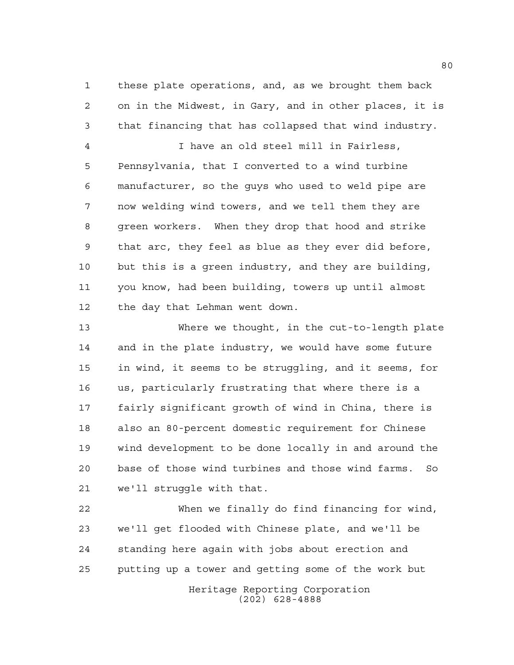these plate operations, and, as we brought them back on in the Midwest, in Gary, and in other places, it is that financing that has collapsed that wind industry.

 I have an old steel mill in Fairless, Pennsylvania, that I converted to a wind turbine manufacturer, so the guys who used to weld pipe are now welding wind towers, and we tell them they are green workers. When they drop that hood and strike that arc, they feel as blue as they ever did before, but this is a green industry, and they are building, you know, had been building, towers up until almost the day that Lehman went down.

 Where we thought, in the cut-to-length plate and in the plate industry, we would have some future in wind, it seems to be struggling, and it seems, for us, particularly frustrating that where there is a fairly significant growth of wind in China, there is also an 80-percent domestic requirement for Chinese wind development to be done locally in and around the base of those wind turbines and those wind farms. So we'll struggle with that.

Heritage Reporting Corporation When we finally do find financing for wind, we'll get flooded with Chinese plate, and we'll be standing here again with jobs about erection and putting up a tower and getting some of the work but

(202) 628-4888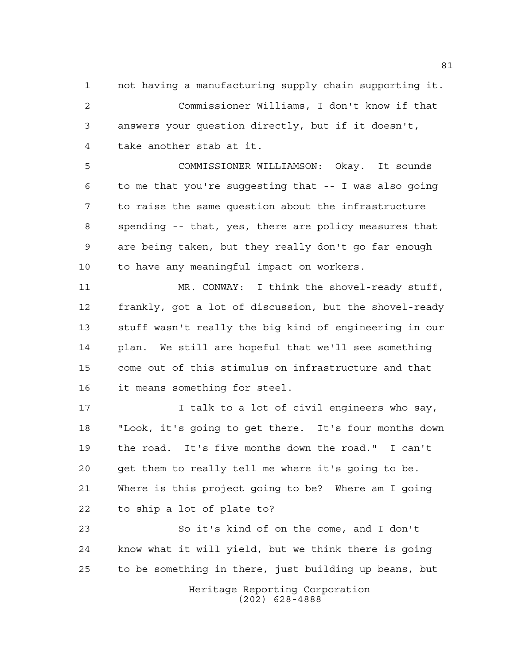not having a manufacturing supply chain supporting it. Commissioner Williams, I don't know if that answers your question directly, but if it doesn't, take another stab at it.

 COMMISSIONER WILLIAMSON: Okay. It sounds to me that you're suggesting that -- I was also going to raise the same question about the infrastructure spending -- that, yes, there are policy measures that are being taken, but they really don't go far enough to have any meaningful impact on workers.

 MR. CONWAY: I think the shovel-ready stuff, frankly, got a lot of discussion, but the shovel-ready stuff wasn't really the big kind of engineering in our plan. We still are hopeful that we'll see something come out of this stimulus on infrastructure and that it means something for steel.

**I** talk to a lot of civil engineers who say, "Look, it's going to get there. It's four months down the road. It's five months down the road." I can't get them to really tell me where it's going to be. Where is this project going to be? Where am I going to ship a lot of plate to?

Heritage Reporting Corporation So it's kind of on the come, and I don't know what it will yield, but we think there is going to be something in there, just building up beans, but

(202) 628-4888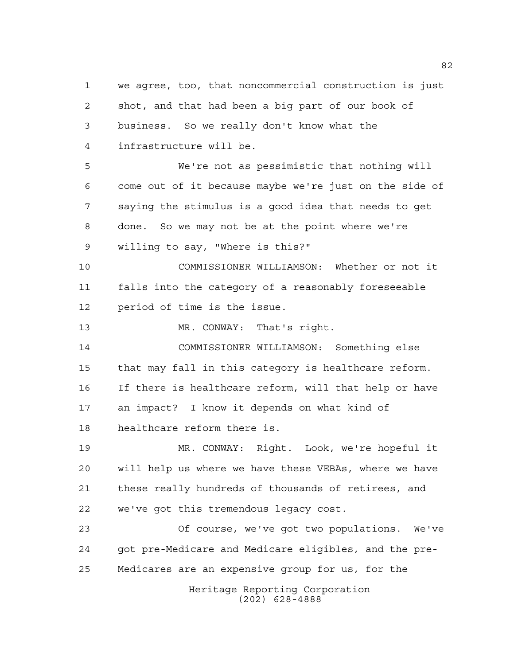shot, and that had been a big part of our book of business. So we really don't know what the infrastructure will be. We're not as pessimistic that nothing will come out of it because maybe we're just on the side of saying the stimulus is a good idea that needs to get done. So we may not be at the point where we're willing to say, "Where is this?" COMMISSIONER WILLIAMSON: Whether or not it falls into the category of a reasonably foreseeable period of time is the issue. MR. CONWAY: That's right. COMMISSIONER WILLIAMSON: Something else that may fall in this category is healthcare reform. If there is healthcare reform, will that help or have an impact? I know it depends on what kind of healthcare reform there is. MR. CONWAY: Right. Look, we're hopeful it will help us where we have these VEBAs, where we have these really hundreds of thousands of retirees, and we've got this tremendous legacy cost. Of course, we've got two populations. We've got pre-Medicare and Medicare eligibles, and the pre-Medicares are an expensive group for us, for the

we agree, too, that noncommercial construction is just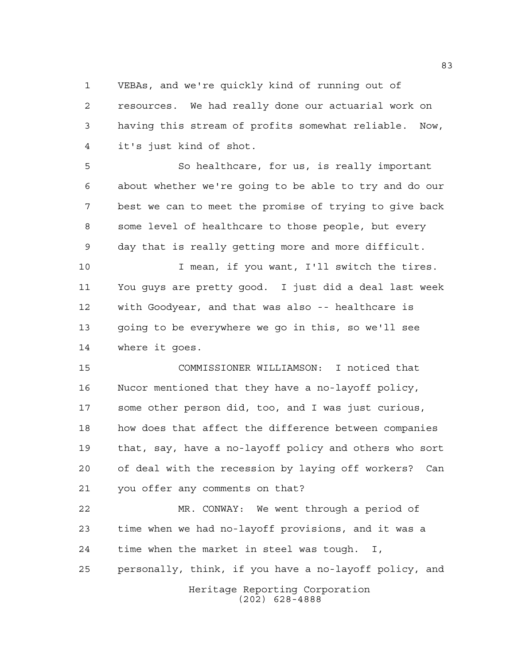VEBAs, and we're quickly kind of running out of

 resources. We had really done our actuarial work on having this stream of profits somewhat reliable. Now, it's just kind of shot.

 So healthcare, for us, is really important about whether we're going to be able to try and do our best we can to meet the promise of trying to give back some level of healthcare to those people, but every day that is really getting more and more difficult.

 I mean, if you want, I'll switch the tires. You guys are pretty good. I just did a deal last week with Goodyear, and that was also -- healthcare is going to be everywhere we go in this, so we'll see where it goes.

 COMMISSIONER WILLIAMSON: I noticed that Nucor mentioned that they have a no-layoff policy, some other person did, too, and I was just curious, how does that affect the difference between companies that, say, have a no-layoff policy and others who sort of deal with the recession by laying off workers? Can you offer any comments on that?

Heritage Reporting Corporation MR. CONWAY: We went through a period of time when we had no-layoff provisions, and it was a time when the market in steel was tough. I, personally, think, if you have a no-layoff policy, and

(202) 628-4888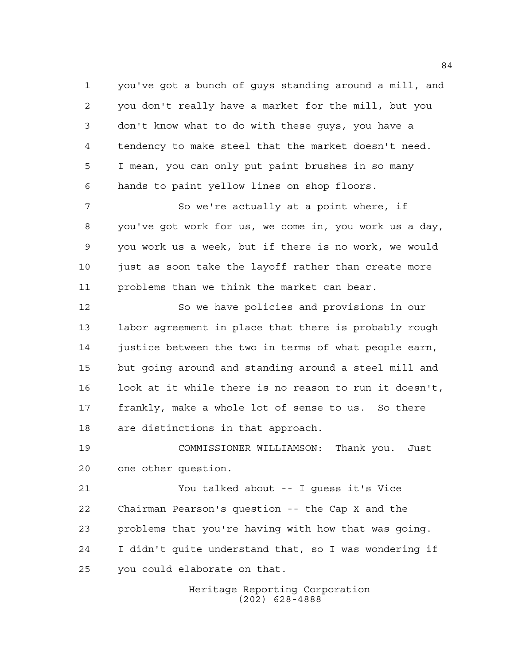you've got a bunch of guys standing around a mill, and you don't really have a market for the mill, but you don't know what to do with these guys, you have a tendency to make steel that the market doesn't need. I mean, you can only put paint brushes in so many hands to paint yellow lines on shop floors.

7 So we're actually at a point where, if you've got work for us, we come in, you work us a day, you work us a week, but if there is no work, we would just as soon take the layoff rather than create more problems than we think the market can bear.

 So we have policies and provisions in our labor agreement in place that there is probably rough justice between the two in terms of what people earn, but going around and standing around a steel mill and look at it while there is no reason to run it doesn't, frankly, make a whole lot of sense to us. So there are distinctions in that approach.

 COMMISSIONER WILLIAMSON: Thank you. Just one other question.

 You talked about -- I guess it's Vice Chairman Pearson's question -- the Cap X and the problems that you're having with how that was going. I didn't quite understand that, so I was wondering if you could elaborate on that.

> Heritage Reporting Corporation (202) 628-4888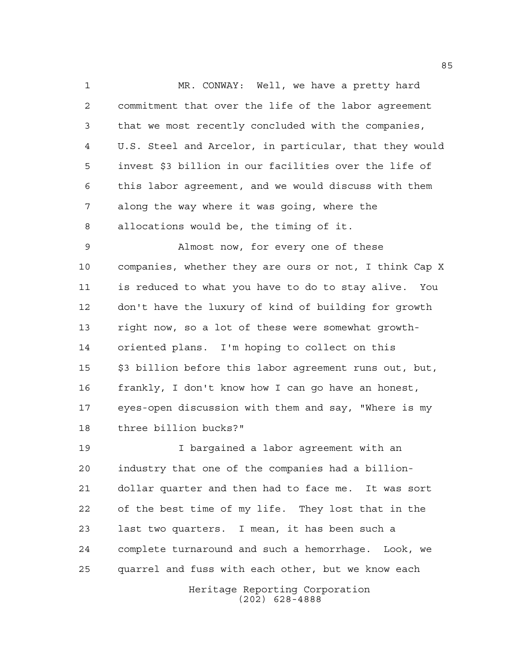MR. CONWAY: Well, we have a pretty hard commitment that over the life of the labor agreement that we most recently concluded with the companies, U.S. Steel and Arcelor, in particular, that they would invest \$3 billion in our facilities over the life of this labor agreement, and we would discuss with them along the way where it was going, where the allocations would be, the timing of it.

 Almost now, for every one of these companies, whether they are ours or not, I think Cap X is reduced to what you have to do to stay alive. You don't have the luxury of kind of building for growth right now, so a lot of these were somewhat growth- oriented plans. I'm hoping to collect on this \$3 billion before this labor agreement runs out, but, frankly, I don't know how I can go have an honest, eyes-open discussion with them and say, "Where is my three billion bucks?"

 I bargained a labor agreement with an industry that one of the companies had a billion- dollar quarter and then had to face me. It was sort of the best time of my life. They lost that in the last two quarters. I mean, it has been such a complete turnaround and such a hemorrhage. Look, we quarrel and fuss with each other, but we know each

> Heritage Reporting Corporation (202) 628-4888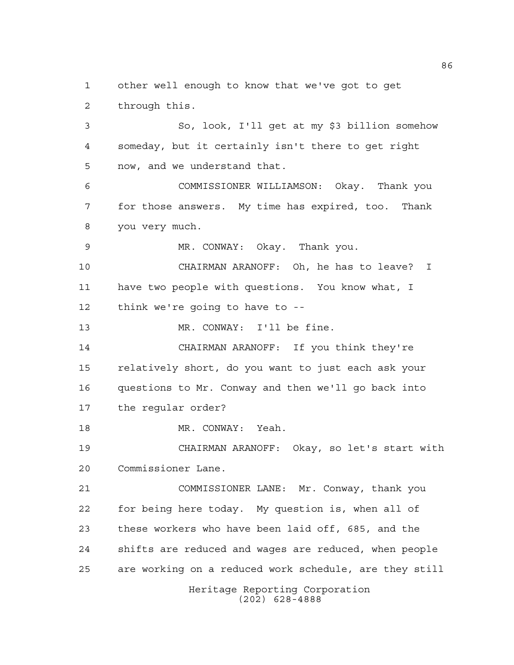other well enough to know that we've got to get through this. So, look, I'll get at my \$3 billion somehow someday, but it certainly isn't there to get right

now, and we understand that.

 COMMISSIONER WILLIAMSON: Okay. Thank you for those answers. My time has expired, too. Thank you very much.

MR. CONWAY: Okay. Thank you.

 CHAIRMAN ARANOFF: Oh, he has to leave? I have two people with questions. You know what, I think we're going to have to --

13 MR. CONWAY: I'll be fine.

 CHAIRMAN ARANOFF: If you think they're relatively short, do you want to just each ask your questions to Mr. Conway and then we'll go back into the regular order?

18 MR. CONWAY: Yeah.

 CHAIRMAN ARANOFF: Okay, so let's start with Commissioner Lane.

 COMMISSIONER LANE: Mr. Conway, thank you for being here today. My question is, when all of these workers who have been laid off, 685, and the shifts are reduced and wages are reduced, when people are working on a reduced work schedule, are they still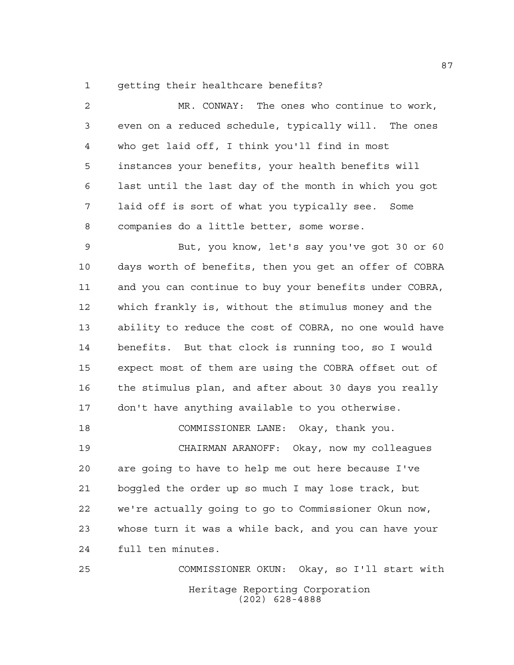getting their healthcare benefits?

 MR. CONWAY: The ones who continue to work, even on a reduced schedule, typically will. The ones who get laid off, I think you'll find in most instances your benefits, your health benefits will last until the last day of the month in which you got laid off is sort of what you typically see. Some companies do a little better, some worse. But, you know, let's say you've got 30 or 60 days worth of benefits, then you get an offer of COBRA and you can continue to buy your benefits under COBRA, which frankly is, without the stimulus money and the ability to reduce the cost of COBRA, no one would have benefits. But that clock is running too, so I would expect most of them are using the COBRA offset out of the stimulus plan, and after about 30 days you really don't have anything available to you otherwise. COMMISSIONER LANE: Okay, thank you. CHAIRMAN ARANOFF: Okay, now my colleagues are going to have to help me out here because I've boggled the order up so much I may lose track, but we're actually going to go to Commissioner Okun now, whose turn it was a while back, and you can have your full ten minutes. COMMISSIONER OKUN: Okay, so I'll start with

> Heritage Reporting Corporation (202) 628-4888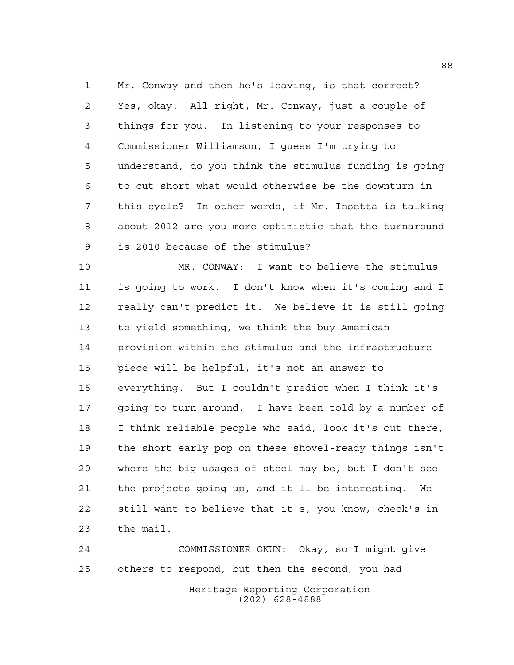Mr. Conway and then he's leaving, is that correct? Yes, okay. All right, Mr. Conway, just a couple of things for you. In listening to your responses to Commissioner Williamson, I guess I'm trying to understand, do you think the stimulus funding is going to cut short what would otherwise be the downturn in this cycle? In other words, if Mr. Insetta is talking about 2012 are you more optimistic that the turnaround is 2010 because of the stimulus?

 MR. CONWAY: I want to believe the stimulus is going to work. I don't know when it's coming and I really can't predict it. We believe it is still going to yield something, we think the buy American provision within the stimulus and the infrastructure piece will be helpful, it's not an answer to everything. But I couldn't predict when I think it's going to turn around. I have been told by a number of I think reliable people who said, look it's out there, the short early pop on these shovel-ready things isn't where the big usages of steel may be, but I don't see the projects going up, and it'll be interesting. We still want to believe that it's, you know, check's in the mail.

Heritage Reporting Corporation (202) 628-4888 COMMISSIONER OKUN: Okay, so I might give others to respond, but then the second, you had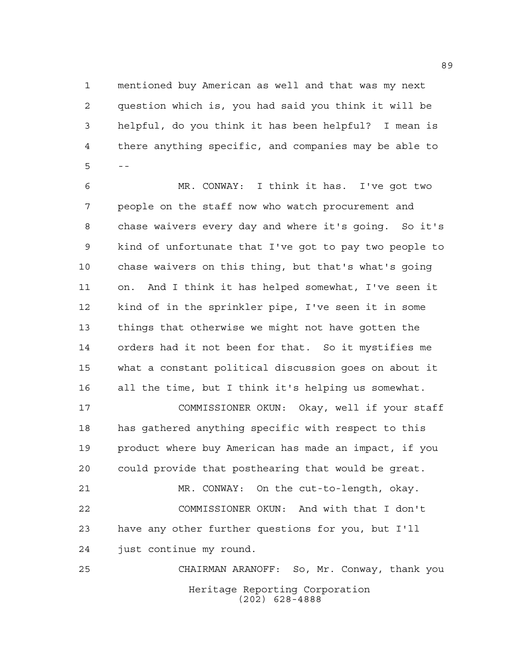mentioned buy American as well and that was my next question which is, you had said you think it will be helpful, do you think it has been helpful? I mean is there anything specific, and companies may be able to  $5 - -$ 

 MR. CONWAY: I think it has. I've got two people on the staff now who watch procurement and chase waivers every day and where it's going. So it's kind of unfortunate that I've got to pay two people to chase waivers on this thing, but that's what's going on. And I think it has helped somewhat, I've seen it kind of in the sprinkler pipe, I've seen it in some things that otherwise we might not have gotten the orders had it not been for that. So it mystifies me what a constant political discussion goes on about it all the time, but I think it's helping us somewhat. COMMISSIONER OKUN: Okay, well if your staff has gathered anything specific with respect to this product where buy American has made an impact, if you could provide that posthearing that would be great. MR. CONWAY: On the cut-to-length, okay. COMMISSIONER OKUN: And with that I don't

 have any other further questions for you, but I'll just continue my round.

Heritage Reporting Corporation (202) 628-4888 CHAIRMAN ARANOFF: So, Mr. Conway, thank you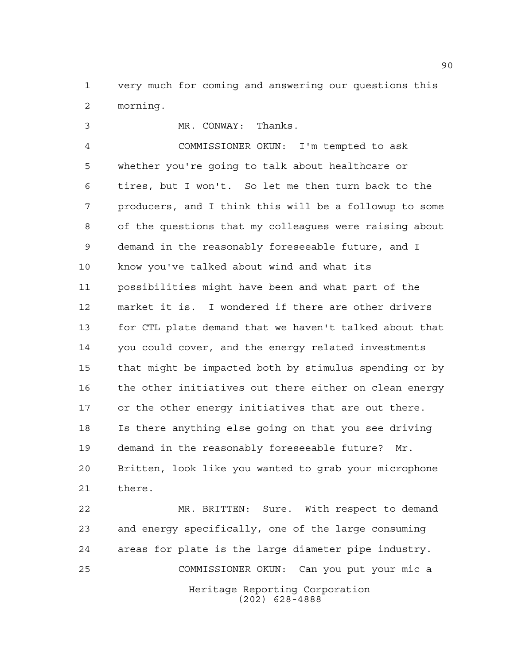very much for coming and answering our questions this morning.

 MR. CONWAY: Thanks. COMMISSIONER OKUN: I'm tempted to ask whether you're going to talk about healthcare or tires, but I won't. So let me then turn back to the producers, and I think this will be a followup to some of the questions that my colleagues were raising about demand in the reasonably foreseeable future, and I know you've talked about wind and what its possibilities might have been and what part of the market it is. I wondered if there are other drivers for CTL plate demand that we haven't talked about that you could cover, and the energy related investments that might be impacted both by stimulus spending or by the other initiatives out there either on clean energy or the other energy initiatives that are out there. Is there anything else going on that you see driving demand in the reasonably foreseeable future? Mr. Britten, look like you wanted to grab your microphone there.

Heritage Reporting Corporation (202) 628-4888 MR. BRITTEN: Sure. With respect to demand and energy specifically, one of the large consuming areas for plate is the large diameter pipe industry. COMMISSIONER OKUN: Can you put your mic a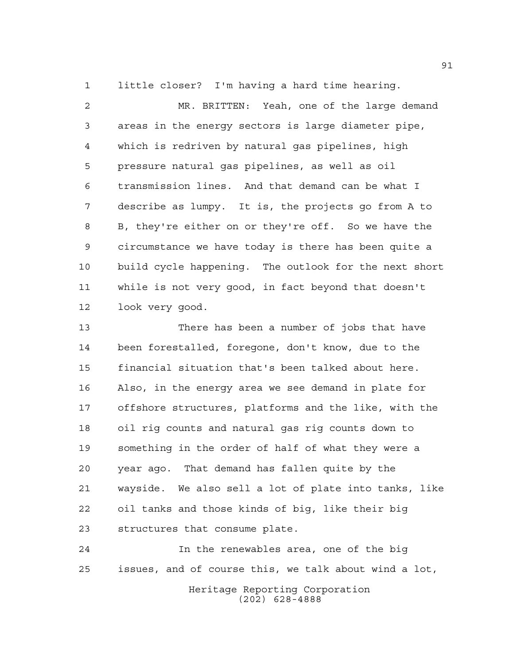little closer? I'm having a hard time hearing.

 MR. BRITTEN: Yeah, one of the large demand areas in the energy sectors is large diameter pipe, which is redriven by natural gas pipelines, high pressure natural gas pipelines, as well as oil transmission lines. And that demand can be what I describe as lumpy. It is, the projects go from A to B, they're either on or they're off. So we have the circumstance we have today is there has been quite a build cycle happening. The outlook for the next short while is not very good, in fact beyond that doesn't look very good.

 There has been a number of jobs that have been forestalled, foregone, don't know, due to the financial situation that's been talked about here. Also, in the energy area we see demand in plate for offshore structures, platforms and the like, with the oil rig counts and natural gas rig counts down to something in the order of half of what they were a year ago. That demand has fallen quite by the wayside. We also sell a lot of plate into tanks, like oil tanks and those kinds of big, like their big structures that consume plate.

 In the renewables area, one of the big issues, and of course this, we talk about wind a lot,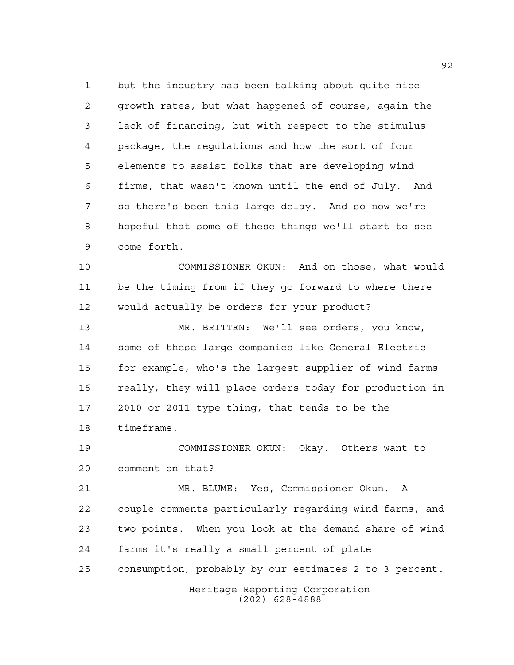but the industry has been talking about quite nice growth rates, but what happened of course, again the lack of financing, but with respect to the stimulus package, the regulations and how the sort of four elements to assist folks that are developing wind firms, that wasn't known until the end of July. And so there's been this large delay. And so now we're hopeful that some of these things we'll start to see come forth.

 COMMISSIONER OKUN: And on those, what would be the timing from if they go forward to where there would actually be orders for your product?

 MR. BRITTEN: We'll see orders, you know, some of these large companies like General Electric for example, who's the largest supplier of wind farms really, they will place orders today for production in 2010 or 2011 type thing, that tends to be the timeframe.

 COMMISSIONER OKUN: Okay. Others want to comment on that?

 MR. BLUME: Yes, Commissioner Okun. A couple comments particularly regarding wind farms, and two points. When you look at the demand share of wind farms it's really a small percent of plate consumption, probably by our estimates 2 to 3 percent.

> Heritage Reporting Corporation (202) 628-4888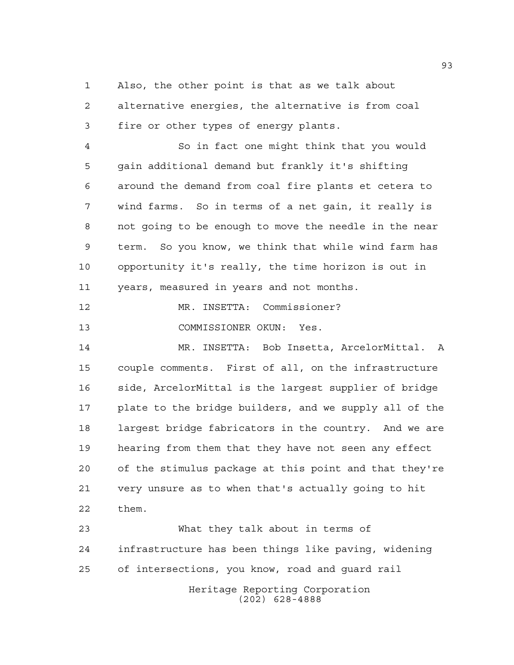Also, the other point is that as we talk about alternative energies, the alternative is from coal fire or other types of energy plants.

 So in fact one might think that you would gain additional demand but frankly it's shifting around the demand from coal fire plants et cetera to wind farms. So in terms of a net gain, it really is not going to be enough to move the needle in the near term. So you know, we think that while wind farm has opportunity it's really, the time horizon is out in years, measured in years and not months.

MR. INSETTA: Commissioner?

COMMISSIONER OKUN: Yes.

 MR. INSETTA: Bob Insetta, ArcelorMittal. A couple comments. First of all, on the infrastructure side, ArcelorMittal is the largest supplier of bridge plate to the bridge builders, and we supply all of the largest bridge fabricators in the country. And we are hearing from them that they have not seen any effect of the stimulus package at this point and that they're very unsure as to when that's actually going to hit them.

Heritage Reporting Corporation (202) 628-4888 What they talk about in terms of infrastructure has been things like paving, widening of intersections, you know, road and guard rail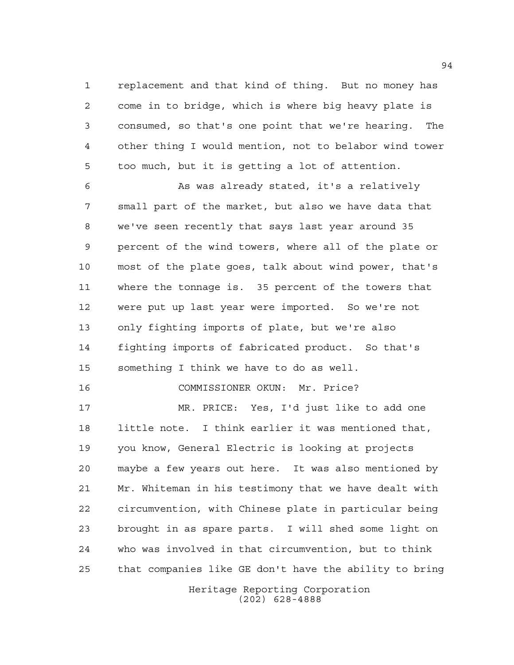replacement and that kind of thing. But no money has come in to bridge, which is where big heavy plate is consumed, so that's one point that we're hearing. The other thing I would mention, not to belabor wind tower too much, but it is getting a lot of attention.

 As was already stated, it's a relatively small part of the market, but also we have data that we've seen recently that says last year around 35 percent of the wind towers, where all of the plate or most of the plate goes, talk about wind power, that's where the tonnage is. 35 percent of the towers that were put up last year were imported. So we're not only fighting imports of plate, but we're also fighting imports of fabricated product. So that's something I think we have to do as well.

 MR. PRICE: Yes, I'd just like to add one little note. I think earlier it was mentioned that, you know, General Electric is looking at projects maybe a few years out here. It was also mentioned by Mr. Whiteman in his testimony that we have dealt with circumvention, with Chinese plate in particular being brought in as spare parts. I will shed some light on who was involved in that circumvention, but to think that companies like GE don't have the ability to bring

COMMISSIONER OKUN: Mr. Price?

Heritage Reporting Corporation (202) 628-4888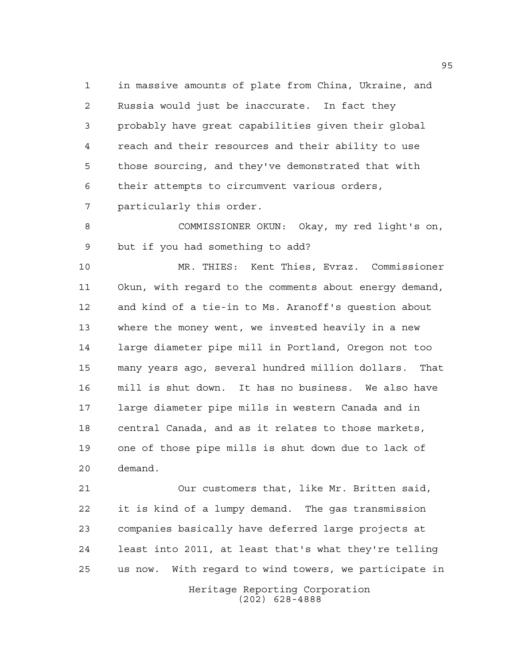in massive amounts of plate from China, Ukraine, and Russia would just be inaccurate. In fact they probably have great capabilities given their global reach and their resources and their ability to use those sourcing, and they've demonstrated that with their attempts to circumvent various orders,

particularly this order.

 COMMISSIONER OKUN: Okay, my red light's on, but if you had something to add?

 MR. THIES: Kent Thies, Evraz. Commissioner Okun, with regard to the comments about energy demand, and kind of a tie-in to Ms. Aranoff's question about where the money went, we invested heavily in a new large diameter pipe mill in Portland, Oregon not too many years ago, several hundred million dollars. That mill is shut down. It has no business. We also have large diameter pipe mills in western Canada and in central Canada, and as it relates to those markets, one of those pipe mills is shut down due to lack of demand.

 Our customers that, like Mr. Britten said, it is kind of a lumpy demand. The gas transmission companies basically have deferred large projects at least into 2011, at least that's what they're telling us now. With regard to wind towers, we participate in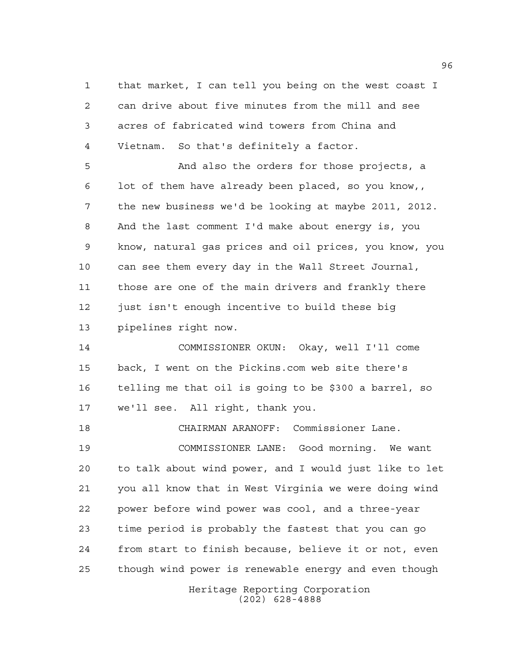that market, I can tell you being on the west coast I can drive about five minutes from the mill and see acres of fabricated wind towers from China and Vietnam. So that's definitely a factor.

 And also the orders for those projects, a lot of them have already been placed, so you know,, the new business we'd be looking at maybe 2011, 2012. And the last comment I'd make about energy is, you know, natural gas prices and oil prices, you know, you can see them every day in the Wall Street Journal, those are one of the main drivers and frankly there just isn't enough incentive to build these big pipelines right now.

 COMMISSIONER OKUN: Okay, well I'll come back, I went on the Pickins.com web site there's telling me that oil is going to be \$300 a barrel, so we'll see. All right, thank you.

CHAIRMAN ARANOFF: Commissioner Lane.

 COMMISSIONER LANE: Good morning. We want to talk about wind power, and I would just like to let you all know that in West Virginia we were doing wind power before wind power was cool, and a three-year time period is probably the fastest that you can go from start to finish because, believe it or not, even though wind power is renewable energy and even though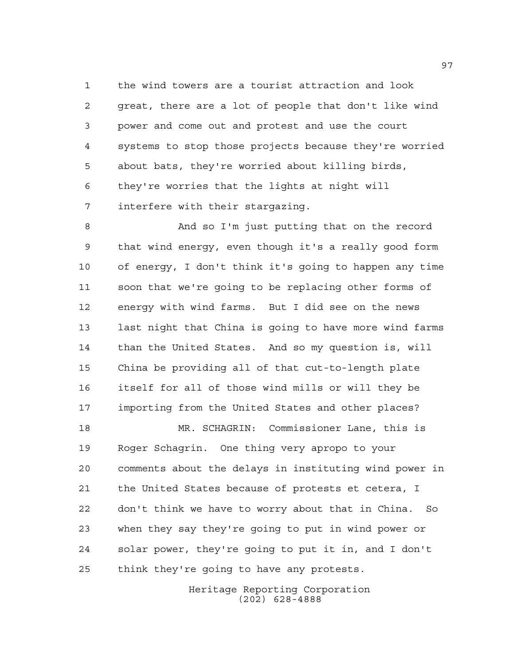the wind towers are a tourist attraction and look great, there are a lot of people that don't like wind power and come out and protest and use the court systems to stop those projects because they're worried about bats, they're worried about killing birds, they're worries that the lights at night will interfere with their stargazing.

 And so I'm just putting that on the record that wind energy, even though it's a really good form of energy, I don't think it's going to happen any time soon that we're going to be replacing other forms of energy with wind farms. But I did see on the news last night that China is going to have more wind farms than the United States. And so my question is, will China be providing all of that cut-to-length plate itself for all of those wind mills or will they be importing from the United States and other places?

 MR. SCHAGRIN: Commissioner Lane, this is Roger Schagrin. One thing very apropo to your comments about the delays in instituting wind power in the United States because of protests et cetera, I don't think we have to worry about that in China. So when they say they're going to put in wind power or solar power, they're going to put it in, and I don't think they're going to have any protests.

> Heritage Reporting Corporation (202) 628-4888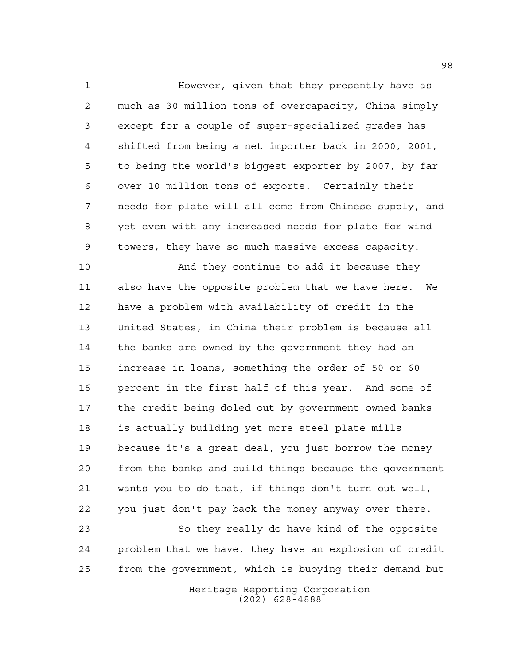However, given that they presently have as much as 30 million tons of overcapacity, China simply except for a couple of super-specialized grades has shifted from being a net importer back in 2000, 2001, to being the world's biggest exporter by 2007, by far over 10 million tons of exports. Certainly their needs for plate will all come from Chinese supply, and yet even with any increased needs for plate for wind towers, they have so much massive excess capacity.

 And they continue to add it because they also have the opposite problem that we have here. We have a problem with availability of credit in the United States, in China their problem is because all the banks are owned by the government they had an increase in loans, something the order of 50 or 60 percent in the first half of this year. And some of the credit being doled out by government owned banks is actually building yet more steel plate mills because it's a great deal, you just borrow the money from the banks and build things because the government wants you to do that, if things don't turn out well, you just don't pay back the money anyway over there.

 So they really do have kind of the opposite problem that we have, they have an explosion of credit from the government, which is buoying their demand but

> Heritage Reporting Corporation (202) 628-4888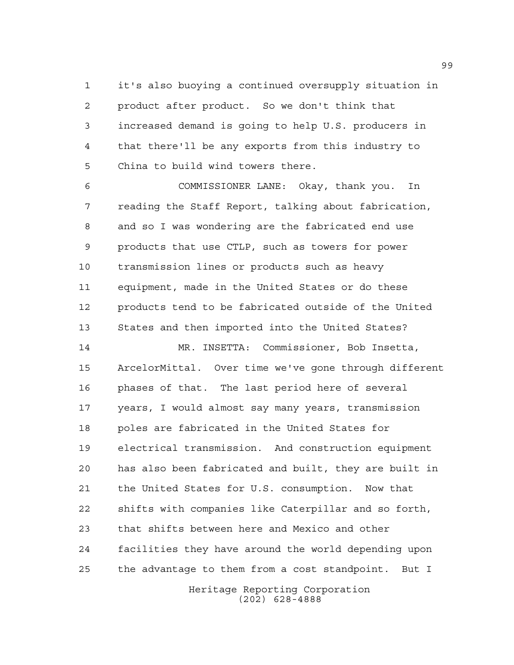it's also buoying a continued oversupply situation in product after product. So we don't think that increased demand is going to help U.S. producers in that there'll be any exports from this industry to China to build wind towers there.

 COMMISSIONER LANE: Okay, thank you. In reading the Staff Report, talking about fabrication, and so I was wondering are the fabricated end use products that use CTLP, such as towers for power transmission lines or products such as heavy equipment, made in the United States or do these products tend to be fabricated outside of the United States and then imported into the United States?

 MR. INSETTA: Commissioner, Bob Insetta, ArcelorMittal. Over time we've gone through different phases of that. The last period here of several years, I would almost say many years, transmission poles are fabricated in the United States for electrical transmission. And construction equipment has also been fabricated and built, they are built in the United States for U.S. consumption. Now that shifts with companies like Caterpillar and so forth, that shifts between here and Mexico and other facilities they have around the world depending upon the advantage to them from a cost standpoint. But I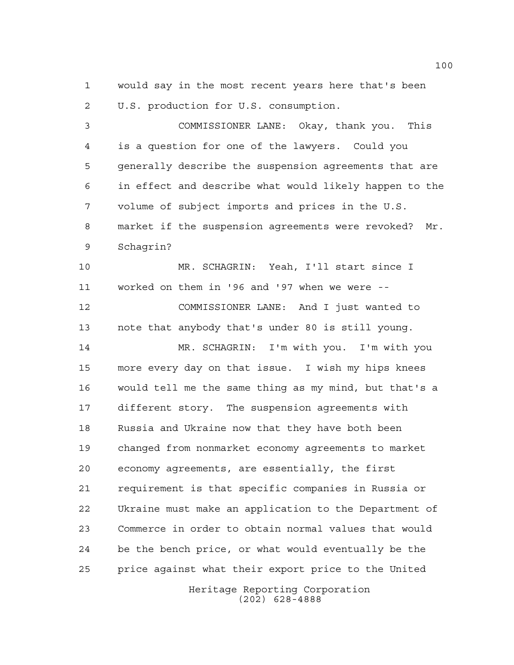would say in the most recent years here that's been U.S. production for U.S. consumption.

 COMMISSIONER LANE: Okay, thank you. This is a question for one of the lawyers. Could you generally describe the suspension agreements that are in effect and describe what would likely happen to the volume of subject imports and prices in the U.S. market if the suspension agreements were revoked? Mr. Schagrin?

 MR. SCHAGRIN: Yeah, I'll start since I worked on them in '96 and '97 when we were --

 COMMISSIONER LANE: And I just wanted to note that anybody that's under 80 is still young.

 MR. SCHAGRIN: I'm with you. I'm with you more every day on that issue. I wish my hips knees would tell me the same thing as my mind, but that's a different story. The suspension agreements with Russia and Ukraine now that they have both been changed from nonmarket economy agreements to market economy agreements, are essentially, the first requirement is that specific companies in Russia or Ukraine must make an application to the Department of Commerce in order to obtain normal values that would be the bench price, or what would eventually be the price against what their export price to the United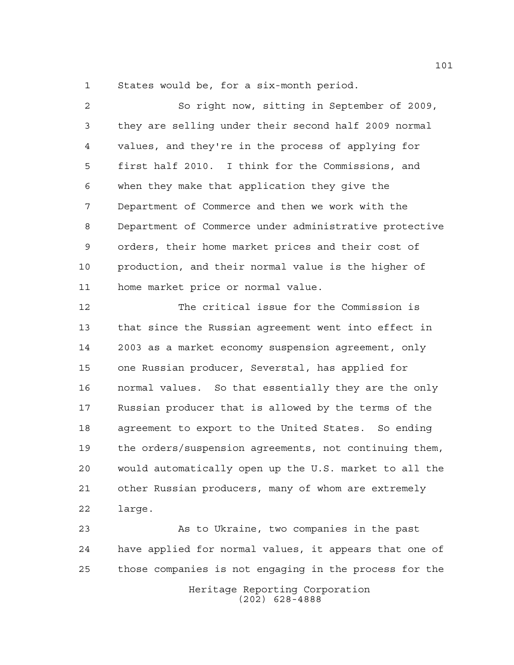States would be, for a six-month period.

 So right now, sitting in September of 2009, they are selling under their second half 2009 normal values, and they're in the process of applying for first half 2010. I think for the Commissions, and when they make that application they give the Department of Commerce and then we work with the Department of Commerce under administrative protective orders, their home market prices and their cost of production, and their normal value is the higher of home market price or normal value. The critical issue for the Commission is that since the Russian agreement went into effect in 2003 as a market economy suspension agreement, only one Russian producer, Severstal, has applied for normal values. So that essentially they are the only Russian producer that is allowed by the terms of the agreement to export to the United States. So ending the orders/suspension agreements, not continuing them, would automatically open up the U.S. market to all the

 other Russian producers, many of whom are extremely large.

Heritage Reporting Corporation As to Ukraine, two companies in the past have applied for normal values, it appears that one of those companies is not engaging in the process for the

(202) 628-4888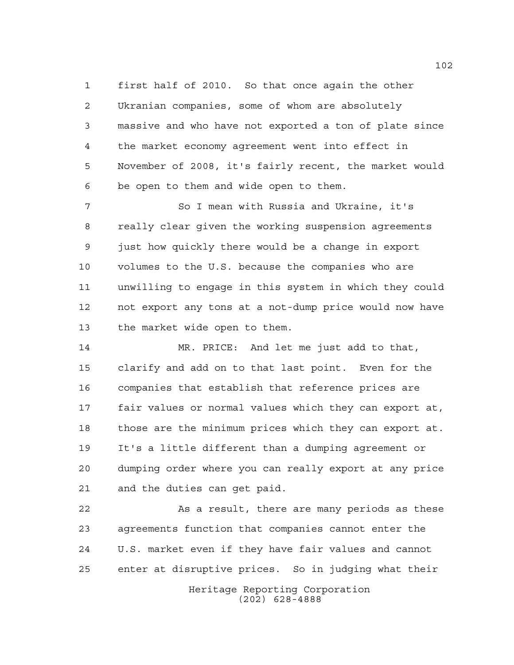first half of 2010. So that once again the other Ukranian companies, some of whom are absolutely massive and who have not exported a ton of plate since the market economy agreement went into effect in November of 2008, it's fairly recent, the market would be open to them and wide open to them.

 So I mean with Russia and Ukraine, it's really clear given the working suspension agreements just how quickly there would be a change in export volumes to the U.S. because the companies who are unwilling to engage in this system in which they could not export any tons at a not-dump price would now have the market wide open to them.

 MR. PRICE: And let me just add to that, clarify and add on to that last point. Even for the companies that establish that reference prices are fair values or normal values which they can export at, those are the minimum prices which they can export at. It's a little different than a dumping agreement or dumping order where you can really export at any price and the duties can get paid.

 As a result, there are many periods as these agreements function that companies cannot enter the U.S. market even if they have fair values and cannot enter at disruptive prices. So in judging what their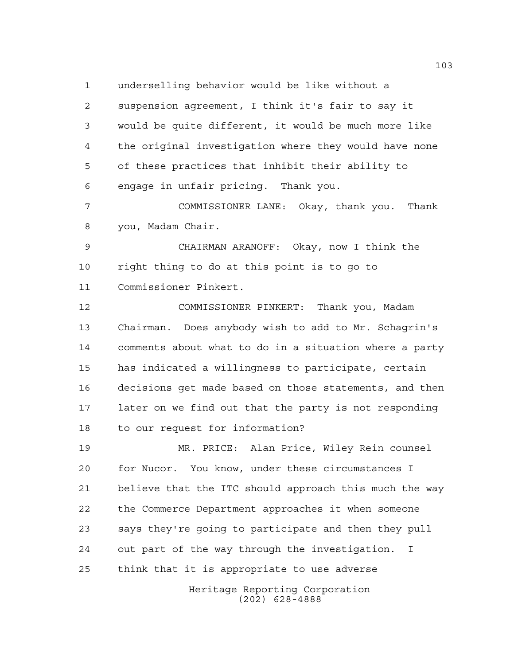underselling behavior would be like without a suspension agreement, I think it's fair to say it would be quite different, it would be much more like the original investigation where they would have none of these practices that inhibit their ability to engage in unfair pricing. Thank you.

 COMMISSIONER LANE: Okay, thank you. Thank you, Madam Chair.

 CHAIRMAN ARANOFF: Okay, now I think the right thing to do at this point is to go to Commissioner Pinkert.

 COMMISSIONER PINKERT: Thank you, Madam Chairman. Does anybody wish to add to Mr. Schagrin's comments about what to do in a situation where a party has indicated a willingness to participate, certain decisions get made based on those statements, and then later on we find out that the party is not responding to our request for information?

 MR. PRICE: Alan Price, Wiley Rein counsel for Nucor. You know, under these circumstances I believe that the ITC should approach this much the way the Commerce Department approaches it when someone says they're going to participate and then they pull out part of the way through the investigation. I think that it is appropriate to use adverse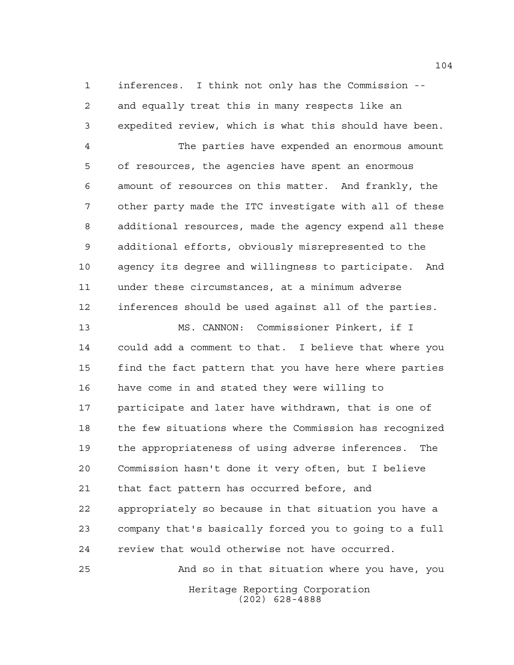inferences. I think not only has the Commission -- and equally treat this in many respects like an expedited review, which is what this should have been.

 The parties have expended an enormous amount of resources, the agencies have spent an enormous amount of resources on this matter. And frankly, the other party made the ITC investigate with all of these additional resources, made the agency expend all these additional efforts, obviously misrepresented to the agency its degree and willingness to participate. And under these circumstances, at a minimum adverse inferences should be used against all of the parties.

 MS. CANNON: Commissioner Pinkert, if I could add a comment to that. I believe that where you find the fact pattern that you have here where parties have come in and stated they were willing to participate and later have withdrawn, that is one of the few situations where the Commission has recognized the appropriateness of using adverse inferences. The Commission hasn't done it very often, but I believe that fact pattern has occurred before, and appropriately so because in that situation you have a company that's basically forced you to going to a full review that would otherwise not have occurred.

Heritage Reporting Corporation (202) 628-4888 And so in that situation where you have, you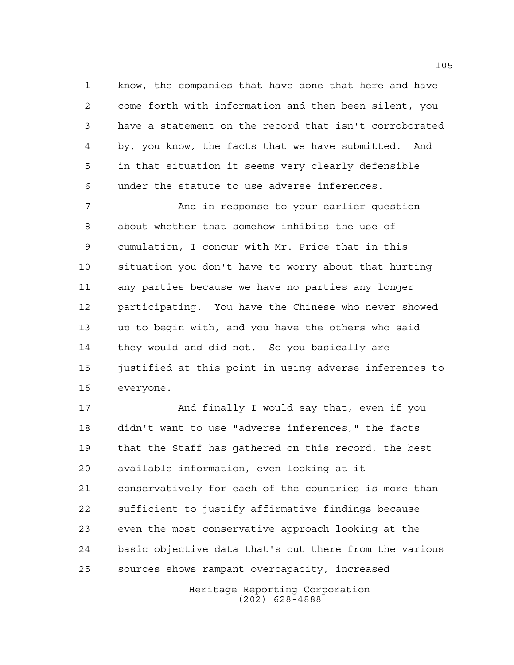know, the companies that have done that here and have come forth with information and then been silent, you have a statement on the record that isn't corroborated by, you know, the facts that we have submitted. And in that situation it seems very clearly defensible under the statute to use adverse inferences.

 And in response to your earlier question about whether that somehow inhibits the use of cumulation, I concur with Mr. Price that in this situation you don't have to worry about that hurting any parties because we have no parties any longer participating. You have the Chinese who never showed up to begin with, and you have the others who said they would and did not. So you basically are 15 justified at this point in using adverse inferences to everyone.

17 And finally I would say that, even if you didn't want to use "adverse inferences," the facts that the Staff has gathered on this record, the best available information, even looking at it conservatively for each of the countries is more than sufficient to justify affirmative findings because even the most conservative approach looking at the basic objective data that's out there from the various sources shows rampant overcapacity, increased

> Heritage Reporting Corporation (202) 628-4888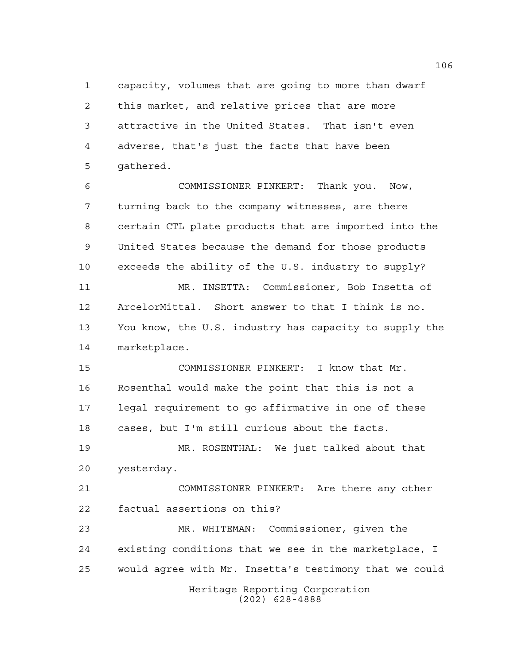capacity, volumes that are going to more than dwarf this market, and relative prices that are more attractive in the United States. That isn't even adverse, that's just the facts that have been gathered.

 COMMISSIONER PINKERT: Thank you. Now, turning back to the company witnesses, are there certain CTL plate products that are imported into the United States because the demand for those products exceeds the ability of the U.S. industry to supply? MR. INSETTA: Commissioner, Bob Insetta of ArcelorMittal. Short answer to that I think is no. You know, the U.S. industry has capacity to supply the marketplace.

 COMMISSIONER PINKERT: I know that Mr. Rosenthal would make the point that this is not a legal requirement to go affirmative in one of these cases, but I'm still curious about the facts.

 MR. ROSENTHAL: We just talked about that yesterday.

 COMMISSIONER PINKERT: Are there any other factual assertions on this?

Heritage Reporting Corporation MR. WHITEMAN: Commissioner, given the existing conditions that we see in the marketplace, I would agree with Mr. Insetta's testimony that we could

(202) 628-4888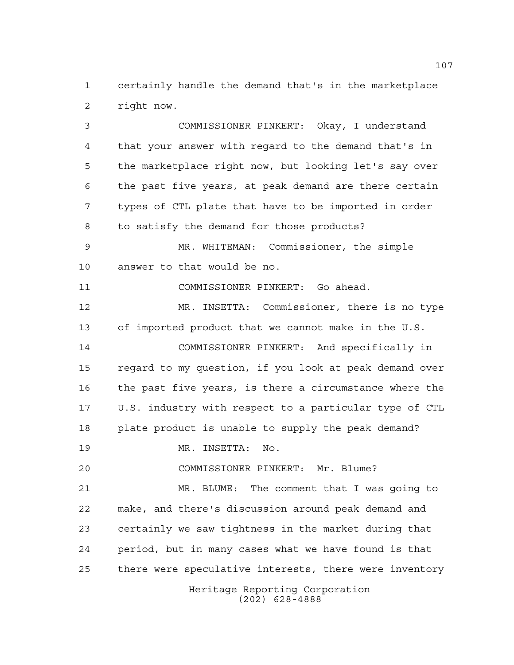certainly handle the demand that's in the marketplace right now.

 COMMISSIONER PINKERT: Okay, I understand that your answer with regard to the demand that's in the marketplace right now, but looking let's say over the past five years, at peak demand are there certain types of CTL plate that have to be imported in order to satisfy the demand for those products? MR. WHITEMAN: Commissioner, the simple answer to that would be no. COMMISSIONER PINKERT: Go ahead. MR. INSETTA: Commissioner, there is no type

 of imported product that we cannot make in the U.S. COMMISSIONER PINKERT: And specifically in regard to my question, if you look at peak demand over the past five years, is there a circumstance where the U.S. industry with respect to a particular type of CTL plate product is unable to supply the peak demand?

MR. INSETTA: No.

COMMISSIONER PINKERT: Mr. Blume?

 MR. BLUME: The comment that I was going to make, and there's discussion around peak demand and certainly we saw tightness in the market during that period, but in many cases what we have found is that there were speculative interests, there were inventory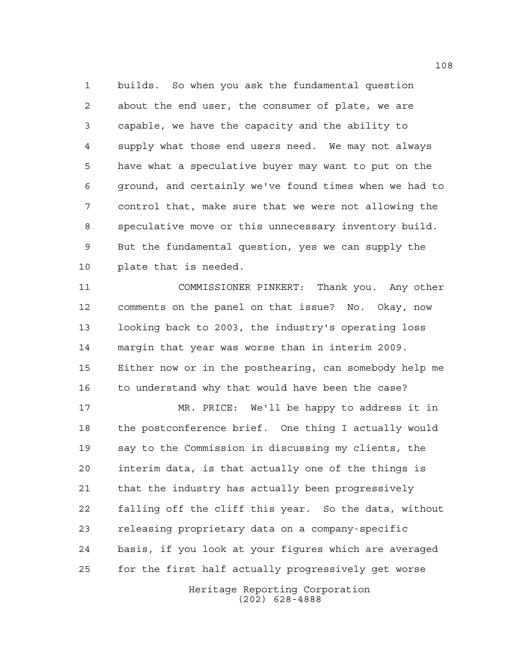builds. So when you ask the fundamental question about the end user, the consumer of plate, we are capable, we have the capacity and the ability to supply what those end users need. We may not always have what a speculative buyer may want to put on the ground, and certainly we've found times when we had to control that, make sure that we were not allowing the speculative move or this unnecessary inventory build. But the fundamental question, yes we can supply the plate that is needed.

 COMMISSIONER PINKERT: Thank you. Any other comments on the panel on that issue? No. Okay, now looking back to 2003, the industry's operating loss margin that year was worse than in interim 2009. Either now or in the posthearing, can somebody help me to understand why that would have been the case?

 MR. PRICE: We'll be happy to address it in the postconference brief. One thing I actually would say to the Commission in discussing my clients, the interim data, is that actually one of the things is that the industry has actually been progressively falling off the cliff this year. So the data, without releasing proprietary data on a company-specific basis, if you look at your figures which are averaged for the first half actually progressively get worse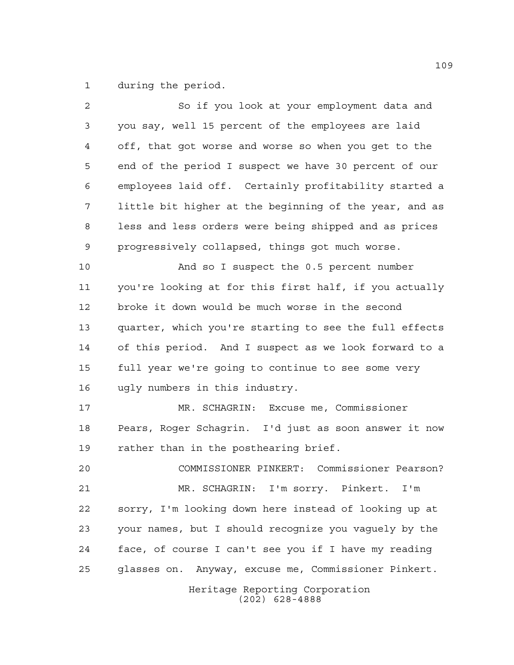during the period.

| 2  | So if you look at your employment data and             |
|----|--------------------------------------------------------|
| 3  | you say, well 15 percent of the employees are laid     |
| 4  | off, that got worse and worse so when you get to the   |
| 5  | end of the period I suspect we have 30 percent of our  |
| 6  | employees laid off. Certainly profitability started a  |
| 7  | little bit higher at the beginning of the year, and as |
| 8  | less and less orders were being shipped and as prices  |
| 9  | progressively collapsed, things got much worse.        |
| 10 | And so I suspect the 0.5 percent number                |
| 11 | you're looking at for this first half, if you actually |
| 12 | broke it down would be much worse in the second        |
| 13 | quarter, which you're starting to see the full effects |
| 14 | of this period. And I suspect as we look forward to a  |
| 15 | full year we're going to continue to see some very     |
| 16 | ugly numbers in this industry.                         |
| 17 | MR. SCHAGRIN: Excuse me, Commissioner                  |
| 18 | Pears, Roger Schagrin. I'd just as soon answer it now  |
| 19 | rather than in the posthearing brief.                  |
| 20 | COMMISSIONER PINKERT: Commissioner Pearson?            |
| 21 | MR. SCHAGRIN: I'm sorry. Pinkert. I'm                  |
| 22 | sorry, I'm looking down here instead of looking up at  |
| 23 | your names, but I should recognize you vaguely by the  |
| 24 | face, of course I can't see you if I have my reading   |
| 25 | glasses on. Anyway, excuse me, Commissioner Pinkert.   |
|    | Heritage Reporting Corporation<br>$(202)$ 628-4888     |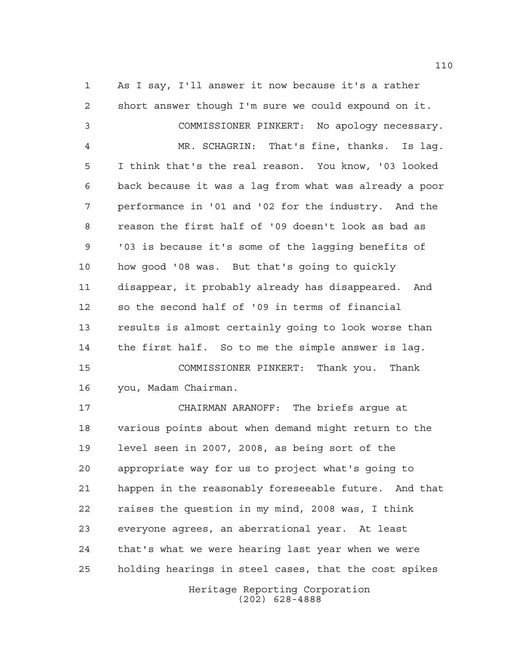As I say, I'll answer it now because it's a rather short answer though I'm sure we could expound on it. COMMISSIONER PINKERT: No apology necessary. MR. SCHAGRIN: That's fine, thanks. Is lag. I think that's the real reason. You know, '03 looked back because it was a lag from what was already a poor performance in '01 and '02 for the industry. And the reason the first half of '09 doesn't look as bad as '03 is because it's some of the lagging benefits of how good '08 was. But that's going to quickly disappear, it probably already has disappeared. And so the second half of '09 in terms of financial results is almost certainly going to look worse than the first half. So to me the simple answer is lag. COMMISSIONER PINKERT: Thank you. Thank you, Madam Chairman. CHAIRMAN ARANOFF: The briefs argue at various points about when demand might return to the level seen in 2007, 2008, as being sort of the appropriate way for us to project what's going to happen in the reasonably foreseeable future. And that raises the question in my mind, 2008 was, I think everyone agrees, an aberrational year. At least that's what we were hearing last year when we were holding hearings in steel cases, that the cost spikes

> Heritage Reporting Corporation (202) 628-4888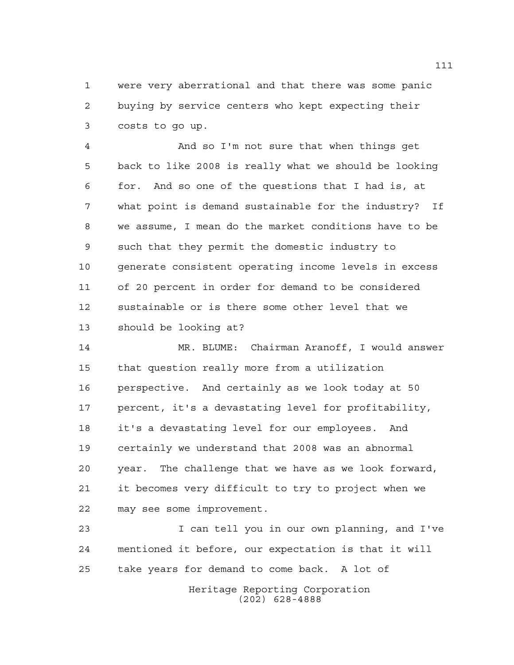were very aberrational and that there was some panic buying by service centers who kept expecting their costs to go up.

 And so I'm not sure that when things get back to like 2008 is really what we should be looking for. And so one of the questions that I had is, at what point is demand sustainable for the industry? If we assume, I mean do the market conditions have to be such that they permit the domestic industry to generate consistent operating income levels in excess of 20 percent in order for demand to be considered sustainable or is there some other level that we should be looking at?

 MR. BLUME: Chairman Aranoff, I would answer that question really more from a utilization perspective. And certainly as we look today at 50 percent, it's a devastating level for profitability, it's a devastating level for our employees. And certainly we understand that 2008 was an abnormal year. The challenge that we have as we look forward, it becomes very difficult to try to project when we may see some improvement.

 I can tell you in our own planning, and I've mentioned it before, our expectation is that it will take years for demand to come back. A lot of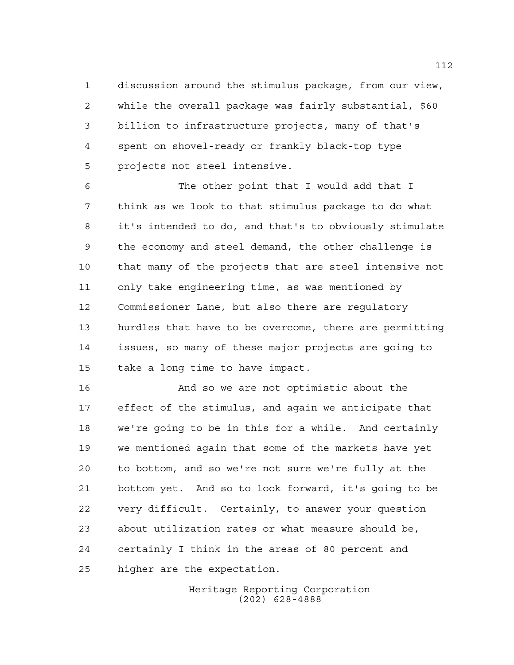discussion around the stimulus package, from our view, while the overall package was fairly substantial, \$60 billion to infrastructure projects, many of that's spent on shovel-ready or frankly black-top type projects not steel intensive.

 The other point that I would add that I think as we look to that stimulus package to do what it's intended to do, and that's to obviously stimulate the economy and steel demand, the other challenge is that many of the projects that are steel intensive not only take engineering time, as was mentioned by Commissioner Lane, but also there are regulatory hurdles that have to be overcome, there are permitting issues, so many of these major projects are going to take a long time to have impact.

 And so we are not optimistic about the effect of the stimulus, and again we anticipate that we're going to be in this for a while. And certainly we mentioned again that some of the markets have yet to bottom, and so we're not sure we're fully at the bottom yet. And so to look forward, it's going to be very difficult. Certainly, to answer your question about utilization rates or what measure should be, certainly I think in the areas of 80 percent and higher are the expectation.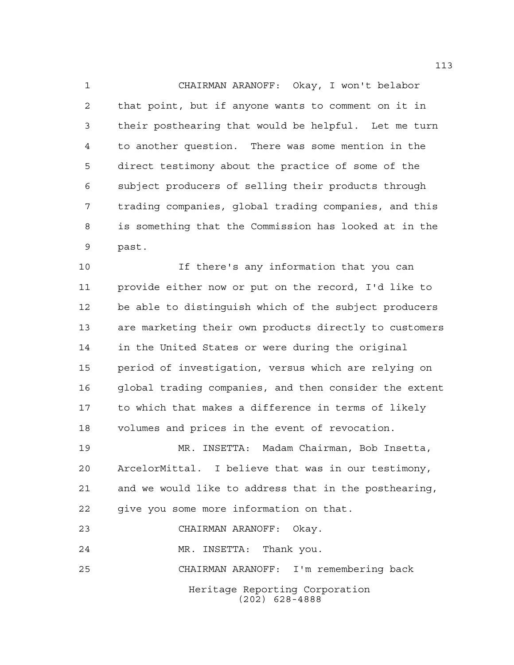CHAIRMAN ARANOFF: Okay, I won't belabor that point, but if anyone wants to comment on it in their posthearing that would be helpful. Let me turn to another question. There was some mention in the direct testimony about the practice of some of the subject producers of selling their products through trading companies, global trading companies, and this is something that the Commission has looked at in the past.

 If there's any information that you can provide either now or put on the record, I'd like to be able to distinguish which of the subject producers are marketing their own products directly to customers in the United States or were during the original period of investigation, versus which are relying on global trading companies, and then consider the extent to which that makes a difference in terms of likely volumes and prices in the event of revocation.

 MR. INSETTA: Madam Chairman, Bob Insetta, ArcelorMittal. I believe that was in our testimony, and we would like to address that in the posthearing, give you some more information on that.

CHAIRMAN ARANOFF: Okay.

MR. INSETTA: Thank you.

CHAIRMAN ARANOFF: I'm remembering back

Heritage Reporting Corporation (202) 628-4888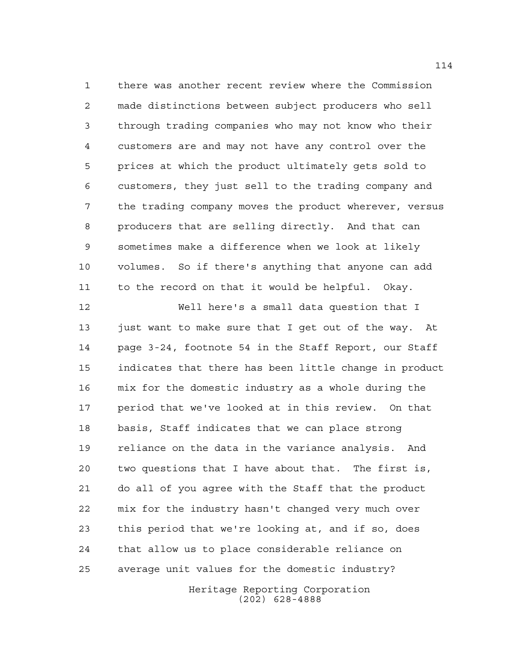there was another recent review where the Commission made distinctions between subject producers who sell through trading companies who may not know who their customers are and may not have any control over the prices at which the product ultimately gets sold to customers, they just sell to the trading company and the trading company moves the product wherever, versus producers that are selling directly. And that can sometimes make a difference when we look at likely volumes. So if there's anything that anyone can add to the record on that it would be helpful. Okay.

 Well here's a small data question that I just want to make sure that I get out of the way. At page 3-24, footnote 54 in the Staff Report, our Staff indicates that there has been little change in product mix for the domestic industry as a whole during the period that we've looked at in this review. On that basis, Staff indicates that we can place strong reliance on the data in the variance analysis. And two questions that I have about that. The first is, do all of you agree with the Staff that the product mix for the industry hasn't changed very much over this period that we're looking at, and if so, does that allow us to place considerable reliance on average unit values for the domestic industry?

> Heritage Reporting Corporation (202) 628-4888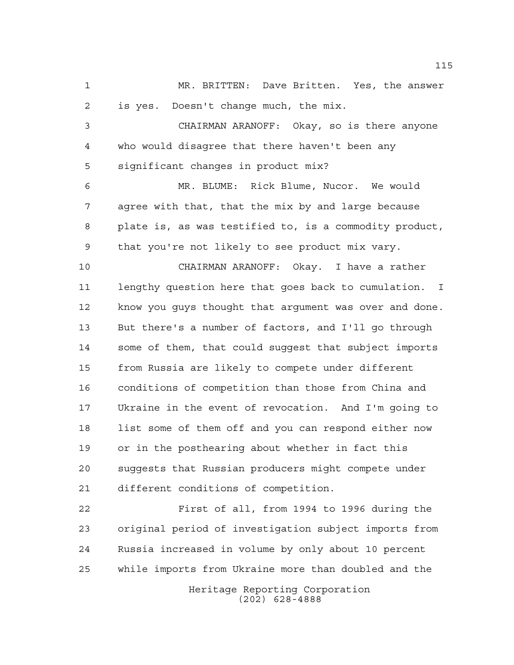MR. BRITTEN: Dave Britten. Yes, the answer is yes. Doesn't change much, the mix.

 CHAIRMAN ARANOFF: Okay, so is there anyone who would disagree that there haven't been any significant changes in product mix?

 MR. BLUME: Rick Blume, Nucor. We would agree with that, that the mix by and large because plate is, as was testified to, is a commodity product, that you're not likely to see product mix vary.

 CHAIRMAN ARANOFF: Okay. I have a rather lengthy question here that goes back to cumulation. I know you guys thought that argument was over and done. But there's a number of factors, and I'll go through some of them, that could suggest that subject imports from Russia are likely to compete under different conditions of competition than those from China and Ukraine in the event of revocation. And I'm going to list some of them off and you can respond either now or in the posthearing about whether in fact this suggests that Russian producers might compete under different conditions of competition.

 First of all, from 1994 to 1996 during the original period of investigation subject imports from Russia increased in volume by only about 10 percent while imports from Ukraine more than doubled and the

Heritage Reporting Corporation (202) 628-4888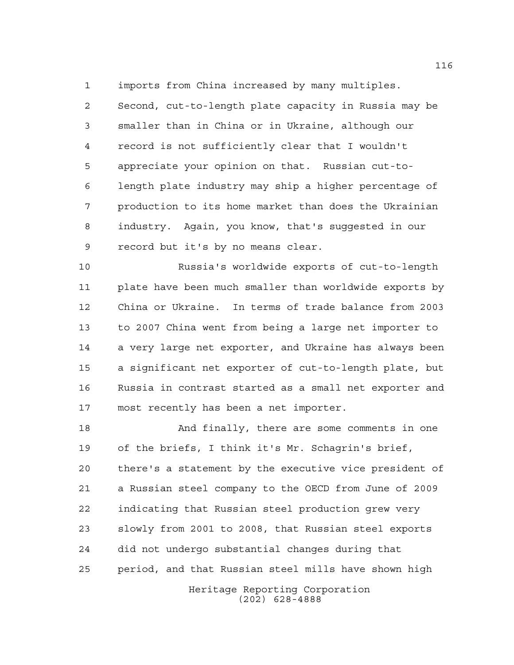imports from China increased by many multiples.

 Second, cut-to-length plate capacity in Russia may be smaller than in China or in Ukraine, although our record is not sufficiently clear that I wouldn't appreciate your opinion on that. Russian cut-to- length plate industry may ship a higher percentage of production to its home market than does the Ukrainian industry. Again, you know, that's suggested in our record but it's by no means clear.

 Russia's worldwide exports of cut-to-length plate have been much smaller than worldwide exports by China or Ukraine. In terms of trade balance from 2003 to 2007 China went from being a large net importer to a very large net exporter, and Ukraine has always been a significant net exporter of cut-to-length plate, but Russia in contrast started as a small net exporter and most recently has been a net importer.

 And finally, there are some comments in one of the briefs, I think it's Mr. Schagrin's brief, there's a statement by the executive vice president of a Russian steel company to the OECD from June of 2009 indicating that Russian steel production grew very slowly from 2001 to 2008, that Russian steel exports did not undergo substantial changes during that period, and that Russian steel mills have shown high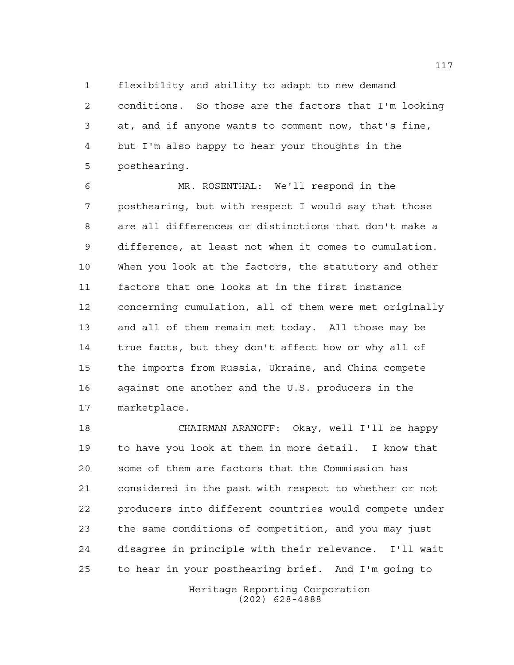flexibility and ability to adapt to new demand

 conditions. So those are the factors that I'm looking at, and if anyone wants to comment now, that's fine, but I'm also happy to hear your thoughts in the posthearing.

 MR. ROSENTHAL: We'll respond in the posthearing, but with respect I would say that those are all differences or distinctions that don't make a difference, at least not when it comes to cumulation. When you look at the factors, the statutory and other factors that one looks at in the first instance concerning cumulation, all of them were met originally and all of them remain met today. All those may be true facts, but they don't affect how or why all of the imports from Russia, Ukraine, and China compete against one another and the U.S. producers in the marketplace.

 CHAIRMAN ARANOFF: Okay, well I'll be happy to have you look at them in more detail. I know that some of them are factors that the Commission has considered in the past with respect to whether or not producers into different countries would compete under the same conditions of competition, and you may just disagree in principle with their relevance. I'll wait to hear in your posthearing brief. And I'm going to

> Heritage Reporting Corporation (202) 628-4888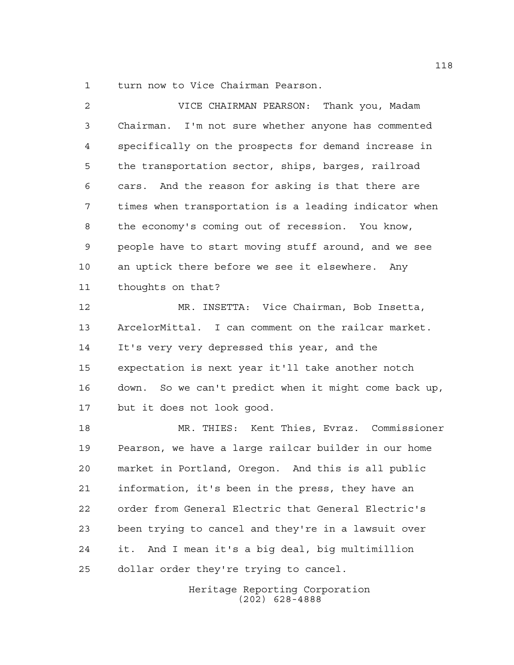turn now to Vice Chairman Pearson.

 VICE CHAIRMAN PEARSON: Thank you, Madam Chairman. I'm not sure whether anyone has commented specifically on the prospects for demand increase in the transportation sector, ships, barges, railroad cars. And the reason for asking is that there are times when transportation is a leading indicator when the economy's coming out of recession. You know, people have to start moving stuff around, and we see an uptick there before we see it elsewhere. Any thoughts on that?

 MR. INSETTA: Vice Chairman, Bob Insetta, ArcelorMittal. I can comment on the railcar market. It's very very depressed this year, and the expectation is next year it'll take another notch down. So we can't predict when it might come back up, but it does not look good.

 MR. THIES: Kent Thies, Evraz. Commissioner Pearson, we have a large railcar builder in our home market in Portland, Oregon. And this is all public information, it's been in the press, they have an order from General Electric that General Electric's been trying to cancel and they're in a lawsuit over it. And I mean it's a big deal, big multimillion dollar order they're trying to cancel.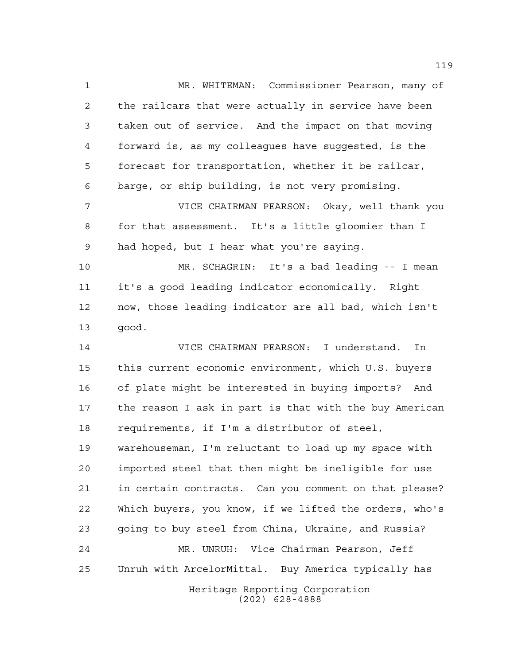Heritage Reporting Corporation (202) 628-4888 MR. WHITEMAN: Commissioner Pearson, many of the railcars that were actually in service have been taken out of service. And the impact on that moving forward is, as my colleagues have suggested, is the forecast for transportation, whether it be railcar, barge, or ship building, is not very promising. VICE CHAIRMAN PEARSON: Okay, well thank you for that assessment. It's a little gloomier than I had hoped, but I hear what you're saying. MR. SCHAGRIN: It's a bad leading -- I mean it's a good leading indicator economically. Right now, those leading indicator are all bad, which isn't good. VICE CHAIRMAN PEARSON: I understand. In this current economic environment, which U.S. buyers of plate might be interested in buying imports? And the reason I ask in part is that with the buy American requirements, if I'm a distributor of steel, warehouseman, I'm reluctant to load up my space with imported steel that then might be ineligible for use in certain contracts. Can you comment on that please? Which buyers, you know, if we lifted the orders, who's going to buy steel from China, Ukraine, and Russia? MR. UNRUH: Vice Chairman Pearson, Jeff Unruh with ArcelorMittal. Buy America typically has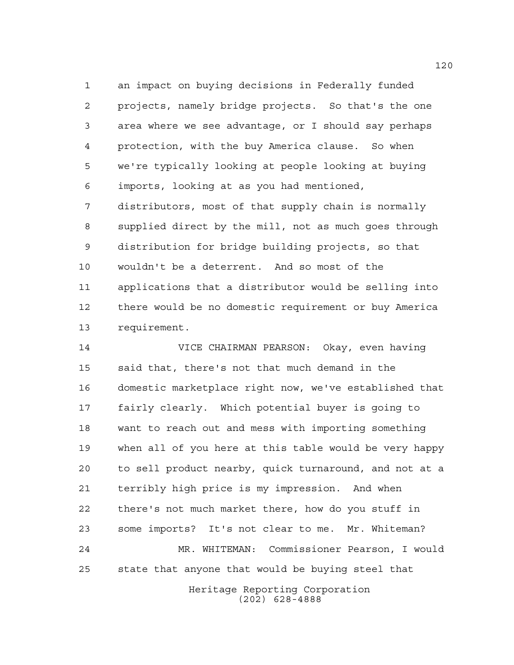an impact on buying decisions in Federally funded projects, namely bridge projects. So that's the one area where we see advantage, or I should say perhaps protection, with the buy America clause. So when we're typically looking at people looking at buying imports, looking at as you had mentioned, distributors, most of that supply chain is normally supplied direct by the mill, not as much goes through distribution for bridge building projects, so that wouldn't be a deterrent. And so most of the applications that a distributor would be selling into there would be no domestic requirement or buy America requirement.

 VICE CHAIRMAN PEARSON: Okay, even having said that, there's not that much demand in the domestic marketplace right now, we've established that fairly clearly. Which potential buyer is going to want to reach out and mess with importing something when all of you here at this table would be very happy to sell product nearby, quick turnaround, and not at a terribly high price is my impression. And when there's not much market there, how do you stuff in some imports? It's not clear to me. Mr. Whiteman? MR. WHITEMAN: Commissioner Pearson, I would state that anyone that would be buying steel that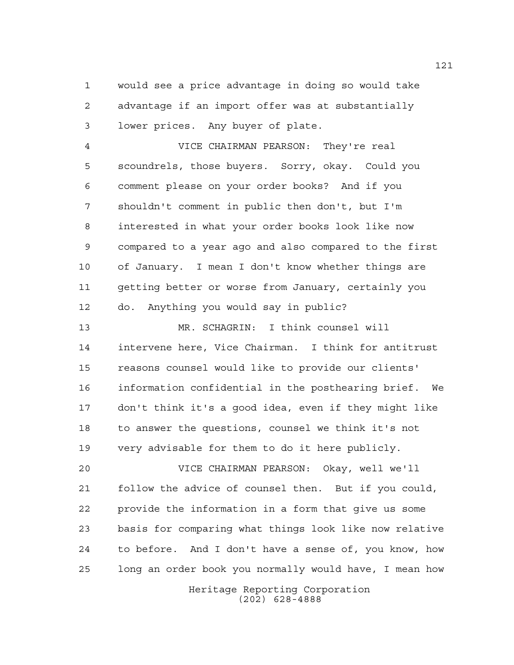would see a price advantage in doing so would take advantage if an import offer was at substantially lower prices. Any buyer of plate.

 VICE CHAIRMAN PEARSON: They're real scoundrels, those buyers. Sorry, okay. Could you comment please on your order books? And if you shouldn't comment in public then don't, but I'm interested in what your order books look like now compared to a year ago and also compared to the first of January. I mean I don't know whether things are getting better or worse from January, certainly you do. Anything you would say in public?

 MR. SCHAGRIN: I think counsel will intervene here, Vice Chairman. I think for antitrust reasons counsel would like to provide our clients' information confidential in the posthearing brief. We don't think it's a good idea, even if they might like to answer the questions, counsel we think it's not very advisable for them to do it here publicly.

 VICE CHAIRMAN PEARSON: Okay, well we'll follow the advice of counsel then. But if you could, provide the information in a form that give us some basis for comparing what things look like now relative to before. And I don't have a sense of, you know, how long an order book you normally would have, I mean how

> Heritage Reporting Corporation (202) 628-4888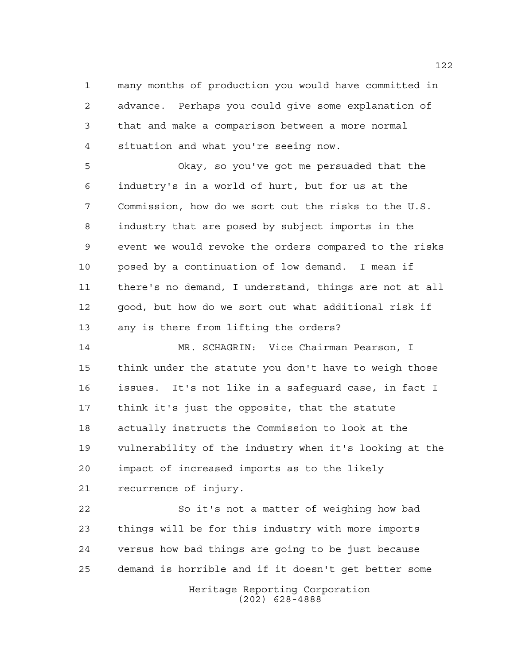many months of production you would have committed in advance. Perhaps you could give some explanation of that and make a comparison between a more normal situation and what you're seeing now.

 Okay, so you've got me persuaded that the industry's in a world of hurt, but for us at the Commission, how do we sort out the risks to the U.S. industry that are posed by subject imports in the event we would revoke the orders compared to the risks posed by a continuation of low demand. I mean if there's no demand, I understand, things are not at all good, but how do we sort out what additional risk if any is there from lifting the orders?

 MR. SCHAGRIN: Vice Chairman Pearson, I think under the statute you don't have to weigh those issues. It's not like in a safeguard case, in fact I think it's just the opposite, that the statute actually instructs the Commission to look at the vulnerability of the industry when it's looking at the impact of increased imports as to the likely recurrence of injury.

 So it's not a matter of weighing how bad things will be for this industry with more imports versus how bad things are going to be just because demand is horrible and if it doesn't get better some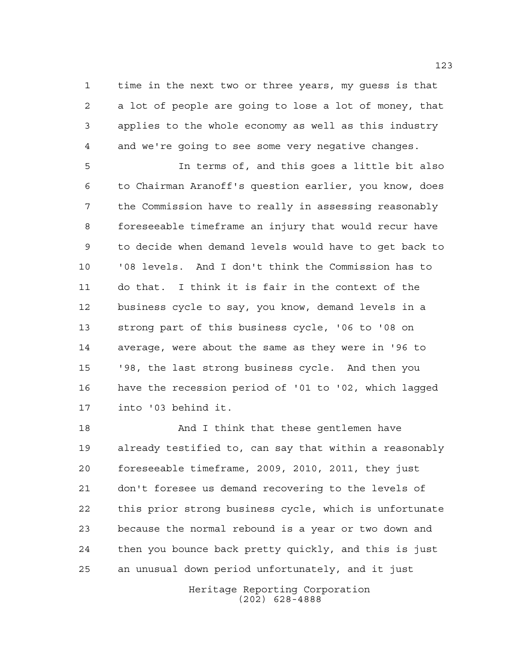time in the next two or three years, my guess is that a lot of people are going to lose a lot of money, that applies to the whole economy as well as this industry and we're going to see some very negative changes.

 In terms of, and this goes a little bit also to Chairman Aranoff's question earlier, you know, does the Commission have to really in assessing reasonably foreseeable timeframe an injury that would recur have to decide when demand levels would have to get back to '08 levels. And I don't think the Commission has to do that. I think it is fair in the context of the business cycle to say, you know, demand levels in a strong part of this business cycle, '06 to '08 on average, were about the same as they were in '96 to '98, the last strong business cycle. And then you have the recession period of '01 to '02, which lagged into '03 behind it.

 And I think that these gentlemen have already testified to, can say that within a reasonably foreseeable timeframe, 2009, 2010, 2011, they just don't foresee us demand recovering to the levels of this prior strong business cycle, which is unfortunate because the normal rebound is a year or two down and then you bounce back pretty quickly, and this is just an unusual down period unfortunately, and it just

> Heritage Reporting Corporation (202) 628-4888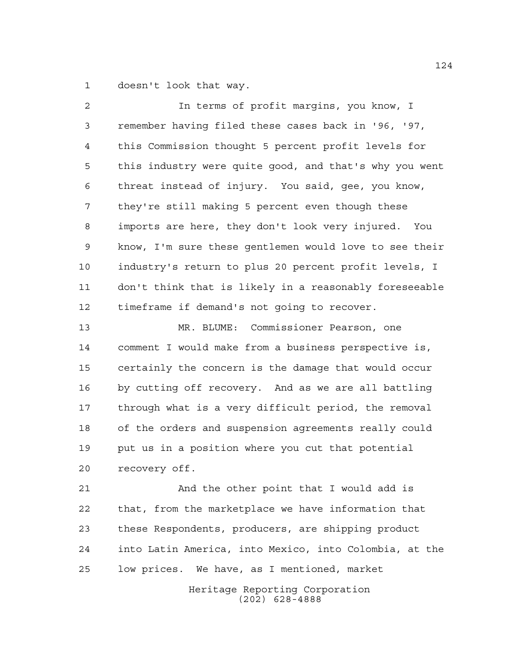doesn't look that way.

 In terms of profit margins, you know, I remember having filed these cases back in '96, '97, this Commission thought 5 percent profit levels for this industry were quite good, and that's why you went threat instead of injury. You said, gee, you know, they're still making 5 percent even though these imports are here, they don't look very injured. You know, I'm sure these gentlemen would love to see their industry's return to plus 20 percent profit levels, I don't think that is likely in a reasonably foreseeable timeframe if demand's not going to recover. MR. BLUME: Commissioner Pearson, one comment I would make from a business perspective is, certainly the concern is the damage that would occur by cutting off recovery. And as we are all battling through what is a very difficult period, the removal of the orders and suspension agreements really could

 put us in a position where you cut that potential recovery off.

 And the other point that I would add is that, from the marketplace we have information that these Respondents, producers, are shipping product into Latin America, into Mexico, into Colombia, at the low prices. We have, as I mentioned, market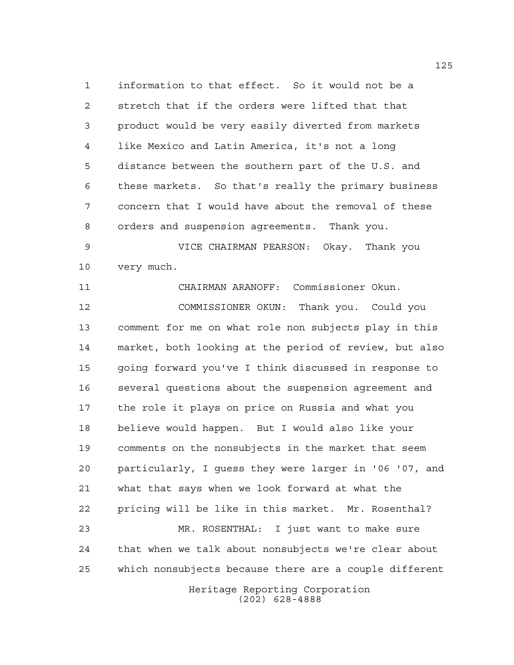information to that effect. So it would not be a stretch that if the orders were lifted that that product would be very easily diverted from markets like Mexico and Latin America, it's not a long distance between the southern part of the U.S. and these markets. So that's really the primary business concern that I would have about the removal of these orders and suspension agreements. Thank you.

 VICE CHAIRMAN PEARSON: Okay. Thank you very much.

 CHAIRMAN ARANOFF: Commissioner Okun. COMMISSIONER OKUN: Thank you. Could you comment for me on what role non subjects play in this market, both looking at the period of review, but also going forward you've I think discussed in response to several questions about the suspension agreement and the role it plays on price on Russia and what you believe would happen. But I would also like your comments on the nonsubjects in the market that seem particularly, I guess they were larger in '06 '07, and what that says when we look forward at what the pricing will be like in this market. Mr. Rosenthal? MR. ROSENTHAL: I just want to make sure that when we talk about nonsubjects we're clear about which nonsubjects because there are a couple different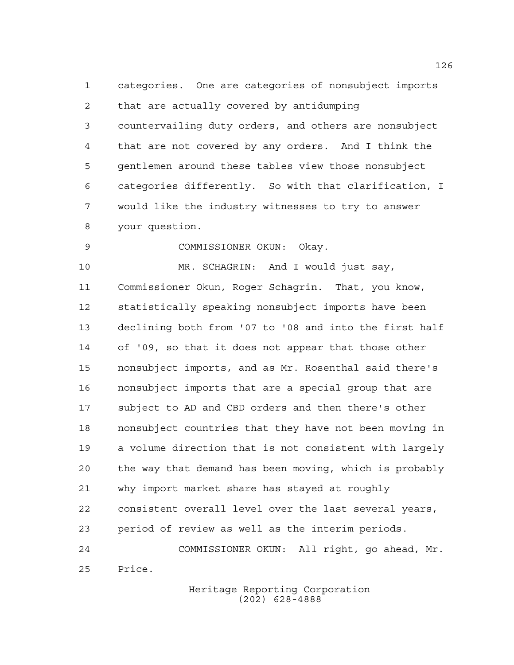categories. One are categories of nonsubject imports that are actually covered by antidumping countervailing duty orders, and others are nonsubject that are not covered by any orders. And I think the gentlemen around these tables view those nonsubject categories differently. So with that clarification, I would like the industry witnesses to try to answer your question.

COMMISSIONER OKUN: Okay.

 MR. SCHAGRIN: And I would just say, Commissioner Okun, Roger Schagrin. That, you know, statistically speaking nonsubject imports have been declining both from '07 to '08 and into the first half of '09, so that it does not appear that those other nonsubject imports, and as Mr. Rosenthal said there's nonsubject imports that are a special group that are subject to AD and CBD orders and then there's other nonsubject countries that they have not been moving in a volume direction that is not consistent with largely the way that demand has been moving, which is probably why import market share has stayed at roughly consistent overall level over the last several years, period of review as well as the interim periods. COMMISSIONER OKUN: All right, go ahead, Mr.

Price.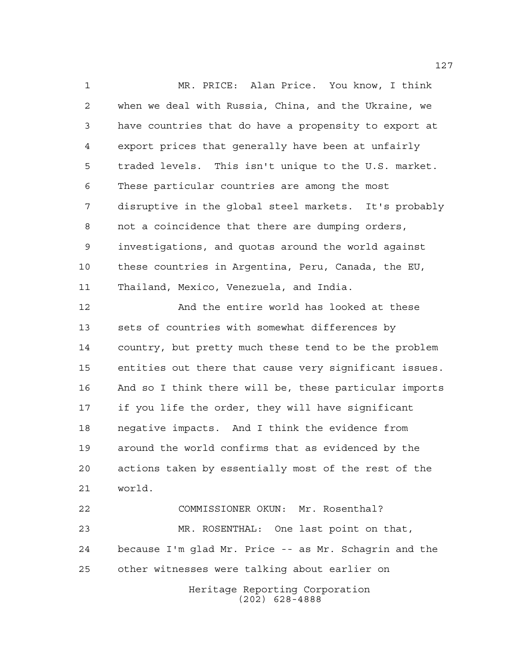MR. PRICE: Alan Price. You know, I think when we deal with Russia, China, and the Ukraine, we have countries that do have a propensity to export at export prices that generally have been at unfairly traded levels. This isn't unique to the U.S. market. These particular countries are among the most disruptive in the global steel markets. It's probably not a coincidence that there are dumping orders, investigations, and quotas around the world against these countries in Argentina, Peru, Canada, the EU, Thailand, Mexico, Venezuela, and India. And the entire world has looked at these

 sets of countries with somewhat differences by country, but pretty much these tend to be the problem entities out there that cause very significant issues. And so I think there will be, these particular imports if you life the order, they will have significant negative impacts. And I think the evidence from around the world confirms that as evidenced by the actions taken by essentially most of the rest of the world.

Heritage Reporting Corporation (202) 628-4888 COMMISSIONER OKUN: Mr. Rosenthal? MR. ROSENTHAL: One last point on that, because I'm glad Mr. Price -- as Mr. Schagrin and the other witnesses were talking about earlier on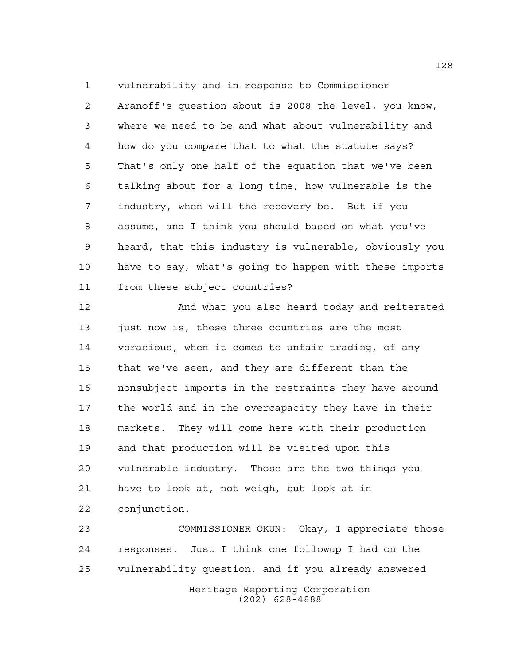vulnerability and in response to Commissioner

 Aranoff's question about is 2008 the level, you know, where we need to be and what about vulnerability and how do you compare that to what the statute says? That's only one half of the equation that we've been talking about for a long time, how vulnerable is the industry, when will the recovery be. But if you assume, and I think you should based on what you've heard, that this industry is vulnerable, obviously you have to say, what's going to happen with these imports from these subject countries?

 And what you also heard today and reiterated 13 just now is, these three countries are the most voracious, when it comes to unfair trading, of any that we've seen, and they are different than the nonsubject imports in the restraints they have around the world and in the overcapacity they have in their markets. They will come here with their production and that production will be visited upon this vulnerable industry. Those are the two things you have to look at, not weigh, but look at in conjunction.

Heritage Reporting Corporation (202) 628-4888 COMMISSIONER OKUN: Okay, I appreciate those responses. Just I think one followup I had on the vulnerability question, and if you already answered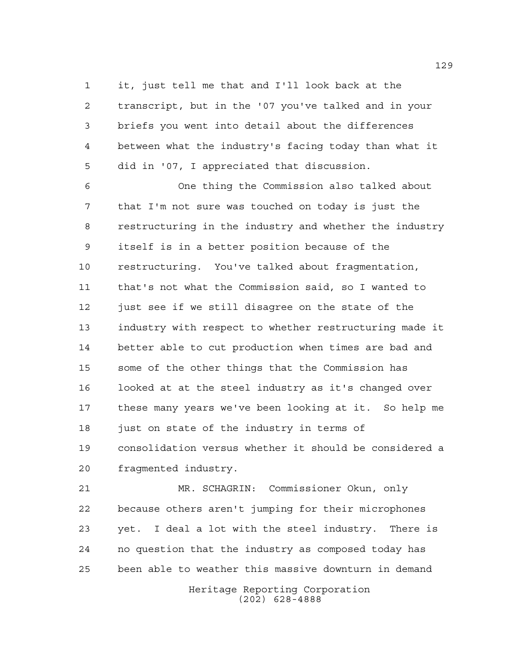it, just tell me that and I'll look back at the transcript, but in the '07 you've talked and in your briefs you went into detail about the differences between what the industry's facing today than what it did in '07, I appreciated that discussion.

 One thing the Commission also talked about that I'm not sure was touched on today is just the restructuring in the industry and whether the industry itself is in a better position because of the restructuring. You've talked about fragmentation, that's not what the Commission said, so I wanted to just see if we still disagree on the state of the industry with respect to whether restructuring made it better able to cut production when times are bad and some of the other things that the Commission has looked at at the steel industry as it's changed over these many years we've been looking at it. So help me just on state of the industry in terms of consolidation versus whether it should be considered a fragmented industry.

 MR. SCHAGRIN: Commissioner Okun, only because others aren't jumping for their microphones yet. I deal a lot with the steel industry. There is no question that the industry as composed today has been able to weather this massive downturn in demand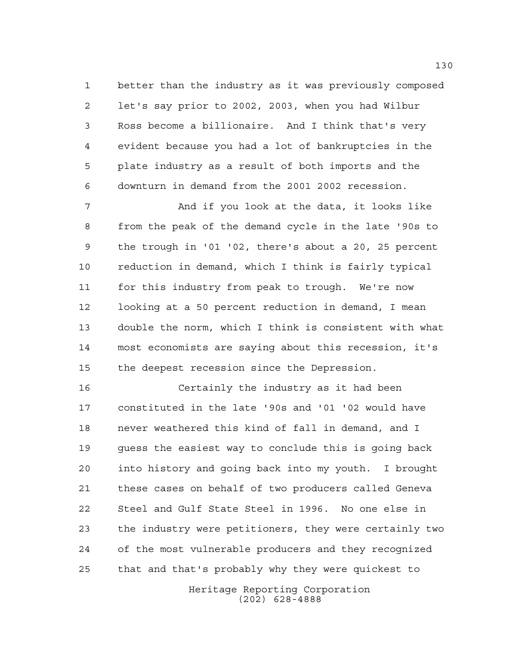better than the industry as it was previously composed let's say prior to 2002, 2003, when you had Wilbur Ross become a billionaire. And I think that's very evident because you had a lot of bankruptcies in the plate industry as a result of both imports and the downturn in demand from the 2001 2002 recession.

 And if you look at the data, it looks like from the peak of the demand cycle in the late '90s to the trough in '01 '02, there's about a 20, 25 percent reduction in demand, which I think is fairly typical for this industry from peak to trough. We're now looking at a 50 percent reduction in demand, I mean double the norm, which I think is consistent with what most economists are saying about this recession, it's the deepest recession since the Depression.

 Certainly the industry as it had been constituted in the late '90s and '01 '02 would have never weathered this kind of fall in demand, and I guess the easiest way to conclude this is going back into history and going back into my youth. I brought these cases on behalf of two producers called Geneva Steel and Gulf State Steel in 1996. No one else in the industry were petitioners, they were certainly two of the most vulnerable producers and they recognized that and that's probably why they were quickest to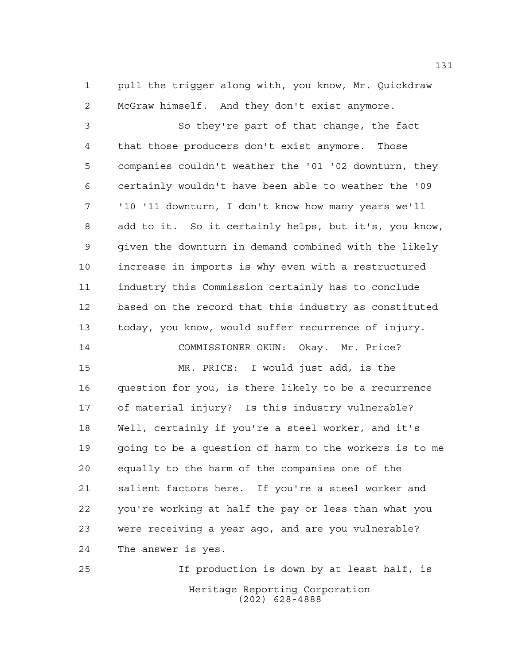pull the trigger along with, you know, Mr. Quickdraw McGraw himself. And they don't exist anymore.

 So they're part of that change, the fact that those producers don't exist anymore. Those companies couldn't weather the '01 '02 downturn, they certainly wouldn't have been able to weather the '09 '10 '11 downturn, I don't know how many years we'll add to it. So it certainly helps, but it's, you know, given the downturn in demand combined with the likely increase in imports is why even with a restructured industry this Commission certainly has to conclude based on the record that this industry as constituted today, you know, would suffer recurrence of injury.

COMMISSIONER OKUN: Okay. Mr. Price?

 MR. PRICE: I would just add, is the question for you, is there likely to be a recurrence of material injury? Is this industry vulnerable? Well, certainly if you're a steel worker, and it's going to be a question of harm to the workers is to me equally to the harm of the companies one of the salient factors here. If you're a steel worker and you're working at half the pay or less than what you were receiving a year ago, and are you vulnerable? The answer is yes.

Heritage Reporting Corporation (202) 628-4888 If production is down by at least half, is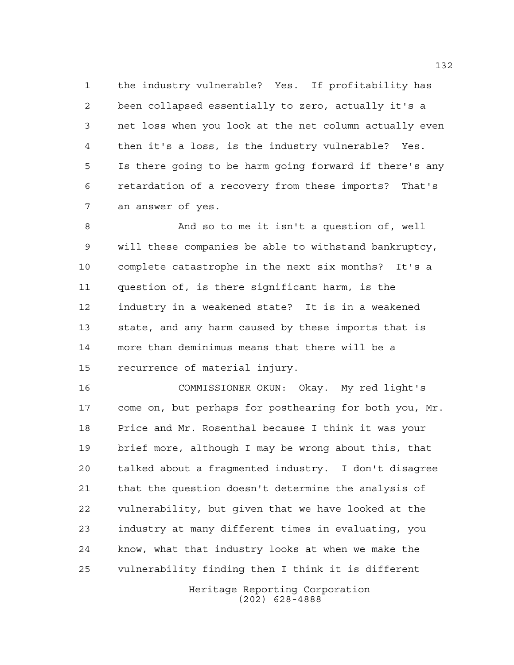the industry vulnerable? Yes. If profitability has been collapsed essentially to zero, actually it's a net loss when you look at the net column actually even then it's a loss, is the industry vulnerable? Yes. Is there going to be harm going forward if there's any retardation of a recovery from these imports? That's an answer of yes.

 And so to me it isn't a question of, well will these companies be able to withstand bankruptcy, complete catastrophe in the next six months? It's a question of, is there significant harm, is the industry in a weakened state? It is in a weakened state, and any harm caused by these imports that is more than deminimus means that there will be a recurrence of material injury.

 COMMISSIONER OKUN: Okay. My red light's come on, but perhaps for posthearing for both you, Mr. Price and Mr. Rosenthal because I think it was your brief more, although I may be wrong about this, that talked about a fragmented industry. I don't disagree that the question doesn't determine the analysis of vulnerability, but given that we have looked at the industry at many different times in evaluating, you know, what that industry looks at when we make the vulnerability finding then I think it is different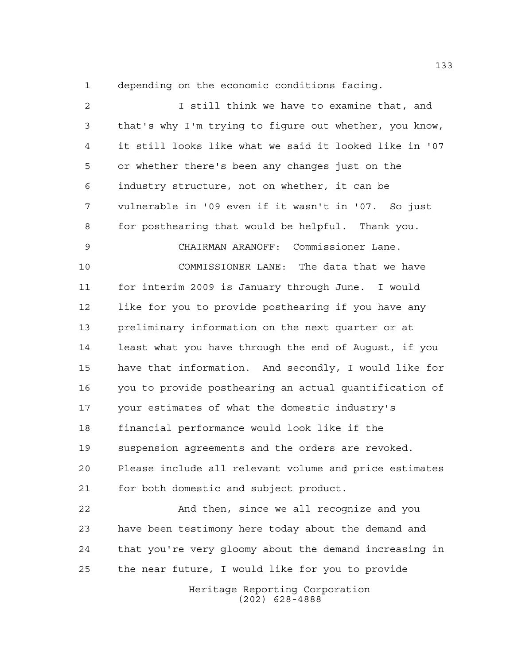depending on the economic conditions facing.

Heritage Reporting Corporation (202) 628-4888 I still think we have to examine that, and that's why I'm trying to figure out whether, you know, it still looks like what we said it looked like in '07 or whether there's been any changes just on the industry structure, not on whether, it can be vulnerable in '09 even if it wasn't in '07. So just for posthearing that would be helpful. Thank you. CHAIRMAN ARANOFF: Commissioner Lane. COMMISSIONER LANE: The data that we have for interim 2009 is January through June. I would 12 like for you to provide posthearing if you have any preliminary information on the next quarter or at least what you have through the end of August, if you have that information. And secondly, I would like for you to provide posthearing an actual quantification of your estimates of what the domestic industry's financial performance would look like if the suspension agreements and the orders are revoked. Please include all relevant volume and price estimates for both domestic and subject product. And then, since we all recognize and you have been testimony here today about the demand and that you're very gloomy about the demand increasing in the near future, I would like for you to provide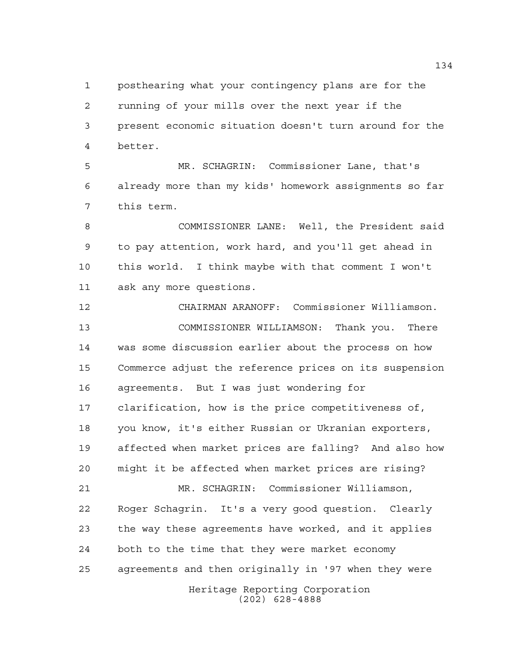posthearing what your contingency plans are for the running of your mills over the next year if the present economic situation doesn't turn around for the better.

 MR. SCHAGRIN: Commissioner Lane, that's already more than my kids' homework assignments so far this term.

 COMMISSIONER LANE: Well, the President said to pay attention, work hard, and you'll get ahead in this world. I think maybe with that comment I won't ask any more questions.

Heritage Reporting Corporation (202) 628-4888 CHAIRMAN ARANOFF: Commissioner Williamson. COMMISSIONER WILLIAMSON: Thank you. There was some discussion earlier about the process on how Commerce adjust the reference prices on its suspension agreements. But I was just wondering for clarification, how is the price competitiveness of, you know, it's either Russian or Ukranian exporters, affected when market prices are falling? And also how might it be affected when market prices are rising? MR. SCHAGRIN: Commissioner Williamson, Roger Schagrin. It's a very good question. Clearly the way these agreements have worked, and it applies both to the time that they were market economy agreements and then originally in '97 when they were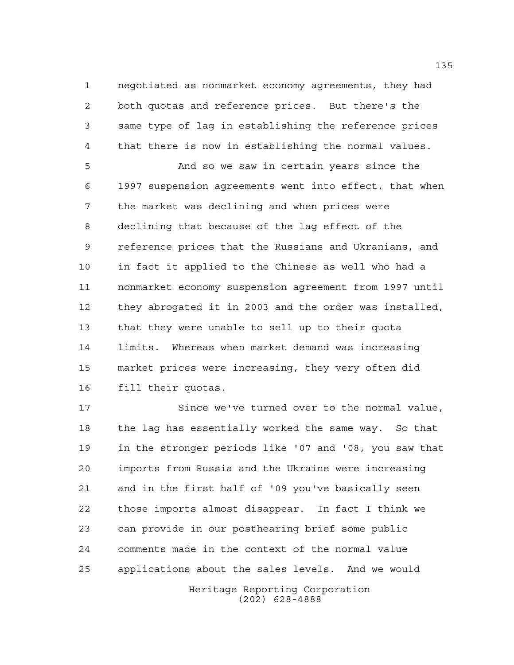negotiated as nonmarket economy agreements, they had both quotas and reference prices. But there's the same type of lag in establishing the reference prices that there is now in establishing the normal values.

 And so we saw in certain years since the 1997 suspension agreements went into effect, that when the market was declining and when prices were declining that because of the lag effect of the reference prices that the Russians and Ukranians, and in fact it applied to the Chinese as well who had a nonmarket economy suspension agreement from 1997 until they abrogated it in 2003 and the order was installed, that they were unable to sell up to their quota limits. Whereas when market demand was increasing market prices were increasing, they very often did fill their quotas.

Heritage Reporting Corporation Since we've turned over to the normal value, the lag has essentially worked the same way. So that in the stronger periods like '07 and '08, you saw that imports from Russia and the Ukraine were increasing and in the first half of '09 you've basically seen those imports almost disappear. In fact I think we can provide in our posthearing brief some public comments made in the context of the normal value applications about the sales levels. And we would

(202) 628-4888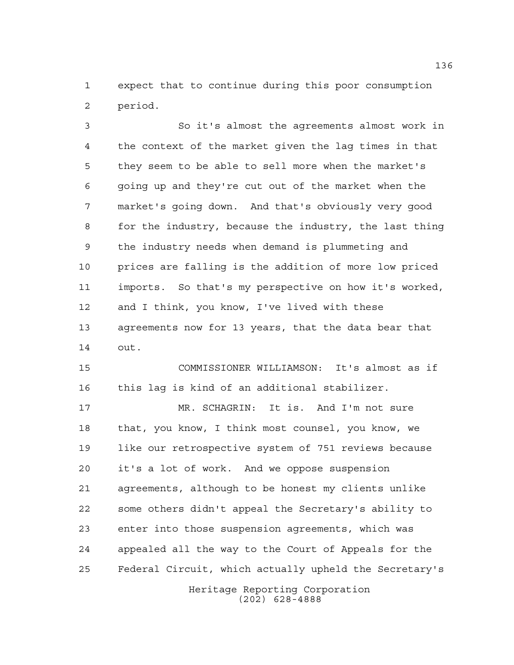expect that to continue during this poor consumption period.

 So it's almost the agreements almost work in the context of the market given the lag times in that they seem to be able to sell more when the market's going up and they're cut out of the market when the market's going down. And that's obviously very good for the industry, because the industry, the last thing the industry needs when demand is plummeting and prices are falling is the addition of more low priced imports. So that's my perspective on how it's worked, and I think, you know, I've lived with these agreements now for 13 years, that the data bear that out.

 COMMISSIONER WILLIAMSON: It's almost as if this lag is kind of an additional stabilizer.

 MR. SCHAGRIN: It is. And I'm not sure that, you know, I think most counsel, you know, we like our retrospective system of 751 reviews because it's a lot of work. And we oppose suspension agreements, although to be honest my clients unlike some others didn't appeal the Secretary's ability to enter into those suspension agreements, which was appealed all the way to the Court of Appeals for the Federal Circuit, which actually upheld the Secretary's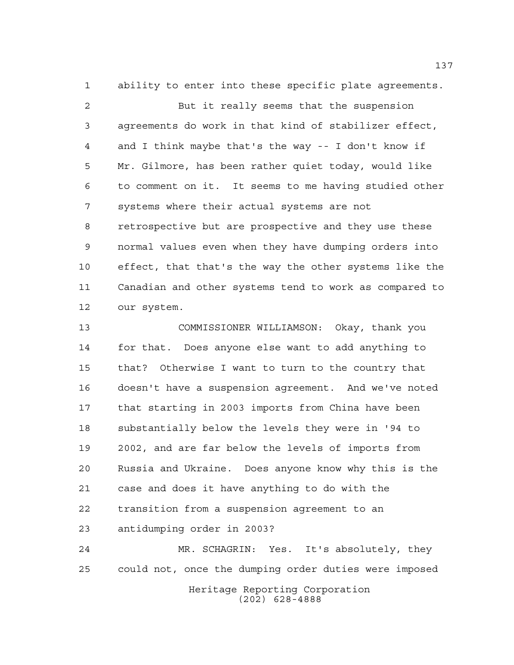ability to enter into these specific plate agreements.

 But it really seems that the suspension agreements do work in that kind of stabilizer effect, and I think maybe that's the way -- I don't know if Mr. Gilmore, has been rather quiet today, would like to comment on it. It seems to me having studied other systems where their actual systems are not retrospective but are prospective and they use these normal values even when they have dumping orders into effect, that that's the way the other systems like the Canadian and other systems tend to work as compared to our system.

 COMMISSIONER WILLIAMSON: Okay, thank you for that. Does anyone else want to add anything to that? Otherwise I want to turn to the country that doesn't have a suspension agreement. And we've noted that starting in 2003 imports from China have been substantially below the levels they were in '94 to 2002, and are far below the levels of imports from Russia and Ukraine. Does anyone know why this is the case and does it have anything to do with the transition from a suspension agreement to an antidumping order in 2003?

 MR. SCHAGRIN: Yes. It's absolutely, they could not, once the dumping order duties were imposed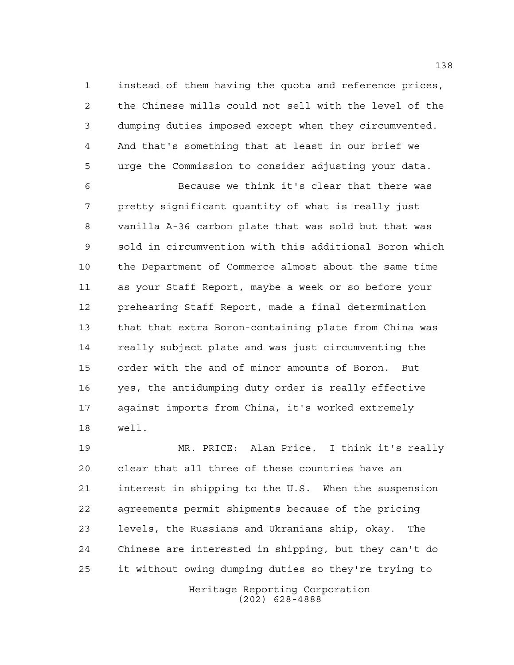instead of them having the quota and reference prices, the Chinese mills could not sell with the level of the dumping duties imposed except when they circumvented. And that's something that at least in our brief we urge the Commission to consider adjusting your data.

 Because we think it's clear that there was pretty significant quantity of what is really just vanilla A-36 carbon plate that was sold but that was sold in circumvention with this additional Boron which the Department of Commerce almost about the same time as your Staff Report, maybe a week or so before your prehearing Staff Report, made a final determination that that extra Boron-containing plate from China was really subject plate and was just circumventing the order with the and of minor amounts of Boron. But yes, the antidumping duty order is really effective against imports from China, it's worked extremely well.

Heritage Reporting Corporation MR. PRICE: Alan Price. I think it's really clear that all three of these countries have an interest in shipping to the U.S. When the suspension agreements permit shipments because of the pricing levels, the Russians and Ukranians ship, okay. The Chinese are interested in shipping, but they can't do it without owing dumping duties so they're trying to

(202) 628-4888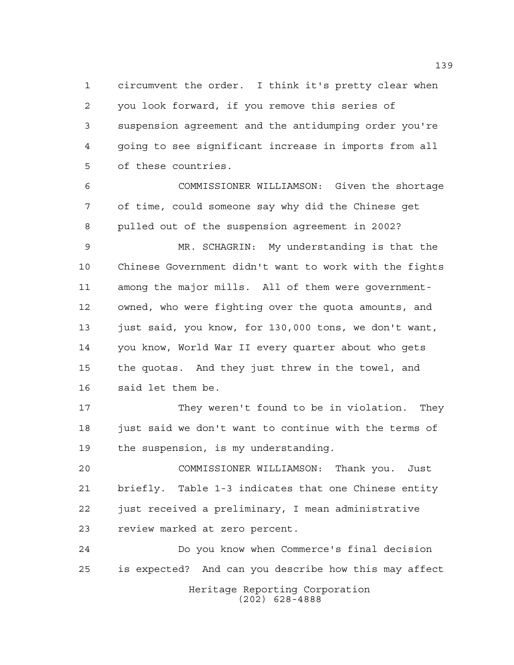circumvent the order. I think it's pretty clear when you look forward, if you remove this series of suspension agreement and the antidumping order you're going to see significant increase in imports from all of these countries.

 COMMISSIONER WILLIAMSON: Given the shortage of time, could someone say why did the Chinese get pulled out of the suspension agreement in 2002?

 MR. SCHAGRIN: My understanding is that the Chinese Government didn't want to work with the fights among the major mills. All of them were government- owned, who were fighting over the quota amounts, and just said, you know, for 130,000 tons, we don't want, you know, World War II every quarter about who gets the quotas. And they just threw in the towel, and said let them be.

 They weren't found to be in violation. They 18 just said we don't want to continue with the terms of the suspension, is my understanding.

 COMMISSIONER WILLIAMSON: Thank you. Just briefly. Table 1-3 indicates that one Chinese entity just received a preliminary, I mean administrative review marked at zero percent.

Heritage Reporting Corporation (202) 628-4888 Do you know when Commerce's final decision is expected? And can you describe how this may affect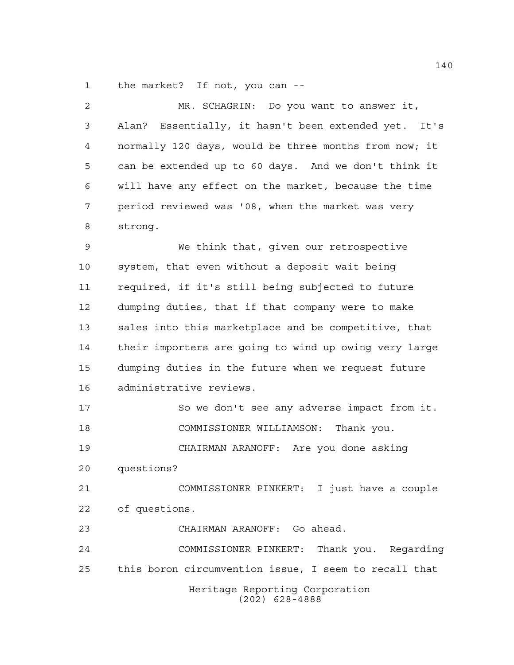the market? If not, you can --

| $\overline{a}$ | MR. SCHAGRIN: Do you want to answer it,               |
|----------------|-------------------------------------------------------|
| 3              | Alan? Essentially, it hasn't been extended yet. It's  |
| 4              | normally 120 days, would be three months from now; it |
| 5              | can be extended up to 60 days. And we don't think it  |
| 6              | will have any effect on the market, because the time  |
| 7              | period reviewed was '08, when the market was very     |
| 8              | strong.                                               |
| 9              | We think that, given our retrospective                |
| 10             | system, that even without a deposit wait being        |
| 11             | required, if it's still being subjected to future     |
| 12             | dumping duties, that if that company were to make     |
| 13             | sales into this marketplace and be competitive, that  |
| 14             | their importers are going to wind up owing very large |
| 15             | dumping duties in the future when we request future   |
| 16             | administrative reviews.                               |
| 17             | So we don't see any adverse impact from it.           |
| 18             | COMMISSIONER WILLIAMSON: Thank you.                   |
| 19             | CHAIRMAN ARANOFF: Are you done asking                 |
| 20             | questions?                                            |
| 21             | COMMISSIONER PINKERT: I just have a couple            |
| 22             | of questions.                                         |
| 23             | CHAIRMAN ARANOFF: Go ahead.                           |
| 24             | COMMISSIONER PINKERT: Thank you. Regarding            |
| 25             | this boron circumvention issue, I seem to recall that |
|                | Heritage Reporting Corporation<br>$(202)$ 628-4888    |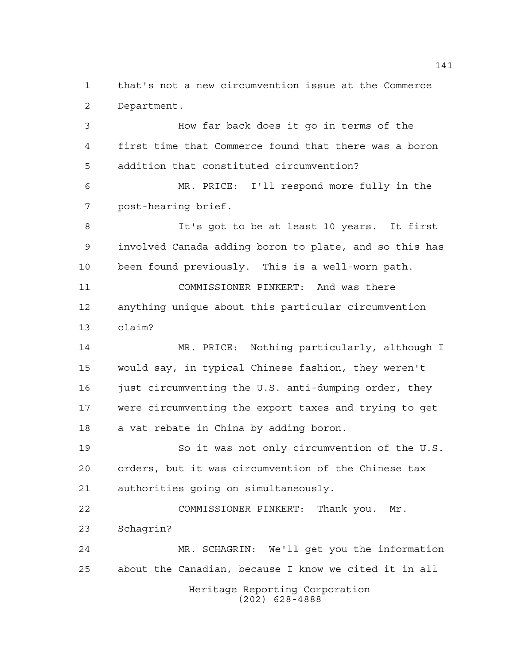that's not a new circumvention issue at the Commerce Department.

 How far back does it go in terms of the first time that Commerce found that there was a boron addition that constituted circumvention? MR. PRICE: I'll respond more fully in the post-hearing brief. It's got to be at least 10 years. It first involved Canada adding boron to plate, and so this has been found previously. This is a well-worn path. COMMISSIONER PINKERT: And was there anything unique about this particular circumvention claim? MR. PRICE: Nothing particularly, although I

 would say, in typical Chinese fashion, they weren't 16 just circumventing the U.S. anti-dumping order, they were circumventing the export taxes and trying to get a vat rebate in China by adding boron.

 So it was not only circumvention of the U.S. orders, but it was circumvention of the Chinese tax authorities going on simultaneously.

 COMMISSIONER PINKERT: Thank you. Mr. Schagrin?

Heritage Reporting Corporation (202) 628-4888 MR. SCHAGRIN: We'll get you the information about the Canadian, because I know we cited it in all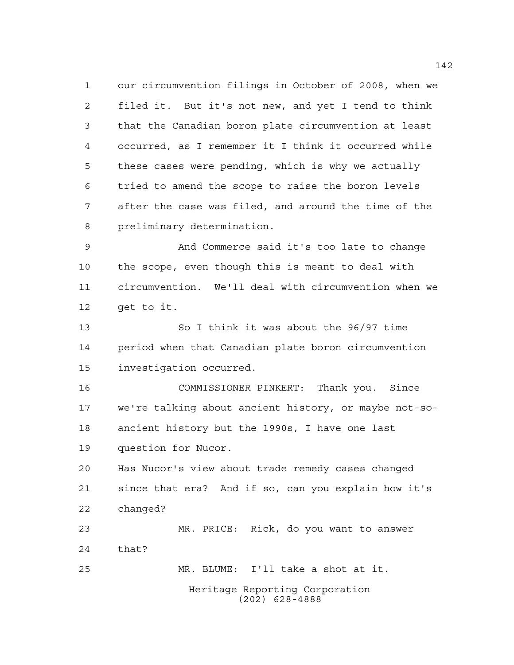our circumvention filings in October of 2008, when we filed it. But it's not new, and yet I tend to think that the Canadian boron plate circumvention at least occurred, as I remember it I think it occurred while these cases were pending, which is why we actually tried to amend the scope to raise the boron levels after the case was filed, and around the time of the preliminary determination.

 And Commerce said it's too late to change the scope, even though this is meant to deal with circumvention. We'll deal with circumvention when we get to it.

 So I think it was about the 96/97 time period when that Canadian plate boron circumvention investigation occurred.

 COMMISSIONER PINKERT: Thank you. Since we're talking about ancient history, or maybe not-so- ancient history but the 1990s, I have one last question for Nucor.

 Has Nucor's view about trade remedy cases changed since that era? And if so, can you explain how it's changed?

 MR. PRICE: Rick, do you want to answer that? MR. BLUME: I'll take a shot at it.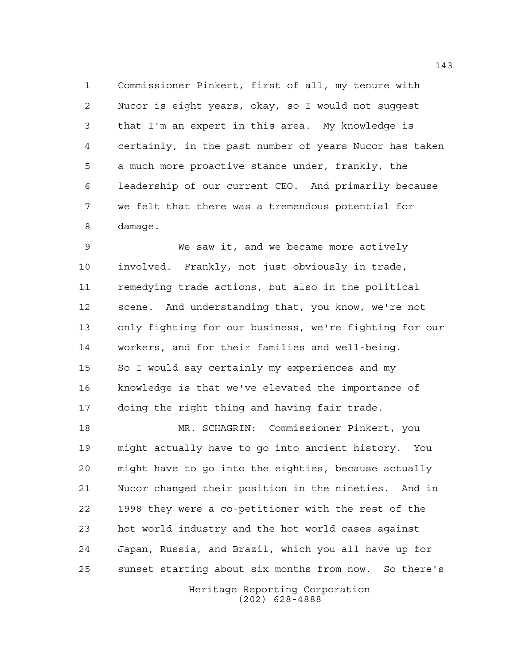Commissioner Pinkert, first of all, my tenure with Nucor is eight years, okay, so I would not suggest that I'm an expert in this area. My knowledge is certainly, in the past number of years Nucor has taken a much more proactive stance under, frankly, the leadership of our current CEO. And primarily because we felt that there was a tremendous potential for damage.

 We saw it, and we became more actively involved. Frankly, not just obviously in trade, remedying trade actions, but also in the political scene. And understanding that, you know, we're not only fighting for our business, we're fighting for our workers, and for their families and well-being. 15 So I would say certainly my experiences and my knowledge is that we've elevated the importance of doing the right thing and having fair trade.

 MR. SCHAGRIN: Commissioner Pinkert, you might actually have to go into ancient history. You might have to go into the eighties, because actually Nucor changed their position in the nineties. And in 1998 they were a co-petitioner with the rest of the hot world industry and the hot world cases against Japan, Russia, and Brazil, which you all have up for sunset starting about six months from now. So there's

> Heritage Reporting Corporation (202) 628-4888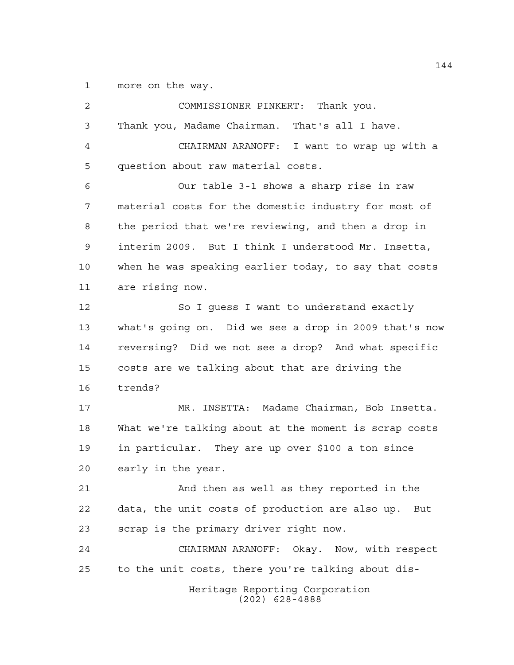more on the way.

| 2  | COMMISSIONER PINKERT: Thank you.                       |  |  |  |  |  |  |  |  |
|----|--------------------------------------------------------|--|--|--|--|--|--|--|--|
| 3  | Thank you, Madame Chairman. That's all I have.         |  |  |  |  |  |  |  |  |
| 4  | CHAIRMAN ARANOFF: I want to wrap up with a             |  |  |  |  |  |  |  |  |
| 5  | question about raw material costs.                     |  |  |  |  |  |  |  |  |
| 6  | Our table 3-1 shows a sharp rise in raw                |  |  |  |  |  |  |  |  |
| 7  | material costs for the domestic industry for most of   |  |  |  |  |  |  |  |  |
| 8  | the period that we're reviewing, and then a drop in    |  |  |  |  |  |  |  |  |
| 9  | interim 2009. But I think I understood Mr. Insetta,    |  |  |  |  |  |  |  |  |
| 10 | when he was speaking earlier today, to say that costs  |  |  |  |  |  |  |  |  |
| 11 | are rising now.                                        |  |  |  |  |  |  |  |  |
| 12 | So I guess I want to understand exactly                |  |  |  |  |  |  |  |  |
| 13 | what's going on. Did we see a drop in 2009 that's now  |  |  |  |  |  |  |  |  |
| 14 | reversing? Did we not see a drop? And what specific    |  |  |  |  |  |  |  |  |
| 15 | costs are we talking about that are driving the        |  |  |  |  |  |  |  |  |
| 16 | trends?                                                |  |  |  |  |  |  |  |  |
| 17 | MR. INSETTA: Madame Chairman, Bob Insetta.             |  |  |  |  |  |  |  |  |
| 18 | What we're talking about at the moment is scrap costs  |  |  |  |  |  |  |  |  |
| 19 | in particular. They are up over \$100 a ton since      |  |  |  |  |  |  |  |  |
| 20 | early in the year.                                     |  |  |  |  |  |  |  |  |
| 21 | And then as well as they reported in the               |  |  |  |  |  |  |  |  |
| 22 | data, the unit costs of production are also up.<br>But |  |  |  |  |  |  |  |  |
| 23 | scrap is the primary driver right now.                 |  |  |  |  |  |  |  |  |
| 24 | CHAIRMAN ARANOFF: Okay. Now, with respect              |  |  |  |  |  |  |  |  |
| 25 | to the unit costs, there you're talking about dis-     |  |  |  |  |  |  |  |  |
|    | Heritage Reporting Corporation<br>$(202)$ 628-4888     |  |  |  |  |  |  |  |  |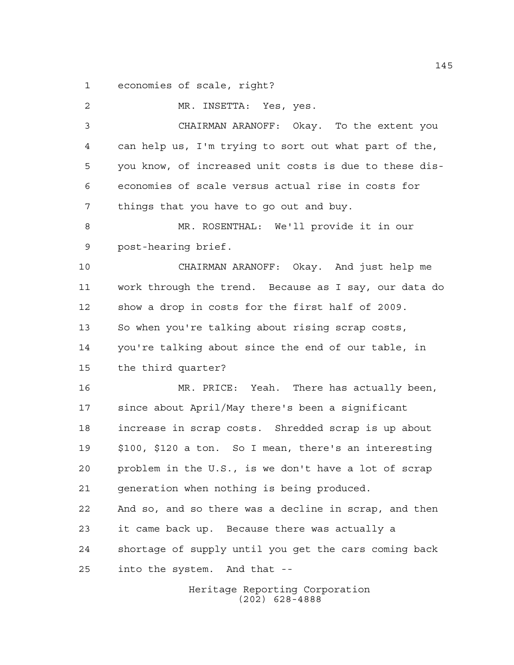economies of scale, right?

 MR. INSETTA: Yes, yes. CHAIRMAN ARANOFF: Okay. To the extent you can help us, I'm trying to sort out what part of the, you know, of increased unit costs is due to these dis- economies of scale versus actual rise in costs for things that you have to go out and buy. MR. ROSENTHAL: We'll provide it in our post-hearing brief. CHAIRMAN ARANOFF: Okay. And just help me work through the trend. Because as I say, our data do show a drop in costs for the first half of 2009. So when you're talking about rising scrap costs, you're talking about since the end of our table, in the third quarter? MR. PRICE: Yeah. There has actually been, since about April/May there's been a significant increase in scrap costs. Shredded scrap is up about \$100, \$120 a ton. So I mean, there's an interesting problem in the U.S., is we don't have a lot of scrap generation when nothing is being produced. And so, and so there was a decline in scrap, and then it came back up. Because there was actually a shortage of supply until you get the cars coming back into the system. And that --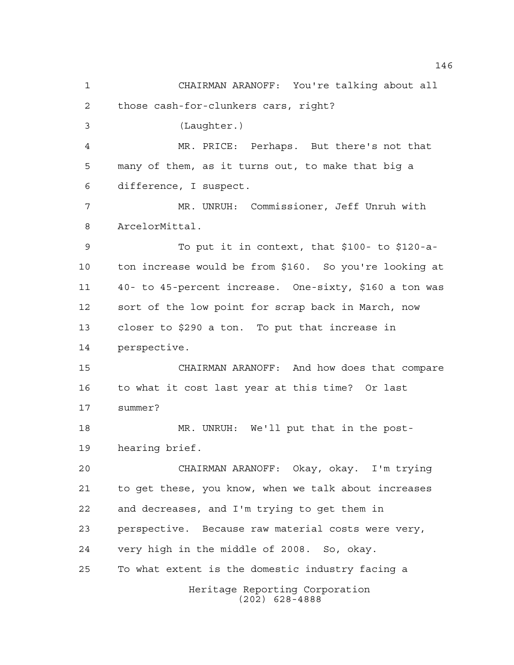Heritage Reporting Corporation (202) 628-4888 CHAIRMAN ARANOFF: You're talking about all those cash-for-clunkers cars, right? (Laughter.) MR. PRICE: Perhaps. But there's not that many of them, as it turns out, to make that big a difference, I suspect. MR. UNRUH: Commissioner, Jeff Unruh with ArcelorMittal. To put it in context, that \$100- to \$120-a- ton increase would be from \$160. So you're looking at 40- to 45-percent increase. One-sixty, \$160 a ton was sort of the low point for scrap back in March, now closer to \$290 a ton. To put that increase in perspective. CHAIRMAN ARANOFF: And how does that compare to what it cost last year at this time? Or last summer? MR. UNRUH: We'll put that in the post- hearing brief. CHAIRMAN ARANOFF: Okay, okay. I'm trying to get these, you know, when we talk about increases and decreases, and I'm trying to get them in perspective. Because raw material costs were very, very high in the middle of 2008. So, okay. To what extent is the domestic industry facing a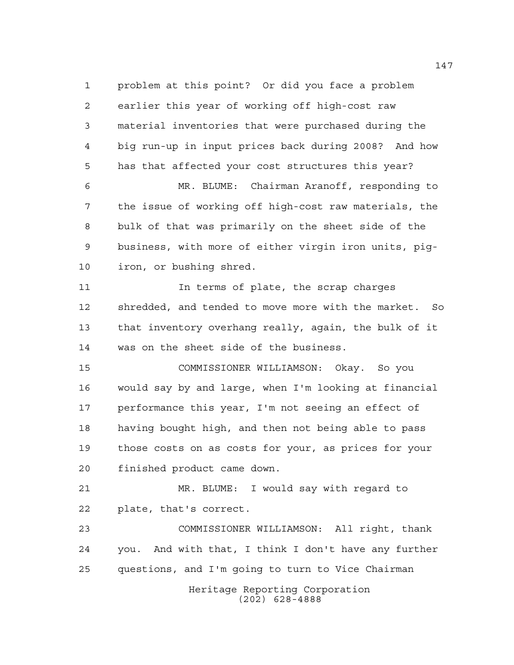Heritage Reporting Corporation (202) 628-4888 problem at this point? Or did you face a problem earlier this year of working off high-cost raw material inventories that were purchased during the big run-up in input prices back during 2008? And how has that affected your cost structures this year? MR. BLUME: Chairman Aranoff, responding to the issue of working off high-cost raw materials, the bulk of that was primarily on the sheet side of the business, with more of either virgin iron units, pig- iron, or bushing shred. 11 11 In terms of plate, the scrap charges shredded, and tended to move more with the market. So that inventory overhang really, again, the bulk of it was on the sheet side of the business. COMMISSIONER WILLIAMSON: Okay. So you would say by and large, when I'm looking at financial performance this year, I'm not seeing an effect of having bought high, and then not being able to pass those costs on as costs for your, as prices for your finished product came down. MR. BLUME: I would say with regard to plate, that's correct. COMMISSIONER WILLIAMSON: All right, thank you. And with that, I think I don't have any further questions, and I'm going to turn to Vice Chairman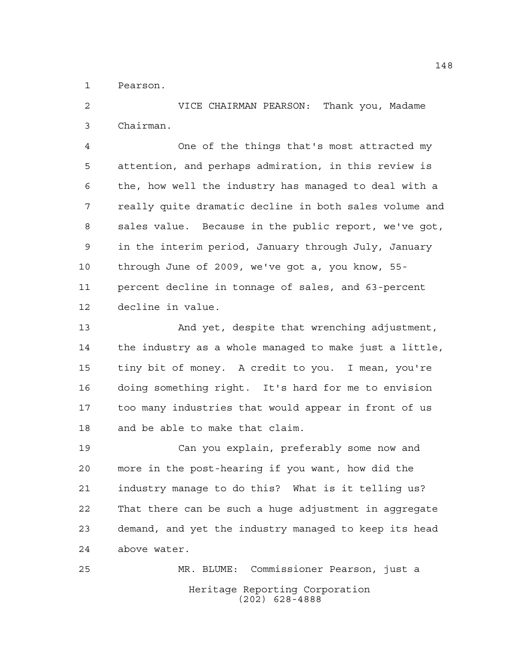Pearson.

 VICE CHAIRMAN PEARSON: Thank you, Madame Chairman.

 One of the things that's most attracted my attention, and perhaps admiration, in this review is the, how well the industry has managed to deal with a really quite dramatic decline in both sales volume and sales value. Because in the public report, we've got, in the interim period, January through July, January through June of 2009, we've got a, you know, 55- percent decline in tonnage of sales, and 63-percent decline in value.

 And yet, despite that wrenching adjustment, the industry as a whole managed to make just a little, tiny bit of money. A credit to you. I mean, you're doing something right. It's hard for me to envision too many industries that would appear in front of us and be able to make that claim.

 Can you explain, preferably some now and more in the post-hearing if you want, how did the industry manage to do this? What is it telling us? That there can be such a huge adjustment in aggregate demand, and yet the industry managed to keep its head above water.

Heritage Reporting Corporation (202) 628-4888 MR. BLUME: Commissioner Pearson, just a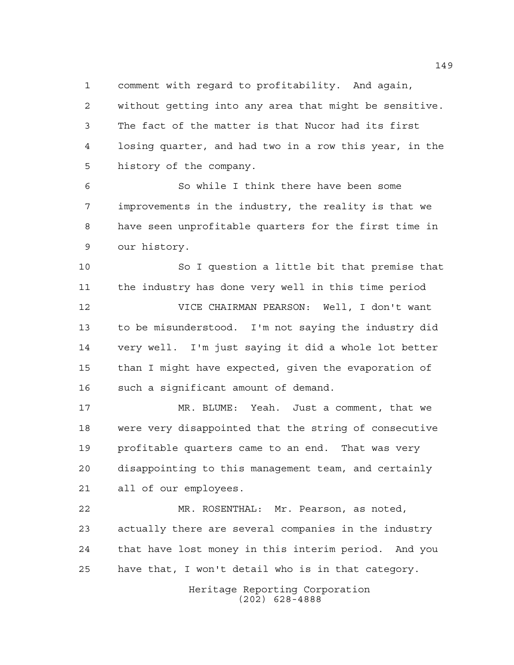comment with regard to profitability. And again,

 without getting into any area that might be sensitive. The fact of the matter is that Nucor had its first losing quarter, and had two in a row this year, in the history of the company.

 So while I think there have been some improvements in the industry, the reality is that we have seen unprofitable quarters for the first time in our history.

 So I question a little bit that premise that the industry has done very well in this time period

 VICE CHAIRMAN PEARSON: Well, I don't want to be misunderstood. I'm not saying the industry did very well. I'm just saying it did a whole lot better than I might have expected, given the evaporation of such a significant amount of demand.

 MR. BLUME: Yeah. Just a comment, that we were very disappointed that the string of consecutive profitable quarters came to an end. That was very disappointing to this management team, and certainly all of our employees.

 MR. ROSENTHAL: Mr. Pearson, as noted, actually there are several companies in the industry that have lost money in this interim period. And you have that, I won't detail who is in that category.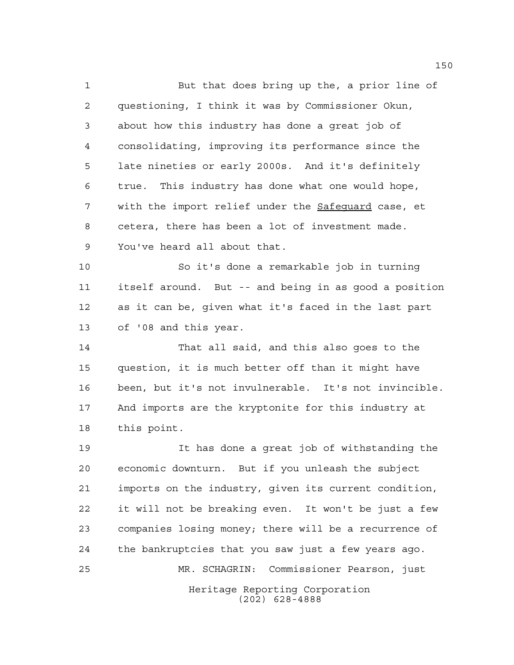But that does bring up the, a prior line of questioning, I think it was by Commissioner Okun, about how this industry has done a great job of consolidating, improving its performance since the late nineties or early 2000s. And it's definitely true. This industry has done what one would hope, with the import relief under the Safeguard case, et cetera, there has been a lot of investment made. You've heard all about that.

 So it's done a remarkable job in turning itself around. But -- and being in as good a position as it can be, given what it's faced in the last part of '08 and this year.

 That all said, and this also goes to the question, it is much better off than it might have been, but it's not invulnerable. It's not invincible. And imports are the kryptonite for this industry at this point.

Heritage Reporting Corporation (202) 628-4888 It has done a great job of withstanding the economic downturn. But if you unleash the subject imports on the industry, given its current condition, it will not be breaking even. It won't be just a few companies losing money; there will be a recurrence of the bankruptcies that you saw just a few years ago. MR. SCHAGRIN: Commissioner Pearson, just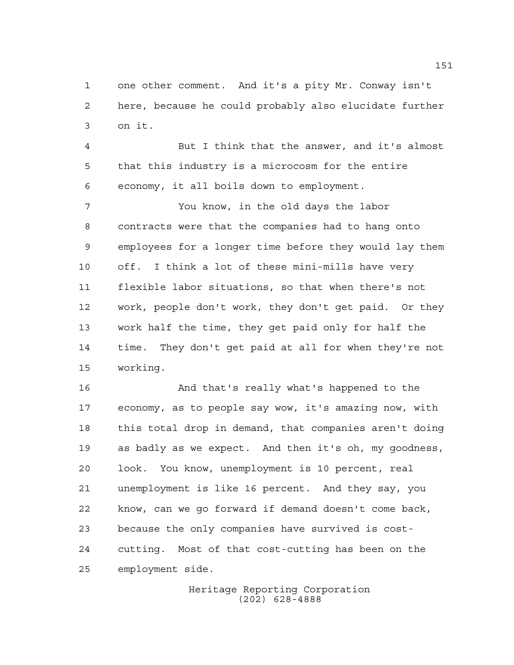one other comment. And it's a pity Mr. Conway isn't here, because he could probably also elucidate further on it.

 But I think that the answer, and it's almost that this industry is a microcosm for the entire economy, it all boils down to employment.

 You know, in the old days the labor contracts were that the companies had to hang onto employees for a longer time before they would lay them off. I think a lot of these mini-mills have very flexible labor situations, so that when there's not work, people don't work, they don't get paid. Or they work half the time, they get paid only for half the time. They don't get paid at all for when they're not working.

 And that's really what's happened to the economy, as to people say wow, it's amazing now, with this total drop in demand, that companies aren't doing as badly as we expect. And then it's oh, my goodness, look. You know, unemployment is 10 percent, real unemployment is like 16 percent. And they say, you know, can we go forward if demand doesn't come back, because the only companies have survived is cost- cutting. Most of that cost-cutting has been on the employment side.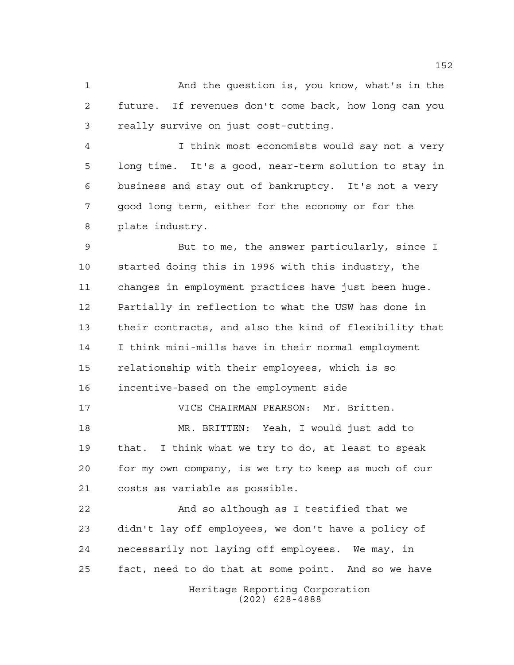And the question is, you know, what's in the future. If revenues don't come back, how long can you really survive on just cost-cutting.

 I think most economists would say not a very long time. It's a good, near-term solution to stay in business and stay out of bankruptcy. It's not a very good long term, either for the economy or for the plate industry.

 But to me, the answer particularly, since I started doing this in 1996 with this industry, the changes in employment practices have just been huge. Partially in reflection to what the USW has done in their contracts, and also the kind of flexibility that I think mini-mills have in their normal employment relationship with their employees, which is so incentive-based on the employment side

 VICE CHAIRMAN PEARSON: Mr. Britten. MR. BRITTEN: Yeah, I would just add to that. I think what we try to do, at least to speak for my own company, is we try to keep as much of our costs as variable as possible.

Heritage Reporting Corporation And so although as I testified that we didn't lay off employees, we don't have a policy of necessarily not laying off employees. We may, in fact, need to do that at some point. And so we have

(202) 628-4888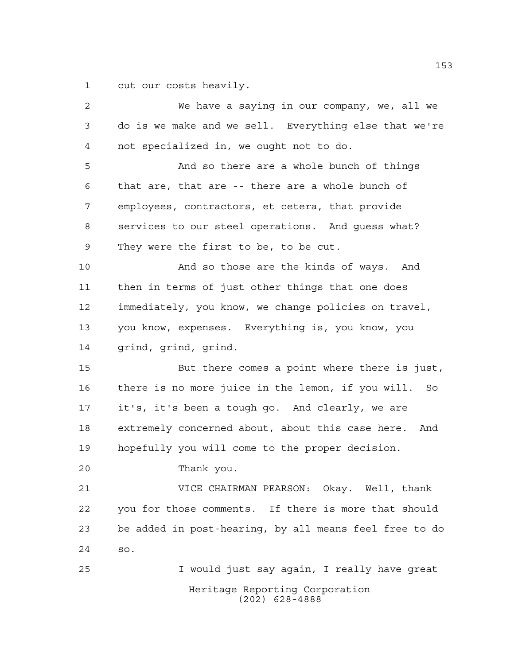cut our costs heavily.

| 2  | We have a saying in our company, we, all we             |  |  |  |  |  |  |  |  |
|----|---------------------------------------------------------|--|--|--|--|--|--|--|--|
| 3  | do is we make and we sell. Everything else that we're   |  |  |  |  |  |  |  |  |
| 4  | not specialized in, we ought not to do.                 |  |  |  |  |  |  |  |  |
| 5  | And so there are a whole bunch of things                |  |  |  |  |  |  |  |  |
| 6  | that are, that are -- there are a whole bunch of        |  |  |  |  |  |  |  |  |
| 7  | employees, contractors, et cetera, that provide         |  |  |  |  |  |  |  |  |
| 8  | services to our steel operations. And guess what?       |  |  |  |  |  |  |  |  |
| 9  | They were the first to be, to be cut.                   |  |  |  |  |  |  |  |  |
| 10 | And so those are the kinds of ways. And                 |  |  |  |  |  |  |  |  |
| 11 | then in terms of just other things that one does        |  |  |  |  |  |  |  |  |
| 12 | immediately, you know, we change policies on travel,    |  |  |  |  |  |  |  |  |
| 13 | you know, expenses. Everything is, you know, you        |  |  |  |  |  |  |  |  |
| 14 | grind, grind, grind.                                    |  |  |  |  |  |  |  |  |
| 15 | But there comes a point where there is just,            |  |  |  |  |  |  |  |  |
| 16 | there is no more juice in the lemon, if you will. So    |  |  |  |  |  |  |  |  |
| 17 | it's, it's been a tough go. And clearly, we are         |  |  |  |  |  |  |  |  |
| 18 | extremely concerned about, about this case here.<br>And |  |  |  |  |  |  |  |  |
| 19 | hopefully you will come to the proper decision.         |  |  |  |  |  |  |  |  |
| 20 | Thank you.                                              |  |  |  |  |  |  |  |  |
| 21 | VICE CHAIRMAN PEARSON: Okay. Well, thank                |  |  |  |  |  |  |  |  |
| 22 | you for those comments. If there is more that should    |  |  |  |  |  |  |  |  |
| 23 | be added in post-hearing, by all means feel free to do  |  |  |  |  |  |  |  |  |
| 24 | SO.                                                     |  |  |  |  |  |  |  |  |
| 25 | I would just say again, I really have great             |  |  |  |  |  |  |  |  |
|    | Heritage Reporting Corporation<br>$(202)$ 628-4888      |  |  |  |  |  |  |  |  |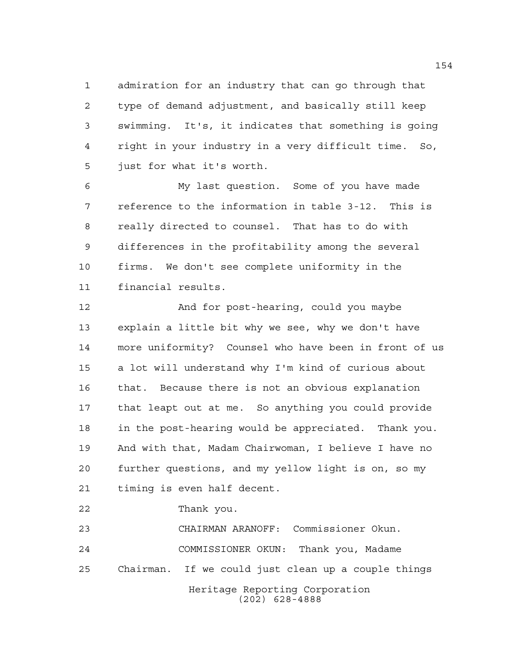admiration for an industry that can go through that type of demand adjustment, and basically still keep swimming. It's, it indicates that something is going right in your industry in a very difficult time. So, just for what it's worth.

 My last question. Some of you have made reference to the information in table 3-12. This is really directed to counsel. That has to do with differences in the profitability among the several firms. We don't see complete uniformity in the financial results.

 And for post-hearing, could you maybe explain a little bit why we see, why we don't have more uniformity? Counsel who have been in front of us a lot will understand why I'm kind of curious about that. Because there is not an obvious explanation that leapt out at me. So anything you could provide in the post-hearing would be appreciated. Thank you. And with that, Madam Chairwoman, I believe I have no further questions, and my yellow light is on, so my timing is even half decent.

Thank you.

Heritage Reporting Corporation (202) 628-4888 CHAIRMAN ARANOFF: Commissioner Okun. COMMISSIONER OKUN: Thank you, Madame Chairman. If we could just clean up a couple things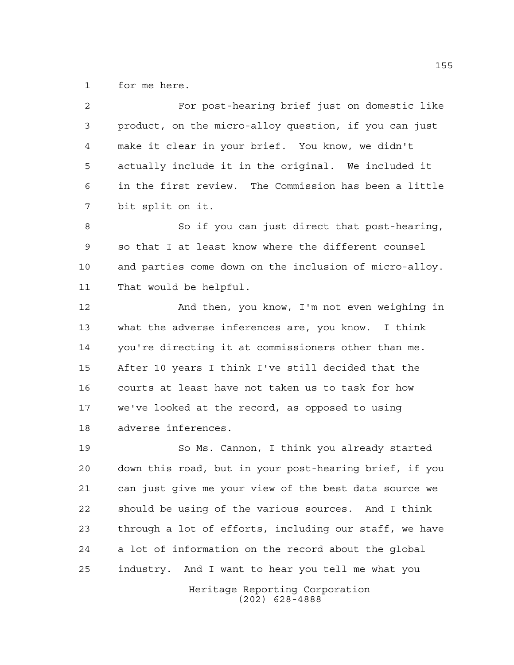for me here.

| $\overline{2}$ | For post-hearing brief just on domestic like           |  |  |  |  |  |  |  |
|----------------|--------------------------------------------------------|--|--|--|--|--|--|--|
| 3              | product, on the micro-alloy question, if you can just  |  |  |  |  |  |  |  |
| $\overline{4}$ | make it clear in your brief. You know, we didn't       |  |  |  |  |  |  |  |
| 5              | actually include it in the original. We included it    |  |  |  |  |  |  |  |
| 6              | in the first review. The Commission has been a little  |  |  |  |  |  |  |  |
| 7              | bit split on it.                                       |  |  |  |  |  |  |  |
| 8              | So if you can just direct that post-hearing,           |  |  |  |  |  |  |  |
| 9              | so that I at least know where the different counsel    |  |  |  |  |  |  |  |
| 10             | and parties come down on the inclusion of micro-alloy. |  |  |  |  |  |  |  |
| 11             | That would be helpful.                                 |  |  |  |  |  |  |  |
| 12             | And then, you know, I'm not even weighing in           |  |  |  |  |  |  |  |
| 13             | what the adverse inferences are, you know. I think     |  |  |  |  |  |  |  |
| 14             | you're directing it at commissioners other than me.    |  |  |  |  |  |  |  |
| 15             | After 10 years I think I've still decided that the     |  |  |  |  |  |  |  |
| 16             | courts at least have not taken us to task for how      |  |  |  |  |  |  |  |
| 17             | we've looked at the record, as opposed to using        |  |  |  |  |  |  |  |
| 18             | adverse inferences.                                    |  |  |  |  |  |  |  |
| 19             | So Ms. Cannon, I think you already started             |  |  |  |  |  |  |  |
| 20             | down this road, but in your post-hearing brief, if you |  |  |  |  |  |  |  |
| 21             | can just give me your view of the best data source we  |  |  |  |  |  |  |  |
| 22             | should be using of the various sources. And I think    |  |  |  |  |  |  |  |
| 23             | through a lot of efforts, including our staff, we have |  |  |  |  |  |  |  |
| 24             | a lot of information on the record about the global    |  |  |  |  |  |  |  |
| 25             | industry. And I want to hear you tell me what you      |  |  |  |  |  |  |  |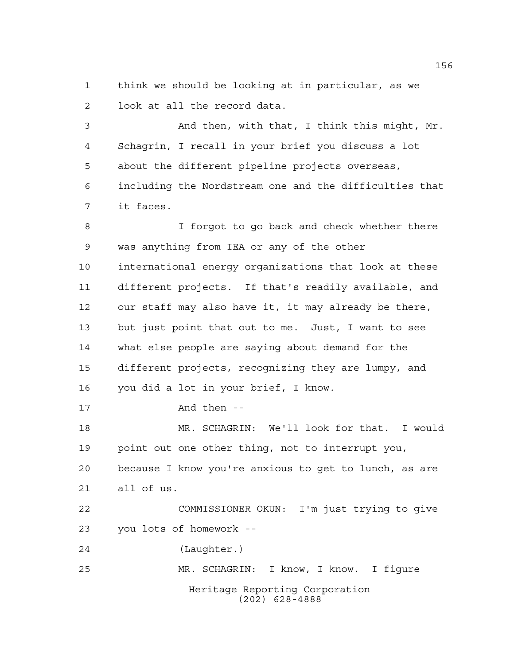think we should be looking at in particular, as we look at all the record data.

 And then, with that, I think this might, Mr. Schagrin, I recall in your brief you discuss a lot about the different pipeline projects overseas, including the Nordstream one and the difficulties that it faces.

Heritage Reporting Corporation (202) 628-4888 I forgot to go back and check whether there was anything from IEA or any of the other international energy organizations that look at these different projects. If that's readily available, and our staff may also have it, it may already be there, but just point that out to me. Just, I want to see what else people are saying about demand for the different projects, recognizing they are lumpy, and you did a lot in your brief, I know. And then -- MR. SCHAGRIN: We'll look for that. I would point out one other thing, not to interrupt you, because I know you're anxious to get to lunch, as are all of us. COMMISSIONER OKUN: I'm just trying to give you lots of homework -- (Laughter.) MR. SCHAGRIN: I know, I know. I figure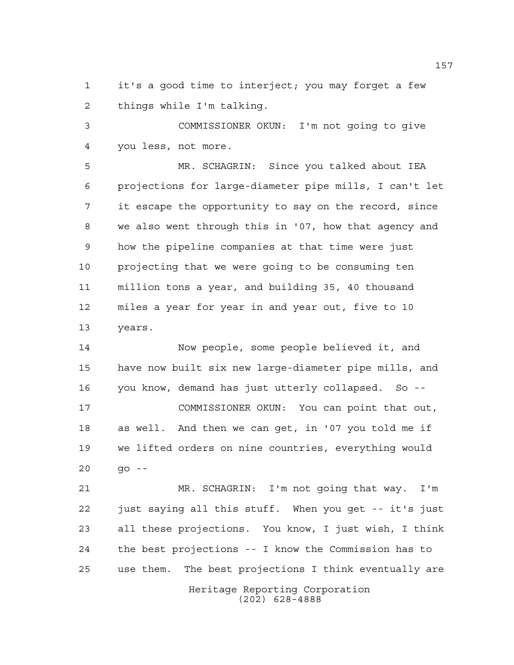it's a good time to interject; you may forget a few things while I'm talking.

 COMMISSIONER OKUN: I'm not going to give you less, not more.

 MR. SCHAGRIN: Since you talked about IEA projections for large-diameter pipe mills, I can't let it escape the opportunity to say on the record, since we also went through this in '07, how that agency and how the pipeline companies at that time were just projecting that we were going to be consuming ten million tons a year, and building 35, 40 thousand miles a year for year in and year out, five to 10 years.

 Now people, some people believed it, and have now built six new large-diameter pipe mills, and you know, demand has just utterly collapsed. So -- COMMISSIONER OKUN: You can point that out, as well. And then we can get, in '07 you told me if we lifted orders on nine countries, everything would go --

Heritage Reporting Corporation MR. SCHAGRIN: I'm not going that way. I'm just saying all this stuff. When you get -- it's just all these projections. You know, I just wish, I think the best projections -- I know the Commission has to use them. The best projections I think eventually are

(202) 628-4888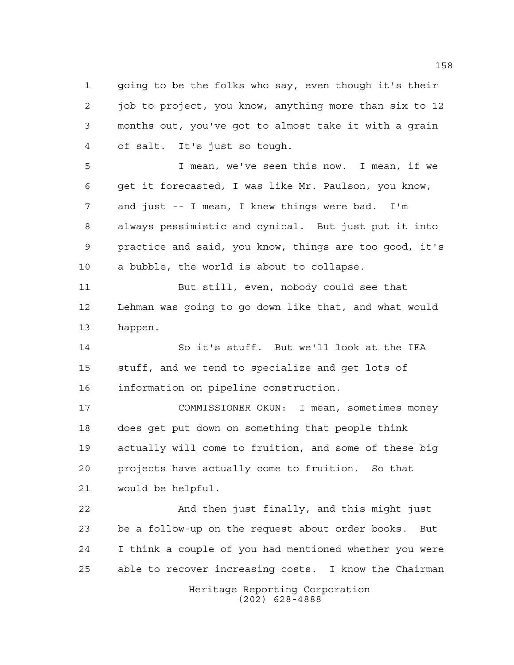going to be the folks who say, even though it's their job to project, you know, anything more than six to 12 months out, you've got to almost take it with a grain of salt. It's just so tough.

 I mean, we've seen this now. I mean, if we get it forecasted, I was like Mr. Paulson, you know, and just -- I mean, I knew things were bad. I'm always pessimistic and cynical. But just put it into practice and said, you know, things are too good, it's a bubble, the world is about to collapse.

 But still, even, nobody could see that Lehman was going to go down like that, and what would happen.

 So it's stuff. But we'll look at the IEA stuff, and we tend to specialize and get lots of information on pipeline construction.

 COMMISSIONER OKUN: I mean, sometimes money does get put down on something that people think actually will come to fruition, and some of these big projects have actually come to fruition. So that would be helpful.

 And then just finally, and this might just be a follow-up on the request about order books. But I think a couple of you had mentioned whether you were able to recover increasing costs. I know the Chairman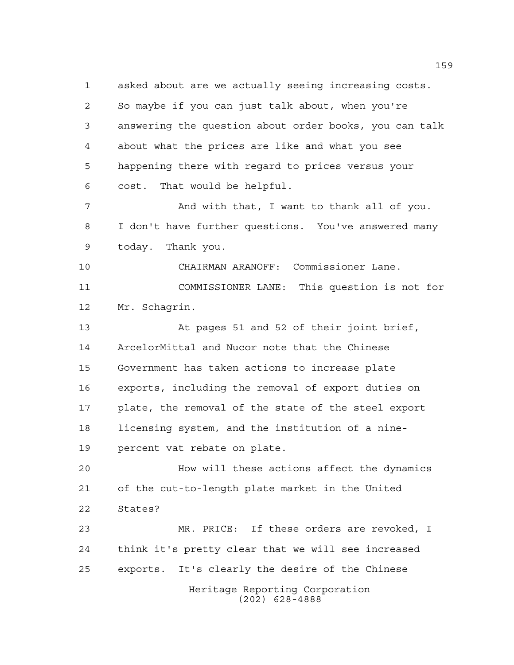asked about are we actually seeing increasing costs. So maybe if you can just talk about, when you're answering the question about order books, you can talk about what the prices are like and what you see happening there with regard to prices versus your cost. That would be helpful. And with that, I want to thank all of you. I don't have further questions. You've answered many today. Thank you. CHAIRMAN ARANOFF: Commissioner Lane. COMMISSIONER LANE: This question is not for Mr. Schagrin. At pages 51 and 52 of their joint brief, ArcelorMittal and Nucor note that the Chinese Government has taken actions to increase plate exports, including the removal of export duties on plate, the removal of the state of the steel export licensing system, and the institution of a nine- percent vat rebate on plate. How will these actions affect the dynamics of the cut-to-length plate market in the United States? MR. PRICE: If these orders are revoked, I

Heritage Reporting Corporation (202) 628-4888 think it's pretty clear that we will see increased exports. It's clearly the desire of the Chinese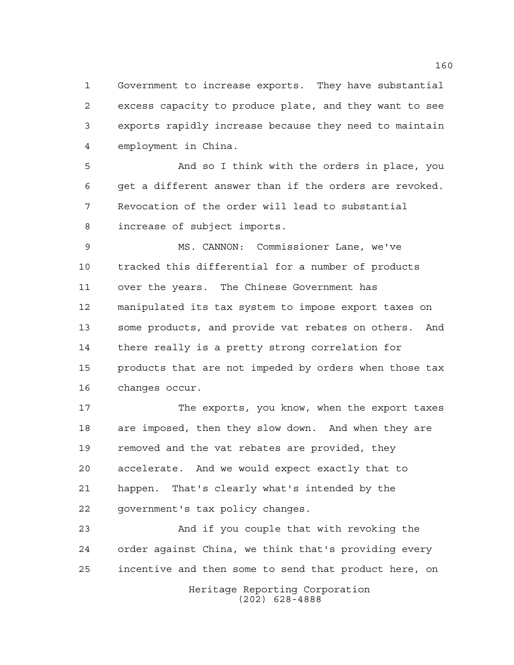Government to increase exports. They have substantial excess capacity to produce plate, and they want to see exports rapidly increase because they need to maintain employment in China.

 And so I think with the orders in place, you get a different answer than if the orders are revoked. Revocation of the order will lead to substantial increase of subject imports.

 MS. CANNON: Commissioner Lane, we've tracked this differential for a number of products over the years. The Chinese Government has manipulated its tax system to impose export taxes on some products, and provide vat rebates on others. And there really is a pretty strong correlation for products that are not impeded by orders when those tax changes occur.

 The exports, you know, when the export taxes are imposed, then they slow down. And when they are 19 removed and the vat rebates are provided, they accelerate. And we would expect exactly that to happen. That's clearly what's intended by the government's tax policy changes.

 And if you couple that with revoking the order against China, we think that's providing every incentive and then some to send that product here, on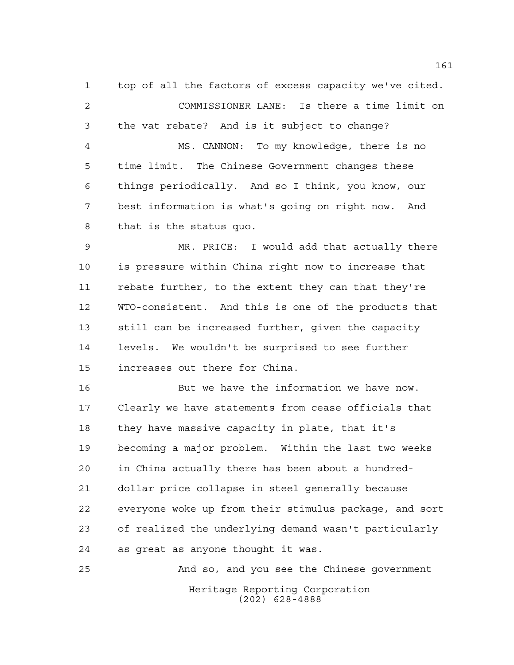top of all the factors of excess capacity we've cited. COMMISSIONER LANE: Is there a time limit on the vat rebate? And is it subject to change? MS. CANNON: To my knowledge, there is no time limit. The Chinese Government changes these things periodically. And so I think, you know, our best information is what's going on right now. And that is the status quo.

 MR. PRICE: I would add that actually there is pressure within China right now to increase that rebate further, to the extent they can that they're WTO-consistent. And this is one of the products that still can be increased further, given the capacity levels. We wouldn't be surprised to see further increases out there for China.

 But we have the information we have now. Clearly we have statements from cease officials that they have massive capacity in plate, that it's becoming a major problem. Within the last two weeks in China actually there has been about a hundred- dollar price collapse in steel generally because everyone woke up from their stimulus package, and sort of realized the underlying demand wasn't particularly as great as anyone thought it was.

Heritage Reporting Corporation (202) 628-4888 And so, and you see the Chinese government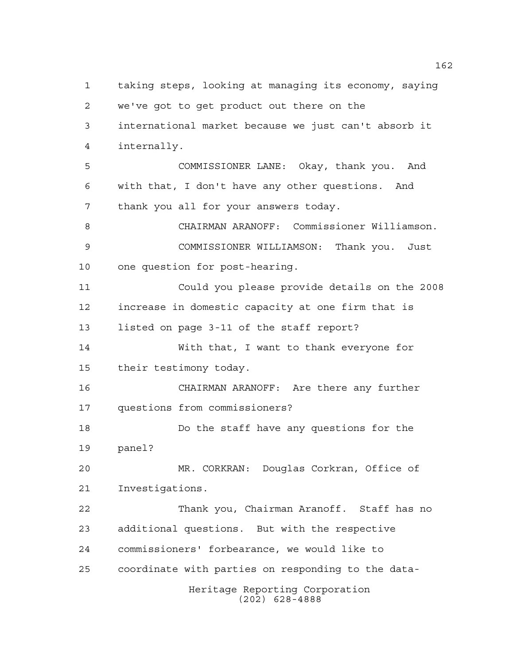Heritage Reporting Corporation (202) 628-4888 taking steps, looking at managing its economy, saying we've got to get product out there on the international market because we just can't absorb it internally. COMMISSIONER LANE: Okay, thank you. And with that, I don't have any other questions. And thank you all for your answers today. CHAIRMAN ARANOFF: Commissioner Williamson. COMMISSIONER WILLIAMSON: Thank you. Just one question for post-hearing. Could you please provide details on the 2008 increase in domestic capacity at one firm that is listed on page 3-11 of the staff report? With that, I want to thank everyone for their testimony today. CHAIRMAN ARANOFF: Are there any further questions from commissioners? Do the staff have any questions for the panel? MR. CORKRAN: Douglas Corkran, Office of Investigations. Thank you, Chairman Aranoff. Staff has no additional questions. But with the respective commissioners' forbearance, we would like to coordinate with parties on responding to the data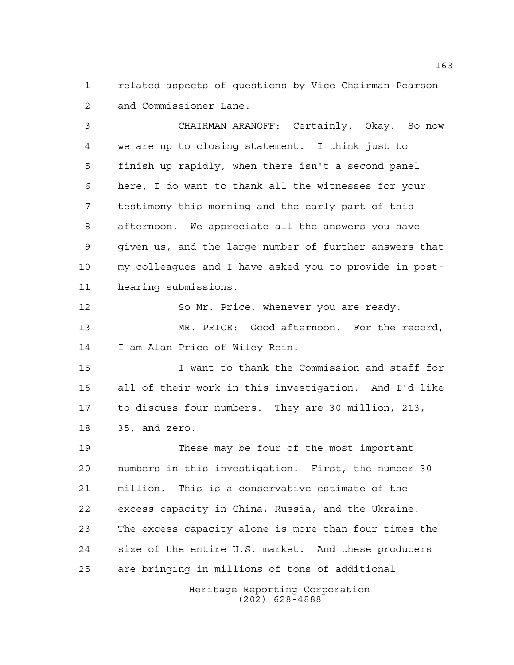related aspects of questions by Vice Chairman Pearson and Commissioner Lane.

 CHAIRMAN ARANOFF: Certainly. Okay. So now we are up to closing statement. I think just to finish up rapidly, when there isn't a second panel here, I do want to thank all the witnesses for your testimony this morning and the early part of this afternoon. We appreciate all the answers you have given us, and the large number of further answers that my colleagues and I have asked you to provide in post-hearing submissions.

 So Mr. Price, whenever you are ready. MR. PRICE: Good afternoon. For the record, I am Alan Price of Wiley Rein.

 I want to thank the Commission and staff for all of their work in this investigation. And I'd like to discuss four numbers. They are 30 million, 213, 35, and zero.

 These may be four of the most important numbers in this investigation. First, the number 30 million. This is a conservative estimate of the excess capacity in China, Russia, and the Ukraine. The excess capacity alone is more than four times the size of the entire U.S. market. And these producers are bringing in millions of tons of additional

> Heritage Reporting Corporation (202) 628-4888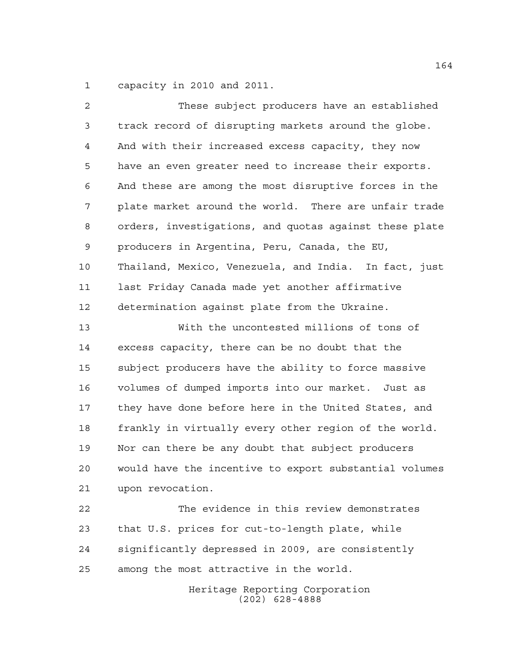capacity in 2010 and 2011.

| 2              | These subject producers have an established            |
|----------------|--------------------------------------------------------|
| $\mathfrak{Z}$ | track record of disrupting markets around the globe.   |
| 4              | And with their increased excess capacity, they now     |
| 5              | have an even greater need to increase their exports.   |
| 6              | And these are among the most disruptive forces in the  |
| 7              | plate market around the world. There are unfair trade  |
| 8              | orders, investigations, and quotas against these plate |
| 9              | producers in Argentina, Peru, Canada, the EU,          |
| 10             | Thailand, Mexico, Venezuela, and India. In fact, just  |
| 11             | last Friday Canada made yet another affirmative        |
| 12             | determination against plate from the Ukraine.          |
| 13             | With the uncontested millions of tons of               |
| 14             | excess capacity, there can be no doubt that the        |
| 15             | subject producers have the ability to force massive    |
| 16             | volumes of dumped imports into our market. Just as     |
| 17             | they have done before here in the United States, and   |
| 18             | frankly in virtually every other region of the world.  |
| 19             | Nor can there be any doubt that subject producers      |
| 20             | would have the incentive to export substantial volumes |
| 21             | upon revocation.                                       |
| 22             | The evidence in this review demonstrates               |
| 23             | that U.S. prices for cut-to-length plate, while        |
| 24             | significantly depressed in 2009, are consistently      |
| 25             | among the most attractive in the world.                |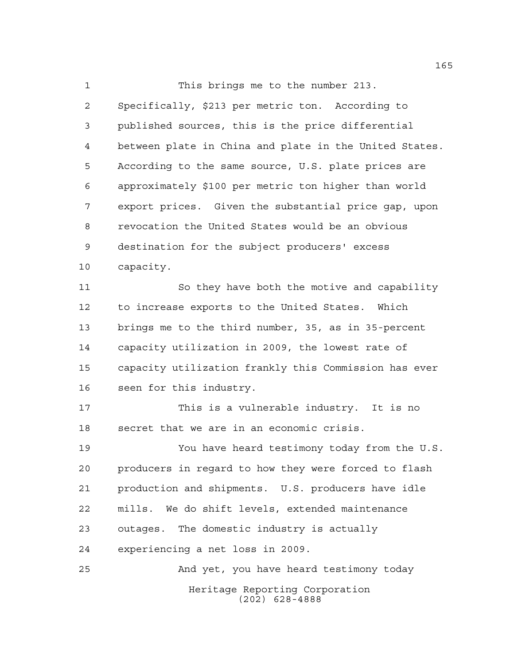This brings me to the number 213. Specifically, \$213 per metric ton. According to published sources, this is the price differential between plate in China and plate in the United States. According to the same source, U.S. plate prices are approximately \$100 per metric ton higher than world export prices. Given the substantial price gap, upon revocation the United States would be an obvious destination for the subject producers' excess capacity. So they have both the motive and capability

 to increase exports to the United States. Which brings me to the third number, 35, as in 35-percent capacity utilization in 2009, the lowest rate of capacity utilization frankly this Commission has ever seen for this industry.

 This is a vulnerable industry. It is no secret that we are in an economic crisis.

 You have heard testimony today from the U.S. producers in regard to how they were forced to flash production and shipments. U.S. producers have idle mills. We do shift levels, extended maintenance outages. The domestic industry is actually experiencing a net loss in 2009.

Heritage Reporting Corporation (202) 628-4888 And yet, you have heard testimony today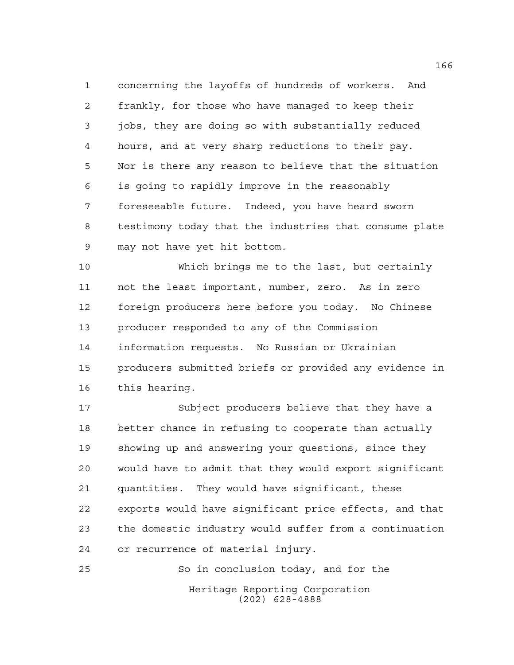concerning the layoffs of hundreds of workers. And frankly, for those who have managed to keep their jobs, they are doing so with substantially reduced hours, and at very sharp reductions to their pay. Nor is there any reason to believe that the situation is going to rapidly improve in the reasonably foreseeable future. Indeed, you have heard sworn testimony today that the industries that consume plate may not have yet hit bottom.

 Which brings me to the last, but certainly not the least important, number, zero. As in zero foreign producers here before you today. No Chinese producer responded to any of the Commission information requests. No Russian or Ukrainian producers submitted briefs or provided any evidence in this hearing.

 Subject producers believe that they have a better chance in refusing to cooperate than actually showing up and answering your questions, since they would have to admit that they would export significant quantities. They would have significant, these exports would have significant price effects, and that the domestic industry would suffer from a continuation or recurrence of material injury.

Heritage Reporting Corporation (202) 628-4888 So in conclusion today, and for the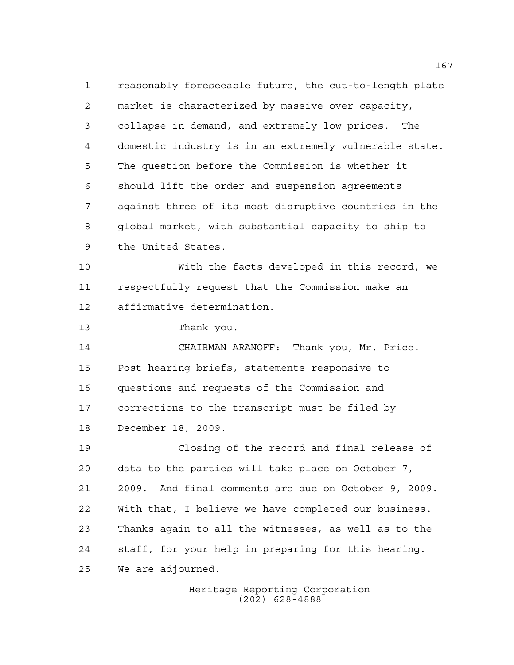reasonably foreseeable future, the cut-to-length plate market is characterized by massive over-capacity, collapse in demand, and extremely low prices. The domestic industry is in an extremely vulnerable state. The question before the Commission is whether it should lift the order and suspension agreements against three of its most disruptive countries in the global market, with substantial capacity to ship to the United States.

 With the facts developed in this record, we respectfully request that the Commission make an affirmative determination.

Thank you.

 CHAIRMAN ARANOFF: Thank you, Mr. Price. Post-hearing briefs, statements responsive to questions and requests of the Commission and corrections to the transcript must be filed by December 18, 2009.

 Closing of the record and final release of data to the parties will take place on October 7, 2009. And final comments are due on October 9, 2009. With that, I believe we have completed our business. Thanks again to all the witnesses, as well as to the staff, for your help in preparing for this hearing. We are adjourned.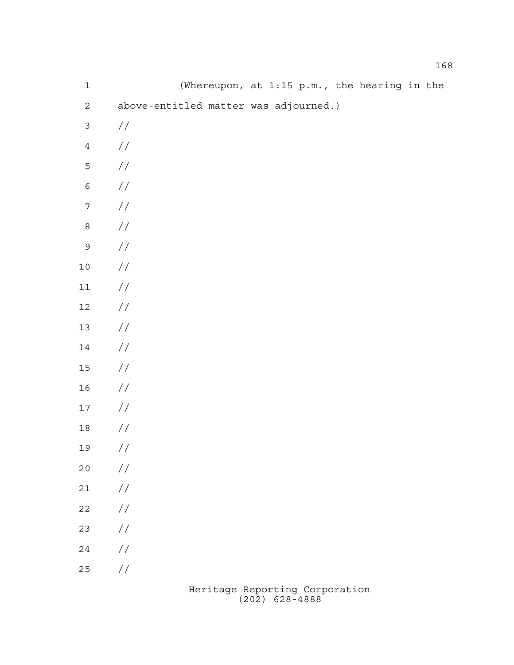| $\mathbf 1$      |                                           |  | (Whereupon, at 1:15 p.m., the hearing in the |  |  |  |  |
|------------------|-------------------------------------------|--|----------------------------------------------|--|--|--|--|
| $\overline{a}$   | above-entitled matter was adjourned.)     |  |                                              |  |  |  |  |
| $\mathfrak{Z}$   | //                                        |  |                                              |  |  |  |  |
| $\sqrt{4}$       | $\frac{1}{2}$                             |  |                                              |  |  |  |  |
| $\mathsf S$      | $\!/\!$                                   |  |                                              |  |  |  |  |
| $\epsilon$       | $\!/\!$                                   |  |                                              |  |  |  |  |
| $\boldsymbol{7}$ | $\!/\!$                                   |  |                                              |  |  |  |  |
| $\,8\,$          | $\!/\!$                                   |  |                                              |  |  |  |  |
| $\mathsf 9$      | $\!/\!$                                   |  |                                              |  |  |  |  |
| $1\,0$           | $\frac{\displaystyle}{\displaystyle\int}$ |  |                                              |  |  |  |  |
| $11\,$           | $\frac{\displaystyle}{\displaystyle\int}$ |  |                                              |  |  |  |  |
| $12\,$           | $\frac{\displaystyle}{\displaystyle\int}$ |  |                                              |  |  |  |  |
| $13$             | $\frac{\displaystyle /}{\displaystyle /}$ |  |                                              |  |  |  |  |
| 14               | $\frac{\displaystyle /}{\displaystyle /}$ |  |                                              |  |  |  |  |
| $15\,$           | $\frac{\displaystyle /}{\displaystyle /}$ |  |                                              |  |  |  |  |
| 16               | $\frac{\displaystyle /}{\displaystyle /}$ |  |                                              |  |  |  |  |
| $17$             | $\frac{1}{2}$                             |  |                                              |  |  |  |  |
| $1\,8$           | $\frac{1}{2}$                             |  |                                              |  |  |  |  |
| 19               | $\!/\!$                                   |  |                                              |  |  |  |  |
| $20$             | $\frac{1}{2}$                             |  |                                              |  |  |  |  |
| $2\sqrt{1}$      | $\!/\!$                                   |  |                                              |  |  |  |  |
| $2\sqrt{2}$      | $\frac{1}{2}$                             |  |                                              |  |  |  |  |
| 23               | $\frac{1}{2}$                             |  |                                              |  |  |  |  |
| $2\sqrt{4}$      | $\frac{\sqrt{2}}{2}$                      |  |                                              |  |  |  |  |
| 25               | $\frac{\displaystyle /}{\displaystyle /}$ |  |                                              |  |  |  |  |
|                  |                                           |  |                                              |  |  |  |  |